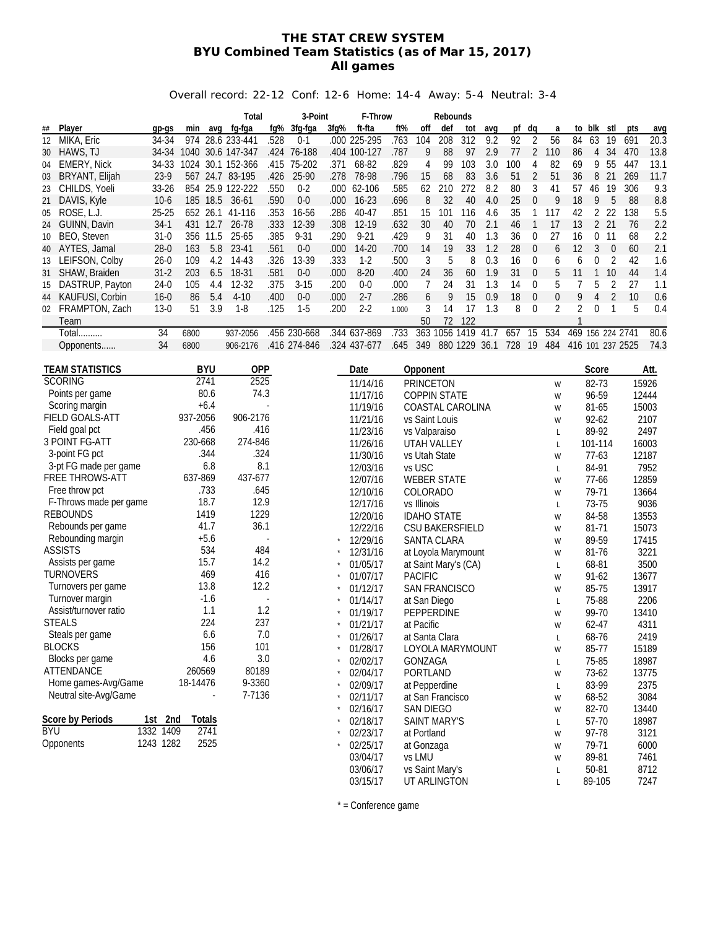#### **THE STAT CREW SYSTEM BYU Combined Team Statistics (as of Mar 15, 2017) All games**

#### Overall record: 22-12 Conf: 12-6 Home: 14-4 Away: 5-4 Neutral: 3-4

|            |                        |           |          |            | Total             |      | 3-Point      |      | F-Throw              |       |                  | Rebounds               |     |      |            |                  |                  |                  |                |                |       |      |
|------------|------------------------|-----------|----------|------------|-------------------|------|--------------|------|----------------------|-------|------------------|------------------------|-----|------|------------|------------------|------------------|------------------|----------------|----------------|-------|------|
| ##         | Player                 | gp-gs     | min      | avq        | fg-fga            | fq%  | 3fg-fga      | 3fg% | ft-fta               | ft%   | off              | def                    | tot | avq  | pf         | dq               | a                | to               | blk            | stl            | pts   | avg  |
| 12         | MIKA, Eric             | 34-34     | 974      |            | 28.6 233-441      | .528 | $0 - 1$      |      | .000 225-295         | .763  | 104              | 208                    | 312 | 9.2  | 92         | $\overline{2}$   | 56               | 84               | 63             | 19             | 691   | 20.3 |
| 30         | HAWS, TJ               | 34-34     |          |            | 1040 30.6 147-347 |      | .424 76-188  |      | .404 100-127         | .787  | 9                | 88                     | 97  | 2.9  | 77         | 2                | 110              | 86               | 4              | 34             | 470   | 13.8 |
| 04         | <b>EMERY, Nick</b>     | 34-33     |          |            | 1024 30.1 152-366 | .415 | 75-202       | .371 | 68-82                | .829  | 4                | 99                     | 103 | 3.0  | 100        | 4                | 82               | 69               | 9              | 55             | 447   | 13.1 |
| 03         | BRYANT, Elijah         | $23-9$    |          |            | 567 24.7 83-195   | .426 | 25-90        | .278 | 78-98                | .796  | 15               | 68                     | 83  | 3.6  | 51         | $\overline{2}$   | 51               | 36               | 8              | 21             | 269   | 11.7 |
| 23         | CHILDS, Yoeli          | $33 - 26$ |          |            | 854 25.9 122-222  | .550 | $0 - 2$      |      | .000 62-106          | .585  | 62               | 210                    | 272 | 8.2  | 80         | 3                | 41               | 57               | 46             | 19             | 306   | 9.3  |
| 21         | DAVIS, Kyle            | $10-6$    |          | 185 18.5   | 36-61             | .590 | $0 - 0$      | .000 | $16 - 23$            | .696  | 8                | 32                     | 40  | 4.0  | 25         | $\boldsymbol{0}$ | 9                | 18               | 9              | 5              | 88    | 8.8  |
| 05         | ROSE, L.J.             | $25 - 25$ |          |            | 652 26.1 41-116   | .353 | 16-56        | .286 | 40-47                | .851  | 15               | 101                    | 116 | 4.6  | 35         | 1                | 117              | 42               | $\overline{2}$ | 22             | 138   | 5.5  |
|            | GUINN, Davin           | $34-1$    |          | 431 12.7   | 26-78             | .333 | 12-39        | .308 | 12-19                | .632  | 30               | 40                     | 70  | 2.1  | 46         | $\mathbf{1}$     | 17               | 13               | 221            |                | 76    | 2.2  |
| 24         | BEO, Steven            | $31-0$    |          |            | 25-65             | .385 | $9 - 31$     | .290 | $9 - 21$             | .429  | 9                | 31                     | 40  | 1.3  | 36         | 0                | 27               | 16               | 0              | 11             | 68    | 2.2  |
| 10         |                        |           |          | 356 11.5   |                   |      | $0 - 0$      |      |                      |       |                  |                        |     |      |            | $\theta$         |                  |                  |                |                |       |      |
| 40         | AYTES, Jamal           | $28-0$    | 163      | 5.8        | 23-41             | .561 |              | .000 | 14-20                | .700  | 14               | 19                     | 33  | 1.2  | 28         |                  | 6                | 12               | 3              | $\mathbf 0$    | 60    | 2.1  |
| 13         | LEIFSON, Colby         | $26-0$    | 109      | 4.2        | 14-43             | .326 | 13-39        | .333 | $1-2$                | .500  | 3                | 5                      | 8   | 0.3  | 16         | 0                | 6                | 6                | 0              | 2              | 42    | 1.6  |
| 31         | SHAW, Braiden          | $31-2$    | 203      | 6.5        | 18-31             | .581 | $0-0$        | .000 | $8 - 20$             | .400  | 24               | 36                     | 60  | 1.9  | 31         | $\mathbf{0}$     | 5                | 11               | 1              | 10             | 44    | 1.4  |
| 15         | DASTRUP, Payton        | $24-0$    | 105      | 4.4        | 12-32             | .375 | $3 - 15$     | .200 | $0-0$                | .000  | 7                | 24                     | 31  | 1.3  | 14         | $\mathbf 0$      | 5                | 7                | 5              | 2              | 27    | 1.1  |
| 44         | <b>KAUFUSI, Corbin</b> | $16 - 0$  | 86       | 5.4        | $4 - 10$          | .400 | $0-0$        | .000 | $2 - 7$              | .286  | 6                | 9                      | 15  | 0.9  | 18         | $\boldsymbol{0}$ | $\boldsymbol{0}$ | 9                | $\overline{4}$ | $\overline{2}$ | 10    | 0.6  |
| 02         | FRAMPTON, Zach         | $13-0$    | 51       | 3.9        | $1-8$             | .125 | $1-5$        | .200 | $2 - 2$              | 1.000 | 3                | 14                     | 17  | 1.3  | 8          | $\mathbf 0$      | 2                | 2                | 0              | 1              | 5     | 0.4  |
|            | Team                   |           |          |            |                   |      |              |      |                      |       | 50               | 72                     | 122 |      |            |                  |                  | 1                |                |                |       |      |
|            | <b>Total</b>           | 34        | 6800     |            | 937-2056          |      | .456 230-668 |      | .344 637-869         | .733  |                  | 363 1056 1419          |     | 41.7 | 657        | 15               | 534              | 469 156 224 2741 |                |                |       | 80.6 |
|            | Opponents              | 34        | 6800     |            | 906-2176          |      | .416 274-846 |      | .324 437-677         | .645  | 349              | 880 1229 36.1          |     |      | 728 19 484 |                  |                  | 416 101 237 2525 |                |                |       | 74.3 |
|            |                        |           |          |            |                   |      |              |      |                      |       |                  |                        |     |      |            |                  |                  |                  |                |                |       |      |
|            | <b>TEAM STATISTICS</b> |           |          | <b>BYU</b> | <b>OPP</b>        |      |              |      | Date                 |       | Opponent         |                        |     |      |            |                  |                  |                  | Score          |                |       | Att. |
|            | <b>SCORING</b>         |           |          | 2741       | 2525              |      |              |      | 11/14/16             |       | <b>PRINCETON</b> |                        |     |      |            |                  | W                |                  | 82-73          |                | 15926 |      |
|            | Points per game        |           |          | 80.6       | 74.3              |      |              |      | 11/17/16             |       |                  | <b>COPPIN STATE</b>    |     |      |            |                  | W                |                  | 96-59          |                | 12444 |      |
|            | Scoring margin         |           |          | $+6.4$     |                   |      |              |      | 11/19/16             |       |                  | COASTAL CAROLINA       |     |      |            |                  | W                |                  | 81-65          |                | 15003 |      |
|            | <b>FIELD GOALS-ATT</b> |           | 937-2056 |            | 906-2176          |      |              |      | 11/21/16             |       |                  | vs Saint Louis         |     |      |            |                  | W                |                  | 92-62          |                |       | 2107 |
|            | Field goal pct         |           |          | .456       | .416              |      |              |      | 11/23/16             |       | vs Valparaiso    |                        |     |      |            |                  | L                |                  | 89-92          |                |       | 2497 |
|            | 3 POINT FG-ATT         |           | 230-668  |            | 274-846           |      |              |      | 11/26/16             |       |                  | <b>UTAH VALLEY</b>     |     |      |            |                  | L                |                  | 101-114        |                | 16003 |      |
|            | 3-point FG pct         |           |          | .344       | .324              |      |              |      | 11/30/16             |       |                  | vs Utah State          |     |      |            |                  | W                |                  | $77-63$        |                | 12187 |      |
|            | 3-pt FG made per game  |           |          | 6.8        | 8.1               |      |              |      | 12/03/16             |       | vs USC           |                        |     |      |            |                  | L                |                  | 84-91          |                |       | 7952 |
|            | <b>FREE THROWS-ATT</b> |           | 637-869  |            | 437-677           |      |              |      | 12/07/16             |       |                  | <b>WEBER STATE</b>     |     |      |            |                  | W                |                  | 77-66          |                | 12859 |      |
|            | Free throw pct         |           |          | .733       | .645              |      |              |      | 12/10/16             |       | <b>COLORADO</b>  |                        |     |      |            |                  | W                |                  | 79-71          |                | 13664 |      |
|            | F-Throws made per game |           |          | 18.7       | 12.9              |      |              |      | 12/17/16             |       | vs Illinois      |                        |     |      |            |                  | L                |                  | 73-75          |                |       | 9036 |
|            | <b>REBOUNDS</b>        |           |          | 1419       | 1229              |      |              |      | 12/20/16             |       |                  | <b>IDAHO STATE</b>     |     |      |            |                  | W                |                  | 84-58          |                | 13553 |      |
|            | Rebounds per game      |           |          | 41.7       | 36.1              |      |              |      | 12/22/16             |       |                  | <b>CSU BAKERSFIELD</b> |     |      |            |                  | W                |                  | 81-71          |                | 15073 |      |
|            | Rebounding margin      |           |          | $+5.6$     |                   |      |              |      | 12/29/16             |       |                  | <b>SANTA CLARA</b>     |     |      |            |                  | W                |                  | 89-59          |                | 17415 |      |
|            | <b>ASSISTS</b>         |           |          | 534        | 484               |      |              |      | 12/31/16             |       |                  | at Loyola Marymount    |     |      |            |                  | W                |                  | 81-76          |                |       | 3221 |
|            | Assists per game       |           |          | 15.7       | 14.2              |      |              |      | 01/05/17             |       |                  | at Saint Mary's (CA)   |     |      |            |                  | L                |                  | 68-81          |                |       | 3500 |
|            | <b>TURNOVERS</b>       |           |          | 469        | 416               |      |              |      | 01/07/17             |       | <b>PACIFIC</b>   |                        |     |      |            |                  | W                |                  | $91-62$        |                | 13677 |      |
|            | Turnovers per game     |           |          | 13.8       | 12.2              |      |              |      | 01/12/17             |       |                  | <b>SAN FRANCISCO</b>   |     |      |            |                  | W                |                  | 85-75          |                | 13917 |      |
|            | Turnover margin        |           |          | $-1.6$     |                   |      |              |      | 01/14/17             |       | at San Diego     |                        |     |      |            |                  | L                |                  | 75-88          |                |       | 2206 |
|            | Assist/turnover ratio  |           |          | 1.1        | 1.2               |      |              |      | 01/19/17             |       |                  | PEPPERDINE             |     |      |            |                  | W                |                  | 99-70          |                | 13410 |      |
|            | <b>STEALS</b>          |           |          | 224        | 237               |      |              |      | 01/21/17             |       | at Pacific       |                        |     |      |            |                  | W                |                  | 62-47          |                |       | 4311 |
|            | Steals per game        |           |          | 6.6        | 7.0               |      |              |      |                      |       |                  | at Santa Clara         |     |      |            |                  |                  |                  | 68-76          |                |       | 2419 |
|            | <b>BLOCKS</b>          |           |          | 156        | 101               |      |              |      | 01/26/17<br>01/28/17 |       |                  |                        |     |      |            |                  | L                |                  | 85-77          |                |       |      |
|            | Blocks per game        |           |          | 4.6        |                   | 3.0  |              |      |                      |       |                  | LOYOLA MARYMOUNT       |     |      |            |                  | W                |                  |                |                | 15189 |      |
|            | ATTENDANCE             |           | 260569   |            | 80189             |      |              |      | 02/02/17             |       | GONZAGA          |                        |     |      |            |                  | L                |                  | 75-85          |                | 18987 |      |
|            | Home games-Avg/Game    |           | 18-14476 |            | 9-3360            |      |              |      | 02/04/17             |       | PORTLAND         |                        |     |      |            |                  | W                |                  | 73-62          |                | 13775 |      |
|            | Neutral site-Avg/Game  |           |          |            |                   |      |              |      | 02/09/17             |       |                  | at Pepperdine          |     |      |            |                  | L                |                  | 83-99          |                |       | 2375 |
|            |                        |           |          |            | 7-7136            |      |              |      | 02/11/17             |       |                  | at San Francisco       |     |      |            |                  | W                |                  | 68-52          |                |       | 3084 |
|            | Score by Periods       |           |          | Totals     |                   |      |              |      | 02/16/17             |       | <b>SAN DIEGO</b> |                        |     |      |            |                  | W                |                  | 82-70          |                | 13440 |      |
| <b>BYU</b> |                        | 1st 2nd   |          |            |                   |      |              |      | 02/18/17             |       |                  | <b>SAINT MARY'S</b>    |     |      |            |                  | L                |                  | 57-70          |                | 18987 |      |
|            |                        | 1332 1409 |          | 2741       |                   |      |              |      | 02/23/17             |       | at Portland      |                        |     |      |            |                  | W                |                  | 97-78          |                |       | 3121 |
|            | Opponents              | 1243 1282 |          | 2525       |                   |      |              |      | 02/25/17             |       | at Gonzaga       |                        |     |      |            |                  | W                |                  | 79-71          |                |       | 6000 |
|            |                        |           |          |            |                   |      |              |      | 03/04/17             |       | vs LMU           |                        |     |      |            |                  | W                |                  | 89-81          |                |       | 7461 |
|            |                        |           |          |            |                   |      |              |      | 03/06/17             |       |                  | vs Saint Mary's        |     |      |            |                  | L                |                  | 50-81          |                |       | 8712 |
|            |                        |           |          |            |                   |      |              |      | 03/15/17             |       |                  | UT ARLINGTON           |     |      |            |                  | L                |                  | 89-105         |                |       | 7247 |

\* = Conference game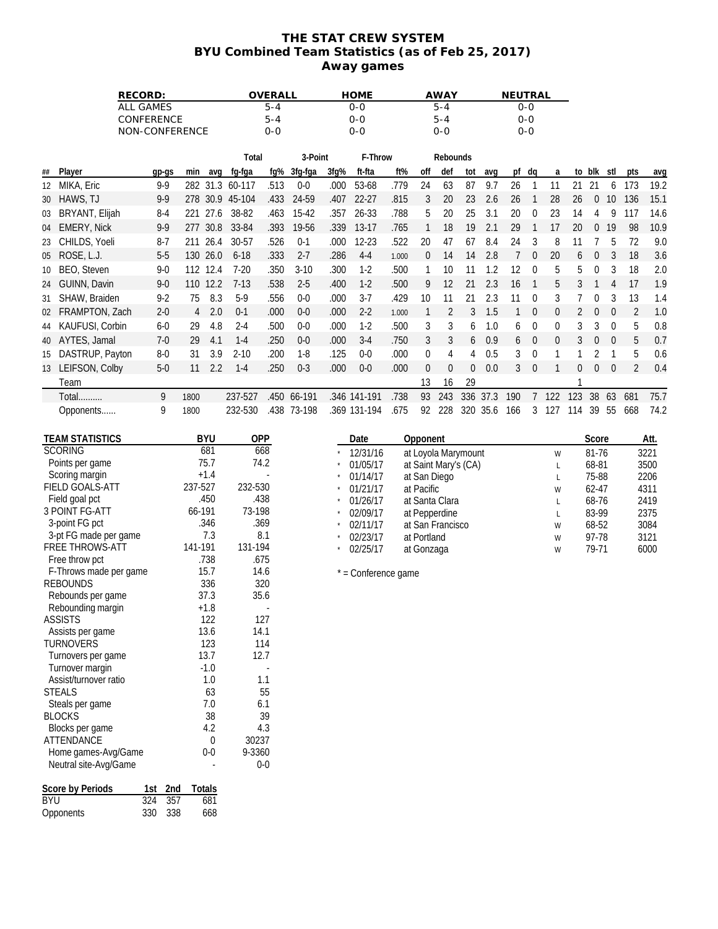## **THE STAT CREW SYSTEM BYU Combined Team Statistics (as of Feb 25, 2017) Away games**

| RECORD:<br>ALL GAMES |                                         |     |                |                |               |                 | OVERALL                  |             |      | <b>HOME</b>          |       |              | <b>AWAY</b>          |             |          | NEUTRAL         |                  |                  |                |                  |                          |                |              |
|----------------------|-----------------------------------------|-----|----------------|----------------|---------------|-----------------|--------------------------|-------------|------|----------------------|-------|--------------|----------------------|-------------|----------|-----------------|------------------|------------------|----------------|------------------|--------------------------|----------------|--------------|
|                      |                                         |     |                |                |               |                 | $5 - 4$                  |             |      | $0 - 0$              |       |              | $5 - 4$              |             |          |                 | $0 - 0$          |                  |                |                  |                          |                |              |
|                      |                                         |     | CONFERENCE     |                |               |                 | $5 - 4$                  |             |      | $0 - 0$              |       |              | $5 - 4$              |             |          |                 | $0 - 0$          |                  |                |                  |                          |                |              |
|                      |                                         |     | NON-CONFERENCE |                |               |                 | $0 - 0$                  |             |      | $0 - 0$              |       |              | $0 - 0$              |             |          |                 | $0 - 0$          |                  |                |                  |                          |                |              |
|                      |                                         |     |                |                |               | Total           |                          | 3-Point     |      | F-Throw              |       |              | Rebounds             |             |          |                 |                  |                  |                |                  |                          |                |              |
| ##                   | Player                                  |     | gp-gs          | min            | avq           | fg-fga          | fg%                      | 3fg-fga     | 3fg% | ft-fta               | ft%   | off          | def                  | tot         | avq      |                 | pf dq            | a                |                | to blk stl       |                          | pts            | avg          |
| 12                   | MIKA, Eric                              |     | $9 - 9$        |                |               | 282 31.3 60-117 | .513                     | $0-0$       | .000 | 53-68                | .779  | 24           | 63                   | 87          | 9.7      | 26              | $\overline{1}$   | 11               | 21             | 21               | 6                        | 173            | 19.2         |
| 30                   | HAWS, TJ                                |     | $9 - 9$        |                |               | 278 30.9 45-104 | .433                     | 24-59       | .407 | $22 - 27$            | .815  | 3            | 20                   | 23          | 2.6      | 26              | $\overline{1}$   | 28               | 26             | $\boldsymbol{0}$ | 10                       | 136            | 15.1         |
| 03                   | BRYANT, Elijah                          |     | $8 - 4$        |                | 221 27.6      | 38-82           | .463                     | $15 - 42$   | .357 | 26-33                | .788  | 5            | 20                   | 25          | 3.1      | 20              | $\boldsymbol{0}$ | 23               | 14             | 4                | 9                        | 117            | 14.6         |
| 04                   | <b>EMERY, Nick</b>                      |     | $9 - 9$        |                | 277 30.8      | 33-84           | .393                     | 19-56       | .339 | $13-17$              | .765  | $\mathbf{1}$ | 18                   | 19          | 2.1      | 29              | $\overline{1}$   | 17               | 20             | $\pmb{0}$        | 19                       | 98             | 10.9         |
| 23                   | CHILDS, Yoeli                           |     | $8 - 7$        |                | 211 26.4      | 30-57           | .526                     | $0 - 1$     | .000 | 12-23                | .522  | 20           | 47                   | 67          | 8.4      | 24              | 3                | 8                | 11             | 7                | 5                        | 72             | 9.0          |
| 05                   | ROSE, L.J.                              |     | $5-5$          |                | 130 26.0      | $6 - 18$        | .333                     | $2 - 7$     | .286 | $4 - 4$              | 1.000 | 0            | 14                   | 14          | 2.8      | $7\overline{ }$ | $\mathbf 0$      | 20               | 6              | $\boldsymbol{0}$ | 3                        | 18             | 3.6          |
| 10                   | BEO, Steven                             |     | $9 - 0$        |                | 112 12.4      | $7 - 20$        | .350                     | $3-10$      | .300 | $1-2$                | .500  | 1            | 10                   | 11          | 1.2      | 12              | $\boldsymbol{0}$ | 5                | 5              | 0                | 3                        | 18             | 2.0          |
| 24                   | GUINN, Davin                            |     | $9 - 0$        |                | 110 12.2      | $7 - 13$        | .538                     | $2 - 5$     | .400 | $1-2$                | .500  | 9            | 12                   | 21          | 2.3      | 16              | $\overline{1}$   | 5                | 3              | $\mathbf{1}$     | 4                        | 17             | 1.9          |
| 31                   | SHAW, Braiden                           |     | $9 - 2$        | 75             | 8.3           | $5-9$           | .556                     | $0 - 0$     | .000 | $3-7$                | .429  | 10           | 11                   | 21          | 2.3      | 11              | $\mathbf 0$      | 3                | $\overline{7}$ | 0                | 3                        | 13             | 1.4          |
| 02                   | FRAMPTON, Zach                          |     | $2 - 0$        | $\overline{4}$ | 2.0           | $0 - 1$         | .000                     | $0-0$       | .000 | $2-2$                | 1.000 | $\mathbf{1}$ | $\overline{2}$       | 3           | 1.5      | $\mathbf{1}$    | $\mathbf 0$      | $\boldsymbol{0}$ | $\overline{2}$ | $\boldsymbol{0}$ | $\boldsymbol{0}$         | $\overline{2}$ | 1.0          |
| 44                   | KAUFUSI, Corbin                         |     | $6-0$          | 29             | 4.8           | $2 - 4$         | .500                     | $0 - 0$     | .000 | $1-2$                | .500  | 3            | 3                    | 6           | 1.0      | 6               | $\boldsymbol{0}$ | 0                | 3              | 3                | $\boldsymbol{0}$         | 5              | 0.8          |
|                      | AYTES, Jamal                            |     | $7-0$          | 29             | 4.1           | $1 - 4$         | .250                     | $0-0$       | .000 | $3-4$                | .750  | 3            | 3                    | 6           | 0.9      | 6               | $\overline{0}$   | $\boldsymbol{0}$ | 3              | $\boldsymbol{0}$ | $\boldsymbol{0}$         | 5              | 0.7          |
| 40                   | DASTRUP, Payton                         |     | $8-0$          | 31             | 3.9           | $2 - 10$        | .200                     | $1 - 8$     | .125 | $0-0$                | .000  | 0            | 4                    | 4           | 0.5      | 3               | $\boldsymbol{0}$ | 1                | 1              | 2                | $\mathbf{1}$             | 5              | 0.6          |
| 15                   | 13 LEIFSON, Colby                       |     | $5-0$          | 11             | 2.2           | $1-4$           | .250                     | $0 - 3$     | .000 | $0-0$                | .000  |              | $\boldsymbol{0}$     | $\mathbf 0$ | 0.0      | 3               | $\mathbf 0$      | $\mathbf{1}$     | 0              | $\boldsymbol{0}$ | $\overline{\phantom{0}}$ | $\overline{2}$ | 0.4          |
|                      | Team                                    |     |                |                |               |                 |                          |             |      |                      |       | 0<br>13      | 16                   | 29          |          |                 |                  |                  | 1              |                  |                          |                |              |
|                      | Total                                   |     | 9              | 1800           |               | 237-527         |                          | .450 66-191 |      | .346 141-191         | .738  | 93           | 243                  |             | 336 37.3 | 190             |                  | 7 122            | 123            | 38               | 63                       | 681            | 75.7         |
|                      |                                         |     |                |                |               |                 |                          |             |      |                      |       |              |                      |             |          |                 |                  |                  |                |                  |                          |                |              |
|                      | Opponents                               |     | 9              | 1800           |               | 232-530         |                          | .438 73-198 |      | .369 131-194         | .675  |              | 92 228               |             | 320 35.6 | 166             | $\mathbf{3}$     | 127              | 114            | 39               | 55                       | 668            | 74.2         |
|                      | <b>TEAM STATISTICS</b>                  |     |                |                | <b>BYU</b>    | OPP             |                          |             |      | Date                 |       | Opponent     |                      |             |          |                 |                  |                  |                | Score            |                          |                | Att.         |
|                      | <b>SCORING</b>                          |     |                |                | 681           | 668             |                          |             |      | 12/31/16             |       |              | at Loyola Marymount  |             |          |                 |                  | W                |                | 81-76            |                          |                | 3221         |
|                      | Points per game                         |     |                |                | 75.7          | 74.2            |                          |             |      | 01/05/17             |       |              | at Saint Mary's (CA) |             |          |                 |                  | L                |                | 68-81            |                          |                | 3500         |
|                      | Scoring margin                          |     |                |                | $+1.4$        |                 |                          |             |      | 01/14/17             |       | at San Diego |                      |             |          |                 |                  | L                |                | 75-88            |                          |                | 2206         |
|                      | FIELD GOALS-ATT                         |     |                | 237-527        |               | 232-530         |                          |             |      | 01/21/17             |       | at Pacific   |                      |             |          |                 |                  | W                |                | 62-47            |                          |                | 4311         |
|                      | Field goal pct                          |     |                |                | .450          | .438            |                          |             |      | 01/26/17             |       |              | at Santa Clara       |             |          |                 |                  | L                |                | 68-76            |                          |                | 2419         |
|                      | 3 POINT FG-ATT                          |     |                | 66-191         | .346          | 73-198<br>.369  |                          |             |      | 02/09/17             |       |              | at Pepperdine        |             |          |                 |                  | L                |                | 83-99            |                          |                | 2375         |
|                      | 3-point FG pct<br>3-pt FG made per game |     |                |                | 7.3           | 8.1             |                          |             |      | 02/11/17<br>02/23/17 |       | at Portland  | at San Francisco     |             |          |                 |                  | W                |                | 68-52<br>97-78   |                          |                | 3084<br>3121 |
|                      | <b>FREE THROWS-ATT</b>                  |     |                | 141-191        |               | 131-194         |                          |             |      | 02/25/17             |       | at Gonzaga   |                      |             |          |                 |                  | W<br>W           |                | 79-71            |                          |                | 6000         |
|                      | Free throw pct                          |     |                |                | .738          | .675            |                          |             |      |                      |       |              |                      |             |          |                 |                  |                  |                |                  |                          |                |              |
|                      | F-Throws made per game                  |     |                |                | 15.7          | 14.6            |                          |             |      | * = Conference game  |       |              |                      |             |          |                 |                  |                  |                |                  |                          |                |              |
|                      | <b>REBOUNDS</b>                         |     |                |                | 336           | 320             |                          |             |      |                      |       |              |                      |             |          |                 |                  |                  |                |                  |                          |                |              |
|                      | Rebounds per game                       |     |                |                | 37.3          | 35.6            |                          |             |      |                      |       |              |                      |             |          |                 |                  |                  |                |                  |                          |                |              |
|                      | Rebounding margin<br><b>ASSISTS</b>     |     |                |                | $+1.8$<br>122 | 127             | $\overline{\phantom{a}}$ |             |      |                      |       |              |                      |             |          |                 |                  |                  |                |                  |                          |                |              |
|                      | Assists per game                        |     |                |                | 13.6          | 14.1            |                          |             |      |                      |       |              |                      |             |          |                 |                  |                  |                |                  |                          |                |              |
|                      | <b>TURNOVERS</b>                        |     |                |                | 123           | 114             |                          |             |      |                      |       |              |                      |             |          |                 |                  |                  |                |                  |                          |                |              |
|                      | Turnovers per game                      |     |                |                | 13.7          | 12.7            |                          |             |      |                      |       |              |                      |             |          |                 |                  |                  |                |                  |                          |                |              |
|                      | Turnover margin                         |     |                |                | $-1.0$        |                 |                          |             |      |                      |       |              |                      |             |          |                 |                  |                  |                |                  |                          |                |              |
|                      | Assist/turnover ratio                   |     |                |                | 1.0           | 1.1             |                          |             |      |                      |       |              |                      |             |          |                 |                  |                  |                |                  |                          |                |              |
|                      | <b>STEALS</b><br>Steals per game        |     |                |                | 63<br>7.0     | 6.1             | 55                       |             |      |                      |       |              |                      |             |          |                 |                  |                  |                |                  |                          |                |              |
|                      | <b>BLOCKS</b>                           |     |                |                | 38            |                 | 39                       |             |      |                      |       |              |                      |             |          |                 |                  |                  |                |                  |                          |                |              |
|                      | Blocks per game                         |     |                |                | 4.2           | 4.3             |                          |             |      |                      |       |              |                      |             |          |                 |                  |                  |                |                  |                          |                |              |
|                      | ATTENDANCE                              |     |                |                | $\mathbf 0$   | 30237           |                          |             |      |                      |       |              |                      |             |          |                 |                  |                  |                |                  |                          |                |              |
|                      | Home games-Avg/Game                     |     |                |                | $0-0$         | 9-3360          |                          |             |      |                      |       |              |                      |             |          |                 |                  |                  |                |                  |                          |                |              |
|                      | Neutral site-Avg/Game                   |     |                |                | $\sim$        | $0 - 0$         |                          |             |      |                      |       |              |                      |             |          |                 |                  |                  |                |                  |                          |                |              |
|                      | Score by Periods                        | 1st | 2nd            |                | Totals        |                 |                          |             |      |                      |       |              |                      |             |          |                 |                  |                  |                |                  |                          |                |              |
| <b>BYU</b>           |                                         | 324 | 357            |                | 681           |                 |                          |             |      |                      |       |              |                      |             |          |                 |                  |                  |                |                  |                          |                |              |
|                      | Opponents                               |     | 330 338        |                | 668           |                 |                          |             |      |                      |       |              |                      |             |          |                 |                  |                  |                |                  |                          |                |              |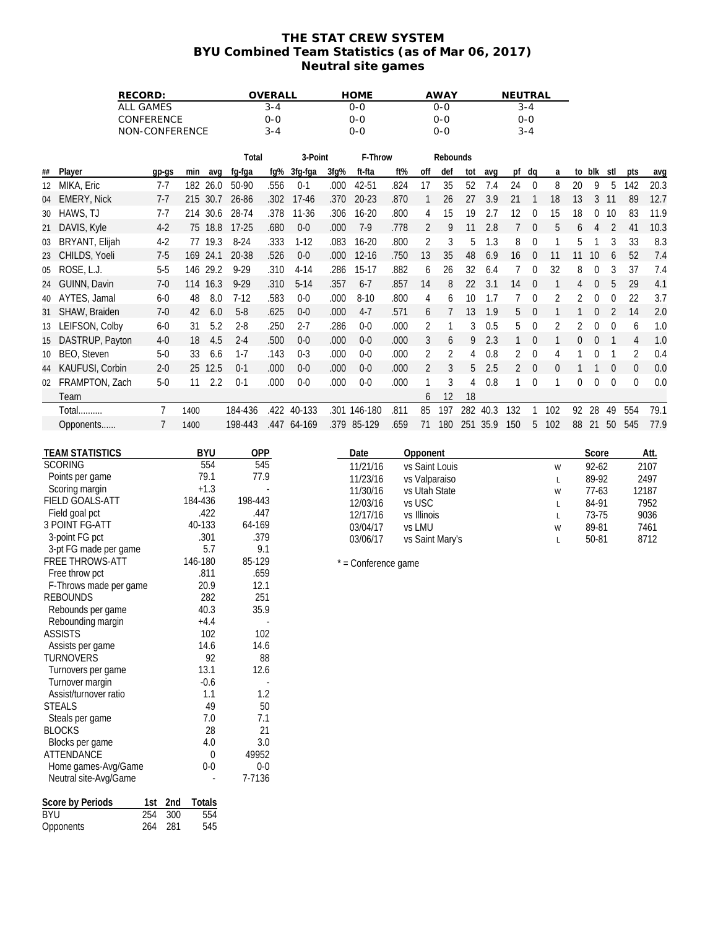### **THE STAT CREW SYSTEM BYU Combined Team Statistics (as of Mar 06, 2017) Neutral site games**

|    |                                                 | RECORD:          |         |                   |                   | OVERALL   |                    |      | <b>HOME</b>          |      |                                 | <b>AWAY</b>    |     |              | NEUTRAL        |                  |                |              |                  |                |                  |              |
|----|-------------------------------------------------|------------------|---------|-------------------|-------------------|-----------|--------------------|------|----------------------|------|---------------------------------|----------------|-----|--------------|----------------|------------------|----------------|--------------|------------------|----------------|------------------|--------------|
|    |                                                 | <b>ALL GAMES</b> |         |                   |                   | $3 - 4$   |                    |      | $0 - 0$              |      |                                 | $0 - 0$        |     |              |                | $3 - 4$          |                |              |                  |                |                  |              |
|    |                                                 | CONFERENCE       |         |                   |                   | $0 - 0$   |                    |      | $0 - 0$              |      |                                 | $0 - 0$        |     |              |                | $0 - 0$          |                |              |                  |                |                  |              |
|    |                                                 | NON-CONFERENCE   |         |                   |                   | $3 - 4$   |                    |      | $0 - 0$              |      |                                 | $0 - 0$        |     |              |                | $3 - 4$          |                |              |                  |                |                  |              |
|    |                                                 |                  |         |                   | Total             |           | 3-Point            |      | F-Throw              |      |                                 | Rebounds       |     |              |                |                  |                |              |                  |                |                  |              |
| ## | Player                                          | gp-gs            | min     | avq               | fg-fga            | $fq\%$    | 3fg-fga            | 3fg% | ft-fta               | ft%  | off                             | def            | tot | avq          |                | pf dq            | a              |              | to blk stl       |                | pts              | avg          |
|    | 12 MIKA, Eric                                   | $7 - 7$          |         | 182 26.0          | 50-90             | .556      | $0 - 1$            | .000 | 42-51                | .824 | 17                              | 35             | 52  | 7.4          | 24             | 0                | 8              | 20           | 9                | 5              | 142              | 20.3         |
|    | 04 EMERY, Nick                                  | $7-7$            |         | 215 30.7          | 26-86             | .302      | $17 - 46$          | .370 | 20-23                | .870 | $\mathbf{1}$                    | 26             | 27  | 3.9          | 21             | $\overline{1}$   | 18             | 13           | $\mathbf{3}$     | 11             | 89               | 12.7         |
|    | 30 HAWS, TJ                                     | $7 - 7$          |         | 214 30.6          | 28-74             | .378      | $11 - 36$          | .306 | $16 - 20$            | .800 | 4                               | 15             | 19  | 2.7          | 12             | 0                | 15             | 18           | $\mathbf 0$      | 10             | 83               | 11.9         |
|    | 21 DAVIS, Kyle                                  | $4-2$            |         | 75 18.8           | $17 - 25$         | .680      | $0 - 0$            | .000 | $7-9$                | .778 | $\overline{2}$                  | 9              | 11  | 2.8          | 7              | $\boldsymbol{0}$ | 5              | 6            | 4                | 2              | 41               | 10.3         |
| 03 | BRYANT, Elijah                                  | $4 - 2$          |         | 77 19.3           | $8-24$            | .333      | $1 - 12$           | .083 | $16 - 20$            | .800 | 2                               | $\sqrt{3}$     | 5   | 1.3          | 8              | 0                | 1              | 5            | $\mathbf{1}$     | 3              | 33               | 8.3          |
|    | 23 CHILDS, Yoeli                                | $7 - 5$          |         | 169 24.1          | 20-38             | .526      | $0 - 0$            | .000 | $12 - 16$            | .750 | 13                              | 35             | 48  | 6.9          | 16             | $\boldsymbol{0}$ | 11             |              | 11 10            | 6              | 52               | 7.4          |
| 05 | ROSE, L.J.                                      | $5-5$            |         | 146 29.2          | $9 - 29$          | .310      | $4 - 14$           | .286 | $15-17$              | .882 | 6                               | 26             | 32  | 6.4          | 7              | 0                | 32             | 8            | $\boldsymbol{0}$ | 3              | 37               | 7.4          |
|    | 24 GUINN, Davin                                 | $7-0$            |         | 114 16.3          | $9 - 29$          | .310      | $5 - 14$           | .357 | $6 - 7$              | .857 | 14                              | 8              | 22  | 3.1          |                | $\boldsymbol{0}$ | $\mathbf{1}$   |              | $\mathbf 0$      | 5              | 29               | 4.1          |
|    | AYTES, Jamal                                    | $6-0$            | 48      | 8.0               | $7-12$            | .583      | $0 - 0$            | .000 | $8 - 10$             | .800 |                                 | 6              | 10  | 1.7          | 14<br>7        | 0                | $\overline{2}$ | 4            | $\mathbf 0$      | $\mathbf 0$    | 22               | 3.7          |
| 40 |                                                 |                  |         |                   |                   |           |                    |      |                      |      | 4                               |                |     |              |                |                  |                | 2            |                  |                |                  |              |
|    | 31 SHAW, Braiden                                | $7-0$            | 42      | 6.0               | $5 - 8$           | .625      | $0 - 0$<br>$2 - 7$ | .000 | $4-7$<br>$0-0$       | .571 | 6                               | 7              | 13  | 1.9          | 5              | $\boldsymbol{0}$ | $\mathbf{1}$   | $\mathbf{1}$ | $\mathbf 0$      | $\overline{2}$ | 14               | 2.0          |
|    | 13 LEIFSON, Colby                               | $6-0$            | 31      | 5.2               | $2 - 8$           | .250      |                    | .286 |                      | .000 | 2                               | 1              | 3   | 0.5          | 5              | 0                | $\overline{2}$ | 2            | $\mathbf 0$      | $\mathbf 0$    | 6                | 1.0          |
| 15 | DASTRUP, Payton                                 | $4 - 0$          | 18      | 4.5               | $2 - 4$           | .500      | $0 - 0$            | .000 | $0-0$                | .000 | 3                               | 6              | 9   | 2.3          | 1              | $\boldsymbol{0}$ | $\mathbf{1}$   | $\mathbf 0$  | $\mathbf 0$      | $\overline{1}$ | 4                | 1.0          |
| 10 | BEO, Steven                                     | $5-0$            | 33      | 6.6               | $1 - 7$           | .143      | $0 - 3$            | .000 | $0-0$                | .000 | $\overline{2}$                  | $\overline{2}$ | 4   | 0.8          | $\overline{2}$ | 0                | 4              | 1            | $\mathbf 0$      | $\overline{1}$ | $\overline{2}$   | 0.4          |
|    | 44 KAUFUSI, Corbin                              | $2 - 0$          |         | 25 12.5           | $0 - 1$           | .000      | $0 - 0$            | .000 | $0-0$                | .000 | $\overline{2}$                  | 3              | 5   | 2.5          | $\overline{2}$ | $\boldsymbol{0}$ | 0              | $\mathbf{1}$ | $\mathbf{1}$     | $\mathbf 0$    | $\boldsymbol{0}$ | 0.0          |
|    | 02 FRAMPTON, Zach                               | $5-0$            | 11      | 2.2               | $0 - 1$           | .000      | $0 - 0$            | .000 | $0-0$                | .000 | 1                               | 3              | 4   | 0.8          | 1              | 0                | 1              | 0            | $\mathbf 0$      | $\mathbf 0$    | 0                | 0.0          |
|    | Team                                            |                  |         |                   |                   |           |                    |      |                      |      | 6                               | 12             | 18  |              |                |                  |                |              |                  |                |                  |              |
|    | Total                                           | 7                | 1400    |                   | 184-436           |           | .422 40-133        |      | .301 146-180         | .811 | 85                              | 197            |     | 282 40.3     | 132            | 1                | 102            |              | 92 28            | 49             | 554              | 79.1         |
|    | Opponents                                       | $\overline{7}$   | 1400    |                   | 198-443           |           | .447 64-169        |      | .379 85-129          | .659 |                                 | 71 180         |     | 251 35.9 150 |                |                  | 5 102          |              |                  |                | 88 21 50 545     | 77.9         |
|    |                                                 |                  |         |                   |                   |           |                    |      |                      |      |                                 |                |     |              |                |                  |                |              |                  |                |                  |              |
|    | <b>TEAM STATISTICS</b><br><b>SCORING</b>        |                  |         | <b>BYU</b><br>554 | <b>OPP</b><br>545 |           |                    |      | Date                 |      | Opponent                        |                |     |              |                |                  |                |              | Score            |                |                  | Att.         |
|    | Points per game                                 |                  |         | 79.1              | 77.9              |           |                    |      | 11/21/16<br>11/23/16 |      | vs Saint Louis<br>vs Valparaiso |                |     |              |                |                  | W<br>L         |              | 92-62<br>89-92   |                |                  | 2107<br>2497 |
|    | Scoring margin                                  |                  |         | $+1.3$            |                   |           |                    |      | 11/30/16             |      | vs Utah State                   |                |     |              |                |                  | W              |              | $77-63$          |                |                  | 12187        |
|    | FIELD GOALS-ATT                                 |                  | 184-436 |                   | 198-443           |           |                    |      | 12/03/16             |      | vs USC                          |                |     |              |                |                  | Г              |              | 84-91            |                |                  | 7952         |
|    | Field goal pct                                  |                  |         | .422              | .447              |           |                    |      | 12/17/16             |      | vs Illinois                     |                |     |              |                |                  | L              |              | 73-75            |                |                  | 9036         |
|    | <b>3 POINT FG-ATT</b>                           |                  |         | 40-133            | 64-169            |           |                    |      | 03/04/17             |      | vs LMU                          |                |     |              |                |                  | W              |              | 89-81            |                |                  | 7461         |
|    | 3-point FG pct                                  |                  |         | .301              | .379              |           |                    |      | 03/06/17             |      | vs Saint Mary's                 |                |     |              |                |                  | Г              |              | 50-81            |                |                  | 8712         |
|    | 3-pt FG made per game<br><b>FREE THROWS-ATT</b> |                  | 146-180 | 5.7               | 85-129            | 9.1       |                    |      |                      |      |                                 |                |     |              |                |                  |                |              |                  |                |                  |              |
|    | Free throw pct                                  |                  |         | .811              | .659              |           |                    |      | * = Conference game  |      |                                 |                |     |              |                |                  |                |              |                  |                |                  |              |
|    | F-Throws made per game                          |                  |         | 20.9              | 12.1              |           |                    |      |                      |      |                                 |                |     |              |                |                  |                |              |                  |                |                  |              |
|    | <b>REBOUNDS</b>                                 |                  |         | 282               | 251               |           |                    |      |                      |      |                                 |                |     |              |                |                  |                |              |                  |                |                  |              |
|    | Rebounds per game                               |                  |         | 40.3              | 35.9              |           |                    |      |                      |      |                                 |                |     |              |                |                  |                |              |                  |                |                  |              |
|    | Rebounding margin                               |                  |         | $+4.4$            |                   |           |                    |      |                      |      |                                 |                |     |              |                |                  |                |              |                  |                |                  |              |
|    | <b>ASSISTS</b>                                  |                  |         | 102<br>14.6       | 102<br>14.6       |           |                    |      |                      |      |                                 |                |     |              |                |                  |                |              |                  |                |                  |              |
|    | Assists per game<br><b>TURNOVERS</b>            |                  |         | 92                |                   | 88        |                    |      |                      |      |                                 |                |     |              |                |                  |                |              |                  |                |                  |              |
|    | Turnovers per game                              |                  |         | 13.1              | 12.6              |           |                    |      |                      |      |                                 |                |     |              |                |                  |                |              |                  |                |                  |              |
|    | Turnover margin                                 |                  |         | $-0.6$            |                   |           |                    |      |                      |      |                                 |                |     |              |                |                  |                |              |                  |                |                  |              |
|    | Assist/turnover ratio                           |                  |         | 1.1               |                   | 1.2       |                    |      |                      |      |                                 |                |     |              |                |                  |                |              |                  |                |                  |              |
|    | <b>STEALS</b>                                   |                  |         | 49                |                   | 50        |                    |      |                      |      |                                 |                |     |              |                |                  |                |              |                  |                |                  |              |
|    | Steals per game                                 |                  |         | 7.0               |                   | 7.1       |                    |      |                      |      |                                 |                |     |              |                |                  |                |              |                  |                |                  |              |
|    | <b>BLOCKS</b>                                   |                  |         | 28<br>4.0         |                   | 21<br>3.0 |                    |      |                      |      |                                 |                |     |              |                |                  |                |              |                  |                |                  |              |
|    | Blocks per game<br>ATTENDANCE                   |                  |         | 0                 | 49952             |           |                    |      |                      |      |                                 |                |     |              |                |                  |                |              |                  |                |                  |              |
|    | Home games-Avg/Game                             |                  |         | $0-0$             |                   | $0 - 0$   |                    |      |                      |      |                                 |                |     |              |                |                  |                |              |                  |                |                  |              |
|    | Neutral site-Avg/Game                           |                  |         |                   | 7-7136            |           |                    |      |                      |      |                                 |                |     |              |                |                  |                |              |                  |                |                  |              |
|    |                                                 |                  |         |                   |                   |           |                    |      |                      |      |                                 |                |     |              |                |                  |                |              |                  |                |                  |              |
|    | Score by Periods                                | 1st 2nd          |         | Totals            |                   |           |                    |      |                      |      |                                 |                |     |              |                |                  |                |              |                  |                |                  |              |

| <b>BYU</b> | 254 | 300 | 554 |
|------------|-----|-----|-----|
| Opponents  | 264 | 281 | 545 |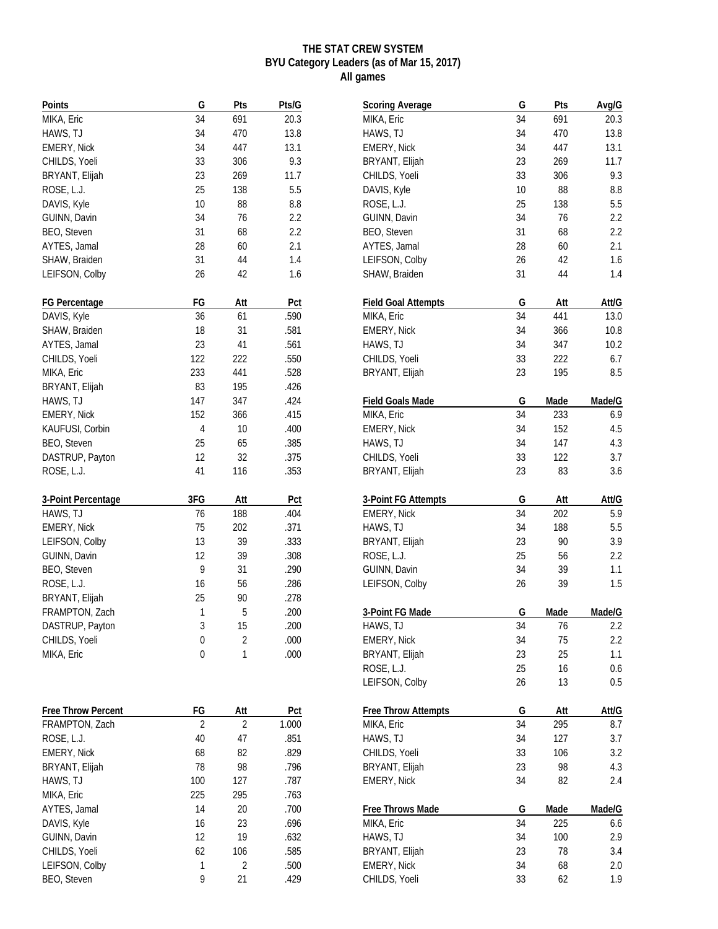## **THE STAT CREW SYSTEM BYU Category Leaders (as of Mar 15, 2017) All games**

| Points               | G   | Pts | Pts/G        |
|----------------------|-----|-----|--------------|
| MIKA, Eric           | 34  | 691 | 20.3         |
| HAWS, TJ             | 34  | 470 | 13.8         |
| EMERY, Nick          | 34  | 447 | 13.1         |
| CHILDS, Yoeli        | 33  | 306 | 9.3          |
| BRYANT, Elijah       | 23  | 269 | 11.7         |
| ROSE, L.J.           | 25  | 138 | 5.5          |
| DAVIS, Kyle          | 10  | 88  | 8.8          |
| GUINN, Davin         | 34  | 76  | 2.2          |
| BEO, Steven          | 31  | 68  | 2.2          |
| AYTES, Jamal         | 28  | 60  | 2.1          |
| SHAW, Braiden        | 31  | 44  | 1.4          |
| LEIFSON, Colby       | 26  | 42  | 1.6          |
|                      |     |     |              |
| <b>FG Percentage</b> | FG  | Att | Pct          |
| DAVIS, Kyle          | 36  | 61  | .590         |
| SHAW, Braiden        | 18  | 31  | .581         |
| AYTES, Jamal         | 23  | 41  | .561         |
| CHILDS, Yoeli        | 122 | 222 | .550         |
| MIKA, Eric           | 233 | 441 | .528         |
| BRYANT, Elijah       | 83  | 195 | .426         |
|                      |     |     |              |
| HAWS, TJ             | 147 | 347 | .424         |
| <b>EMERY, Nick</b>   | 152 | 366 | .415         |
| KAUFUSI, Corbin      | 4   | 10  | .400         |
| BEO, Steven          | 25  | 65  | .385         |
| DASTRUP, Payton      | 12  | 32  | .375         |
| ROSE, L.J.           | 41  | 116 | .353         |
| 3-Point Percentage   | 3FG | Att | Pct          |
| HAWS, TJ             | 76  | 188 | .404         |
| <b>EMERY, Nick</b>   | 75  | 202 | .371         |
| LEIFSON, Colby       | 13  | 39  | .333         |
| GUINN, Davin         | 12  | 39  | .308         |
| BEO, Steven          | 9   | 31  | .290         |
| ROSE, L.J.           | 16  | 56  | .286         |
| BRYANT, Elijah       | 25  | 90  | .278         |
| FRAMPTON, Zach       | 1   | 5   | .200         |
| DASTRUP, Payton      | 3   | 15  | .200         |
|                      | 0   | 2   |              |
| CHILDS, Yoeli        | 0   | 1   | .000<br>.000 |
| MIKA, Eric           |     |     |              |
|                      |     |     |              |
| Free Throw Percent   | FG  | Att | Pct          |
| FRAMPTON, Zach       | 2   | 2   | 1.000        |
| ROSE, L.J.           | 40  | 47  | .851         |
| <b>EMERY, Nick</b>   | 68  | 82  | .829         |
| BRYANT, Elijah       | 78  | 98  | .796         |
| HAWS, TJ             | 100 | 127 | .787         |
| MIKA, Eric           | 225 | 295 | .763         |
| AYTES, Jamal         | 14  | 20  | .700         |
| DAVIS, Kyle          | 16  | 23  | .696         |
| GUINN, Davin         | 12  | 19  | .632         |
| CHILDS, Yoeli        | 62  | 106 | .585         |
| LEIFSON, Colby       | 1   | 2   | .500         |
| BEO, Steven          | 9   | 21  | .429         |
|                      |     |     |              |

| <b>Scoring Average</b>     | G  | Pts  | Avg/G   |
|----------------------------|----|------|---------|
| MIKA, Eric                 | 34 | 691  | 20.3    |
| HAWS, TJ                   | 34 | 470  | 13.8    |
| EMERY, Nick                | 34 | 447  | 13.1    |
| BRYANT, Elijah             | 23 | 269  | 11.7    |
| CHILDS, Yoeli              | 33 | 306  | 9.3     |
| DAVIS, Kyle                | 10 | 88   | 8.8     |
| ROSE, L.J.                 | 25 | 138  | 5.5     |
| GUINN, Davin               | 34 | 76   | 2.2     |
| BEO, Steven                | 31 | 68   | 2.2     |
| AYTES, Jamal               | 28 | 60   | 2.1     |
| LEIFSON, Colby             | 26 | 42   | 1.6     |
| SHAW, Braiden              | 31 | 44   | 1.4     |
| <b>Field Goal Attempts</b> | G  | Att  | Att/G   |
| MIKA, Eric                 | 34 | 441  | 13.0    |
| EMERY, Nick                | 34 | 366  | 10.8    |
| HAWS, TJ                   | 34 | 347  | 10.2    |
| CHILDS, Yoeli              | 33 | 222  | 6.7     |
| BRYANT, Elijah             | 23 | 195  | 8.5     |
|                            |    |      |         |
| Field Goals Made           | G  | Made | Made/G  |
| MIKA, Eric                 | 34 | 233  | 6.9     |
| EMERY, Nick                | 34 | 152  | 4.5     |
| HAWS, TJ                   | 34 | 147  | 4.3     |
| CHILDS, Yoeli              | 33 | 122  | 3.7     |
| BRYANT, Elijah             | 23 | 83   | 3.6     |
| 3-Point FG Attempts        | G  | Att  | Att/G   |
| EMERY, Nick                | 34 | 202  | 5.9     |
| HAWS, TJ                   | 34 | 188  | 5.5     |
| BRYANT, Elijah             | 23 | 90   | 3.9     |
| ROSE, L.J.                 | 25 | 56   | 2.2     |
| GUINN, Davin               | 34 | 39   | 1.1     |
| LEIFSON, Colby             | 26 | 39   | 1.5     |
| 3-Point FG Made            | G  | Made | Made/G  |
| HAWS, TJ                   | 34 | 76   | 2.2     |
| EMERY, Nick                | 34 | 75   | $2.2\,$ |
| BRYANT, Elijah             | 23 | 25   | 1.1     |
| ROSE, L.J.                 | 25 | 16   | 0.6     |
| LEIFSON, Colby             | 26 | 13   | 0.5     |
| <b>Free Throw Attempts</b> | G  | Att  | Att/G   |
| MIKA, Eric                 | 34 | 295  | 8.7     |
| HAWS, TJ                   |    |      |         |
|                            | 34 | 127  | 3.7     |
| CHILDS, Yoeli              | 33 | 106  | 3.2     |
| BRYANT, Elijah             | 23 | 98   | 4.3     |
| <b>EMERY, Nick</b>         | 34 | 82   | 2.4     |
| Free Throws Made           | G  | Made | Made/G  |
| MIKA, Eric                 | 34 | 225  | 6.6     |
| HAWS, TJ                   | 34 | 100  | 2.9     |
| BRYANT, Elijah             | 23 | 78   | 3.4     |
| EMERY, Nick                | 34 | 68   | 2.0     |
| CHILDS, Yoeli              | 33 | 62   | 1.9     |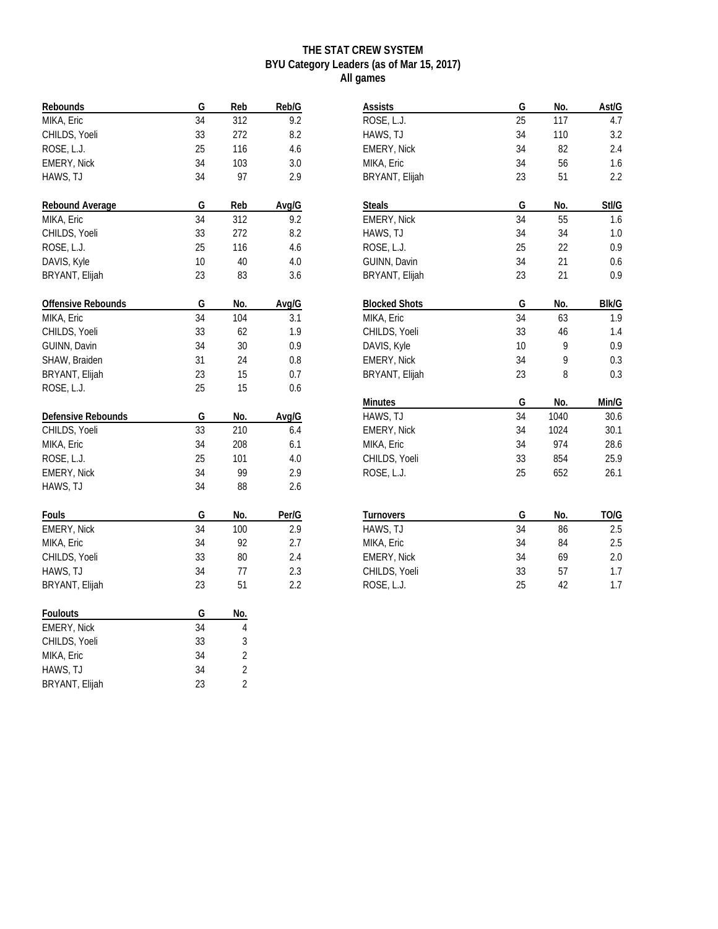## **THE STAT CREW SYSTEM BYU Category Leaders (as of Mar 15, 2017) All games**

| Rebounds           | G  | Reb            | Reb/G |
|--------------------|----|----------------|-------|
| MIKA, Eric         | 34 | 312            | 9.2   |
| CHILDS, Yoeli      | 33 | 272            | 8.2   |
| ROSE, L.J.         | 25 | 116            | 4.6   |
| EMERY, Nick        | 34 | 103            | 3.0   |
| HAWS, TJ           | 34 | 97             | 2.9   |
| Rebound Average    | G  | Reb            | Avg/G |
| MIKA, Eric         | 34 | 312            | 9.2   |
| CHILDS, Yoeli      | 33 | 272            | 8.2   |
| ROSE, L.J.         | 25 | 116            | 4.6   |
| DAVIS, Kyle        | 10 | 40             | 4.0   |
| BRYANT, Elijah     | 23 | 83             | 3.6   |
| Offensive Rebounds | G  | No.            | Avg/G |
| MIKA, Eric         | 34 | 104            | 3.1   |
| CHILDS, Yoeli      | 33 | 62             | 1.9   |
| GUINN, Davin       | 34 | 30             | 0.9   |
| SHAW, Braiden      | 31 | 24             | 0.8   |
| BRYANT, Elijah     | 23 | 15             | 0.7   |
| ROSE, L.J.         | 25 | 15             | 0.6   |
| Defensive Rebounds | G  | No.            | Avg/G |
| CHILDS, Yoeli      | 33 | 210            | 6.4   |
| MIKA, Eric         | 34 | 208            | 6.1   |
| ROSE, L.J.         | 25 | 101            | 4.0   |
| EMERY, Nick        | 34 | 99             | 2.9   |
| HAWS, TJ           | 34 | 88             | 2.6   |
| Fouls              | G  | No.            | Per/G |
| <b>EMERY, Nick</b> | 34 | 100            | 2.9   |
| MIKA, Eric         | 34 | 92             | 2.7   |
| CHILDS, Yoeli      | 33 | 80             | 2.4   |
| HAWS, TJ           | 34 | 77             | 2.3   |
| BRYANT, Elijah     | 23 | 51             | 2.2   |
| Foulouts           | G  | No.            |       |
| EMERY, Nick        | 34 | 4              |       |
| CHILDS, Yoeli      | 33 | 3              |       |
| MIKA, Eric         | 34 | 2              |       |
| HAWS, TJ           | 34 | 2              |       |
| BRYANT, Elijah     | 23 | $\overline{2}$ |       |

| Assists              | G  | No.  | Ast/G        |
|----------------------|----|------|--------------|
| ROSE, L.J.           | 25 | 117  | 4.7          |
| HAWS, TJ             | 34 | 110  | 3.2          |
| EMERY, Nick          | 34 | 82   | 2.4          |
| MIKA, Eric           | 34 | 56   | 1.6          |
| BRYANT, Elijah       | 23 | 51   | 2.2          |
| <b>Steals</b>        | G  | No.  | Stl/G        |
| EMERY, Nick          | 34 | 55   | 1.6          |
| HAWS, TJ             | 34 | 34   | 1.0          |
| ROSE, L.J.           | 25 | 22   | 0.9          |
| GUINN, Davin         | 34 | 21   | 0.6          |
| BRYANT, Elijah       | 23 | 21   | 0.9          |
| <b>Blocked Shots</b> | G  | No.  | <b>BIK/G</b> |
| MIKA, Eric           | 34 | 63   | 1.9          |
| CHILDS, Yoeli        | 33 | 46   | 1.4          |
| DAVIS, Kyle          | 10 | 9    | 0.9          |
| EMERY, Nick          | 34 | 9    | 0.3          |
| BRYANT, Elijah       | 23 | 8    | 0.3          |
| Minutes              | G  | No.  | Min/G        |
| HAWS, TJ             | 34 | 1040 | 30.6         |
| EMERY, Nick          | 34 | 1024 | 30.1         |
| MIKA, Eric           | 34 | 974  | 28.6         |
| CHILDS, Yoeli        | 33 | 854  | 25.9         |
| ROSE, L.J.           | 25 | 652  | 26.1         |
|                      |    |      |              |
| Turnovers            | G  | No.  | TO/G         |
| HAWS, TJ             | 34 | 86   | 2.5          |
| MIKA, Eric           | 34 | 84   | 2.5          |
| EMERY, Nick          | 34 | 69   | 2.0          |
| CHILDS, Yoeli        | 33 | 57   | 1.7          |
| ROSE, L.J.           | 25 | 42   | 1.7          |
|                      |    |      |              |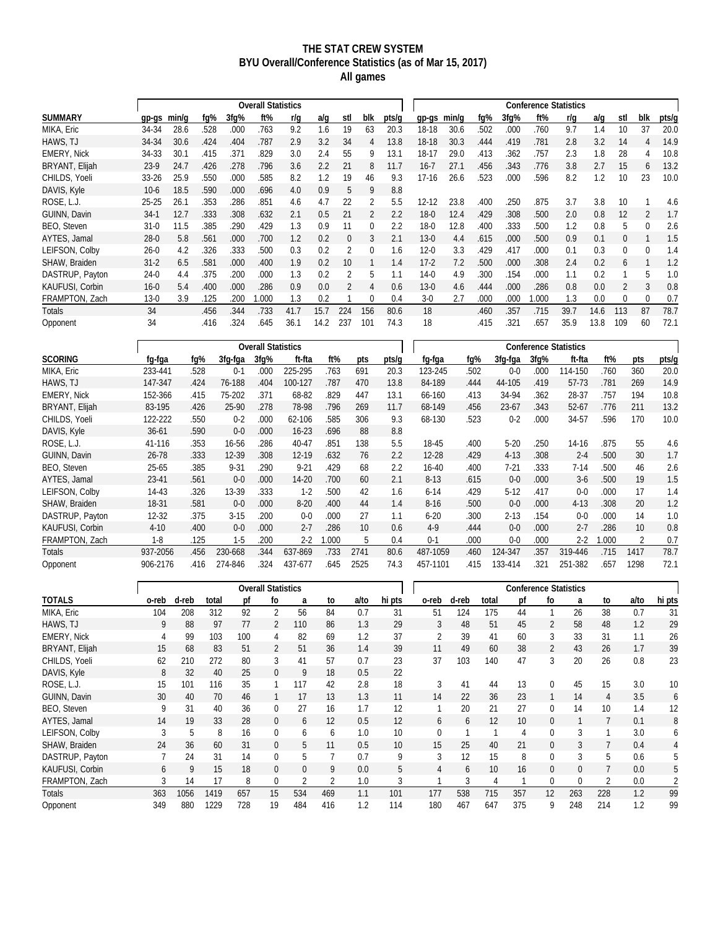### **THE STAT CREW SYSTEM BYU Overall/Conference Statistics (as of Mar 15, 2017) All games**

|                        |           |       |      |      | <b>Overall Statistics</b> |      |      |     |          |       |          |       |      |         | <b>Conference Statistics</b> |      |      |          |          |       |
|------------------------|-----------|-------|------|------|---------------------------|------|------|-----|----------|-------|----------|-------|------|---------|------------------------------|------|------|----------|----------|-------|
| <b>SUMMARY</b>         | $qp-qs$   | min/a | fq%  | 3fq% | ft%                       | r/a  | a/g  | stl | blk      | pts/g | $qp-gs$  | min/g | fq%  | $3fq\%$ | ft%                          | r/a  | a/q  | stl      | blk      | pts/g |
| MIKA, Eric             | 34-34     | 28.6  | .528 | .000 | .763                      | 9.2  | 1.6  | 19  | 63       | 20.3  | $18-18$  | 30.6  | .502 | .000    | 760                          | 9.7  | 1.4  | 10       | 37       | 20.0  |
| HAWS, TJ               | 34-34     | 30.6  | .424 | .404 | .787                      | 2.9  | 3.2  | 34  | 4        | 13.8  | 18-18    | 30.3  | .444 | .419    | .781                         | 2.8  | 3.2  | 14       | 4        | 14.9  |
| <b>EMERY, Nick</b>     | 34-33     | 30.1  | .415 | .371 | .829                      | 3.0  | 2.4  | 55  | 9        | 13.1  | 18-17    | 29.0  | .413 | .362    | .757                         | 2.3  | 1.8  | 28       | 4        | 10.8  |
| BRYANT, Elijah         | $23-9$    | 24.7  | .426 | .278 | .796                      | 3.6  | 2.2  | 21  | 8        | 11.7  | $16 - 7$ | 27.1  | .456 | .343    | .776                         | 3.8  | 2.7  | 15       | 6        | 13.2  |
| CHILDS, Yoeli          | $33 - 26$ | 25.9  | .550 | .000 | .585                      | 8.2  | 1.2  | 19  | 46       | 9.3   | 17-16    | 26.6  | .523 | .000    | 596                          | 8.2  | 1.2  | 10       | 23       | 10.0  |
| DAVIS, Kyle            | $10-6$    | 18.5  | .590 | .000 | .696                      | 4.0  | 0.9  | 5   | 9        | 8.8   |          |       |      |         |                              |      |      |          |          |       |
| ROSE, L.J.             | $25 - 25$ | 26.1  | .353 | .286 | .851                      | 4.6  | 4.7  | 22  | 2        | 5.5   | 12-12    | 23.8  | .400 | .250    | .875                         | 3.7  | 3.8  | 10       |          | 4.6   |
| GUINN, Davin           | $34-1$    | 12.7  | .333 | .308 | .632                      | 2.1  | 0.5  | 21  | 2        | 2.2   | $18-0$   | 12.4  | .429 | .308    | 500                          | 2.0  | 0.8  | 12       |          | 1.7   |
| BEO. Steven            | $31-0$    | 11.5  | 385  | .290 | .429                      | 1.3  | 0.9  | 11  | 0        | 2.2   | $18-0$   | 12.8  | .400 | .333    | 500                          | 1.2  | 0.8  | 5        | $\Omega$ | 2.6   |
| AYTES, Jamal           | $28-0$    | 5.8   | .561 | .000 | .700                      | 1.2  | 0.2  | 0   | 3        | 2.1   | $13-0$   | 4.4   | .615 | .000    | 500                          | 0.9  | 0.1  | $\Omega$ |          | 1.5   |
| LEIFSON, Colbv         | $26-0$    | 4.2   | .326 | .333 | .500                      | 0.3  | 0.2  |     | $\Omega$ | 1.6   | $12 - 0$ | 3.3   | .429 | .417    | .000                         | 0.1  | 0.3  | $\Omega$ | 0        | 1.4   |
| SHAW, Braiden          | $31 - 2$  | 6.5   | .581 | .000 | .400                      | 1.9  | 0.2  | 10  |          | 1.4   | $17-2$   | 7.2   | .500 | .000    | 308                          | 2.4  | 0.2  | 6        |          | 1.2   |
| DASTRUP, Payton        | $24-0$    | 4.4   | .375 | .200 | .000                      | 1.3  | 0.2  |     | 5        | 1.1   | $14-0$   | 4.9   | .300 | .154    | .000                         | 1.1  | 0.2  |          | 5        | 1.0   |
| <b>KAUFUSI, Corbin</b> | $16 - 0$  | 5.4   | .400 | .000 | .286                      | 0.9  | 0.0  |     | 4        | 0.6   | $13-0$   | 4.6   | .444 | .000    | 286                          | 0.8  | 0.0  | 2        | 3        | 0.8   |
| FRAMPTON, Zach         | $13-0$    | 3.9   | .125 | .200 | 1.000                     | 1.3  | 0.2  |     | 0        | 0.4   | $3-0$    | 2.7   | .000 | .000    | .000                         | 1.3  | 0.0  | $\Omega$ | $\Omega$ | 0.7   |
| Totals                 | 34        |       | .456 | .344 | .733                      | 41.7 | 15.7 | 224 | 156      | 80.6  | 18       |       | .460 | 357     | .715                         | 39.7 | 14.6 | 113      | 87       | 78.7  |
| Opponent               | 34        |       | .416 | .324 | .645                      | 36.1 | 14.2 | 237 | 101      | 74.3  | 18       |       | .415 | .321    | .657                         | 35.9 | 13.8 | 109      | 60       | 72.1  |

| fg-fga    | fq%  | 3fg-fga   | 3fq%  | ft-fta    | ft%                       | pts  | pts/g | fg-fga    | fq%  | 3fg-fga   | 3fq% | ft-fta    | ft%                   | pts             | pts/q |
|-----------|------|-----------|-------|-----------|---------------------------|------|-------|-----------|------|-----------|------|-----------|-----------------------|-----------------|-------|
| 233-441   | 528  | $0 - 1$   | .000  | 225-295   | .763                      | 691  | 20.3  | 123-245   | .502 | $0 - 0$   | .000 | 114-150   | .760                  | 360             | 20.0  |
| 147-347   | .424 | 76-188    | .404  | 100-127   | .787                      | 470  | 13.8  | 84-189    | .444 | 44-105    | .419 | 57-73     | .781                  | 269             | 14.9  |
| 152-366   | .415 | 75-202    | .371  | 68-82     | .829                      | 447  | 13.1  | 66-160    | .413 | 34-94     | .362 | 28-37     | .757                  | 194             | 10.8  |
| 83-195    | .426 | 25-90     | .278  | 78-98     | .796                      | 269  | 11.7  | 68-149    | .456 | $23 - 67$ | .343 | $52 - 67$ | .776                  | 211             | 13.2  |
| 122-222   | .550 | $0 - 2$   | .000  | 62-106    | .585                      | 306  | 9.3   | 68-130    | .523 | $0 - 2$   | .000 | 34-57     | .596                  | 170             | 10.0  |
| $36 - 61$ | .590 | $0-0$     | .000. | $16 - 23$ | .696                      | 88   | 8.8   |           |      |           |      |           |                       |                 |       |
| 41-116    | .353 | 16-56     | .286  | 40-47     | .851                      | 138  | 5.5   | 18-45     | .400 | $5 - 20$  | .250 | 14-16     | .875                  | 55              | 4.6   |
| $26 - 78$ | .333 | $12 - 39$ | .308  | $12 - 19$ | .632                      | 76   | 2.2   | $12 - 28$ | .429 | $4-13$    | .308 | $2 - 4$   | .500                  | 30              | 1.7   |
| 25-65     | .385 | $9 - 31$  | .290  | $9 - 21$  | .429                      | 68   | 2.2   | $16 - 40$ | .400 | $7-21$    | .333 | 7-14      | .500                  | 46              | 2.6   |
| 23-41     | .561 | $0 - 0$   | .000. | $14 - 20$ | .700                      | 60   | 2.1   | $8 - 13$  | .615 | $0 - 0$   | .000 | $3-6$     | .500                  | 19              | 1.5   |
| 14-43     | .326 | 13-39     | .333  | $1-2$     | .500                      | 42   | 1.6   | $6 - 14$  | .429 | $5-12$    | .417 | $0-0$     | .000                  | 17              | 1.4   |
| 18-31     | .581 | $0 - 0$   | .000  | $8 - 20$  | .400                      | 44   | 1.4   | $8 - 16$  | .500 | $0 - 0$   | .000 | $4 - 13$  | .308                  | 20              | 1.2   |
| 12-32     | 375  | $3-15$    | .200  | $0 - 0$   | .000.                     | 27   | 1.1   | $6 - 20$  | .300 | $2 - 13$  | .154 | $0 - 0$   | .000                  | 14              | 1.0   |
| $4 - 10$  | .400 | $0 - 0$   | .000  | $2 - 7$   | .286                      | 10   | 0.6   | $4-9$     | .444 | $0 - 0$   | .000 | $2 - 7$   | .286                  | 10 <sup>°</sup> | 0.8   |
| $1-8$     | .125 | $1-5$     | .200  | $2 - 2$   | 1.000                     | 5    | 0.4   | $0 - 1$   | .000 | $0 - 0$   | .000 | $2 - 2$   | 000.1                 | $\overline{2}$  | 0.7   |
| 937-2056  | .456 | 230-668   | .344  | 637-869   | .733                      | 2741 | 80.6  | 487-1059  | .460 | 124-347   | .357 | 319-446   | .715                  | 1417            | 78.7  |
| 906-2176  | .416 | 274-846   | .324  | 437-677   | .645                      | 2525 | 74.3  | 457-1101  | .415 | 133-414   | .321 | 251-382   | .657                  | 1298            | 72.1  |
|           |      |           |       |           | <b>Overall Statistics</b> |      |       |           |      |           |      |           | Conference Statistics |                 |       |

|                     |       |       |       |     | <b>Overall Statistics</b> |          |     |      |        |             |       |       | <b>Conference Statistics</b> |                |     |                |      |                 |
|---------------------|-------|-------|-------|-----|---------------------------|----------|-----|------|--------|-------------|-------|-------|------------------------------|----------------|-----|----------------|------|-----------------|
| <b>TOTALS</b>       | o-reb | d-reb | total | рf  | fo                        | a        | to  | a/to | hi pts | o-reb       | d-reb | total | рf                           | fo             | a   | to             | a/to | hi pts          |
| MIKA, Eric          | 104   | 208   | 312   | 92  | 2                         | 56       | 84  | 0.7  | 31     | 51          | 124   | 175   | 44                           |                | 26  | 38             | 0.7  | 31              |
| HAWS, TJ            | 9     | 88    | 97    | 77  | 2                         | 110      | 86  | 1.3  | 29     | 3           | 48    | 51    | 45                           | $\overline{2}$ | 58  | 48             | 1.2  | 29              |
| <b>EMERY, Nick</b>  | 4     | 99    | 103   | 100 | 4                         | 82       | 69  | 1.2  | 37     | 2           | 39    | 41    | 60                           | 3              | 33  | 31             | 1.1  | 26              |
| BRYANT, Elijah      | 15    | 68    | 83    | 51  | 2                         | 51       | 36  | 1.4  | 39     | 11          | 49    | 60    | 38                           | $\overline{2}$ | 43  | 26             | 1.7  | 39              |
| CHILDS, Yoeli       | 62    | 210   | 272   | 80  | 3                         | 41       | 57  | 0.7  | 23     | 37          | 103   | 140   | 47                           | 3              | 20  | 26             | 0.8  | 23              |
| DAVIS, Kyle         | 8     | 32    | 40    | 25  | $\Omega$                  | 9        | 18  | 0.5  | 22     |             |       |       |                              |                |     |                |      |                 |
| ROSE, L.J.          | 15    | 101   | 116   | 35  |                           | 117      | 42  | 2.8  | 18     | 3           | 41    | 44    | 13                           | 0              | 45  | 15             | 3.0  | 10 <sup>°</sup> |
| GUINN, Davin        | 30    | 40    | 70    | 46  |                           | 17       | 13  | 1.3  | 11     | 14          | 22    | 36    | 23                           |                | 14  | 4              | 3.5  | 6               |
| BEO, Steven         | 9     | 31    | 40    | 36  | $\Omega$                  | 27       | 16  | 1.7  | 12     |             | 20    | 21    | 27                           | 0              | 14  | 10             | 1.4  | 12              |
| <b>AYTES, Jamal</b> | 14    | 19    | 33    | 28  | 0                         | 6        | 12  | 0.5  | 12     | 6           | 6     | 12    | 10                           | 0              |     |                | 0.1  | 8               |
| LEIFSON, Colby      | 3     | 5     | 8     | 16  | $\Omega$                  | 6        | 6   | 1.0  | 10     | $\mathbf 0$ |       |       | 4                            | 0              | 3   |                | 3.0  | 6               |
| SHAW, Braiden       | 24    | 36    | 60    | 31  | 0                         | 5        | 11  | 0.5  | 10     | 15          | 25    | 40    | 21                           | 0              | 3   |                | 0.4  | 4               |
| DASTRUP, Payton     |       | 24    | 31    | 14  | $\Omega$                  | 5        |     | 0.7  | 9      | 3           | 12    | 15    | 8                            | 0              | 3   | 5              | 0.6  | 5               |
| KAUFUSI, Corbin     | 6     | 9     | 15    | 18  | 0                         | $\Omega$ | 9   | 0.0  | 5      | 4           | 6     | 10    | 16                           | 0              | 0   |                | 0.0  | 5               |
| FRAMPTON, Zach      | 3     | 14    | 17    | 8   | $\Omega$                  |          | 2   | 1.0  | 3      |             | 3     | 4     |                              | 0              | 0   | $\overline{2}$ | 0.0  | 2               |
| <b>Totals</b>       | 363   | 1056  | 1419  | 657 | 15                        | 534      | 469 | 1.1  | 101    | 177         | 538   | 715   | 357                          | 12             | 263 | 228            | 1.2  | 99              |
| Opponent            | 349   | 880   | 1229  | 728 | 19                        | 484      | 416 | 1.2  | 114    | 180         | 467   | 647   | 375                          | 9              | 248 | 214            | 1.2  | 99              |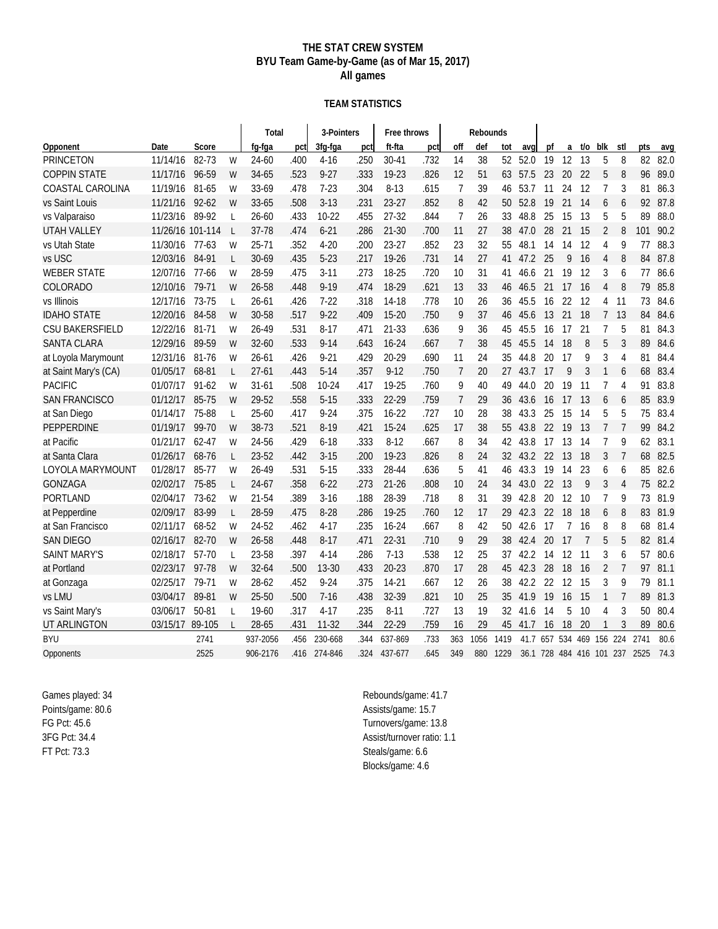### **THE STAT CREW SYSTEM BYU Team Game-by-Game (as of Mar 15, 2017) All games**

#### **TEAM STATISTICS**

|                        |                  |           |              | Total     |      | 3-Pointers |      | Free throws |      |                | Rebounds |                 |         |                        |                          |     |                |                |      |      |
|------------------------|------------------|-----------|--------------|-----------|------|------------|------|-------------|------|----------------|----------|-----------------|---------|------------------------|--------------------------|-----|----------------|----------------|------|------|
| Opponent               | Date             | Score     |              | fq-fqa    | pct  | 3fg-fga    | pct  | ft-fta      | pct  | off            | def      | tot             | avq     | $\mathsf{p}\mathsf{f}$ | a                        | t/o | blk            | stl            | pts  | avq  |
| <b>PRINCETON</b>       | 11/14/16         | 82-73     | W            | 24-60     | .400 | $4 - 16$   | .250 | $30 - 41$   | .732 | 14             | 38       | 52              | 52.0    | 19                     | 12                       | 13  | 5              | 8              | 82   | 82.0 |
| <b>COPPIN STATE</b>    | 11/17/16         | 96-59     | W            | 34-65     | .523 | $9 - 27$   | .333 | 19-23       | .826 | 12             | 51       | 63              | 57.5    | 23                     | 20                       | 22  | 5              | 8              | 96   | 89.0 |
| COASTAL CAROLINA       | 11/19/16         | 81-65     | W            | 33-69     | .478 | $7 - 23$   | .304 | $8 - 13$    | .615 | $\overline{7}$ | 39       | 46              | 53.7    | 11                     | 24                       | 12  | 7              | 3              | 81   | 86.3 |
| vs Saint Louis         | 11/21/16         | $92 - 62$ | W            | 33-65     | .508 | $3-13$     | .231 | $23-27$     | .852 | 8              | 42       | 50              | 52.8    | 19                     | 21                       | 14  | 6              | 6              | 92   | 87.8 |
| vs Valparaiso          | 11/23/16         | 89-92     | $\mathsf{L}$ | $26 - 60$ | .433 | $10-22$    | .455 | 27-32       | .844 | 7              | 26       | 33              | 48.8    | 25                     | 15                       | 13  | 5              | 5              | 89   | 88.0 |
| <b>UTAH VALLEY</b>     | 11/26/16 101-114 |           | $\mathsf{L}$ | 37-78     | .474 | $6 - 21$   | .286 | $21 - 30$   | .700 | 11             | 27       | 38              | 47.0    | 28                     | 21                       | 15  | 2              | 8              | 101  | 90.2 |
| vs Utah State          | 11/30/16         | $77-63$   | W            | $25 - 71$ | .352 | $4 - 20$   | .200 | $23-27$     | .852 | 23             | 32       | 55              | 48.1    | 14                     | 14                       | 12  | 4              | 9              | 77   | 88.3 |
| vs USC                 | 12/03/16         | 84-91     | L            | 30-69     | .435 | $5 - 23$   | .217 | 19-26       | .731 | 14             | 27       | 41              | 47.2    | 25                     | 9                        | 16  | $\overline{4}$ | 8              | 84   | 87.8 |
| <b>WEBER STATE</b>     | 12/07/16         | 77-66     | W            | 28-59     | .475 | $3 - 11$   | .273 | 18-25       | .720 | 10             | 31       | 41              | 46.6    | 21                     | 19                       | 12  | 3              | 6              | 77   | 86.6 |
| COLORADO               | 12/10/16         | 79-71     | W            | 26-58     | .448 | $9 - 19$   | .474 | 18-29       | .621 | 13             | 33       | 46              | 46.5    | 21                     | 17                       | 16  | 4              | 8              | 79   | 85.8 |
| vs Illinois            | 12/17/16         | 73-75     | L            | $26 - 61$ | .426 | $7 - 22$   | .318 | 14-18       | .778 | 10             | 26       | 36              | 45.5    | 16                     | 22                       | 12  | 4              | 11             | 73   | 84.6 |
| <b>IDAHO STATE</b>     | 12/20/16         | 84-58     | W            | 30-58     | .517 | $9 - 22$   | .409 | $15 - 20$   | .750 | 9              | 37       | 46              | 45.6    | 13                     | 21                       | 18  | $\overline{7}$ | 13             | 84   | 84.6 |
| <b>CSU BAKERSFIELD</b> | 12/22/16         | 81-71     | W            | 26-49     | .531 | $8 - 17$   | .471 | 21-33       | .636 | 9              | 36       | 45              | 45.5    | 16                     | 17                       | 21  | 7              | 5              | 81   | 84.3 |
| <b>SANTA CLARA</b>     | 12/29/16         | 89-59     | W            | $32 - 60$ | .533 | $9 - 14$   | .643 | $16 - 24$   | .667 | $\overline{7}$ | 38       | 45              | 45.5    | 14                     | 18                       | 8   | 5              | 3              | 89   | 84.6 |
| at Loyola Marymount    | 12/31/16         | 81-76     | W            | $26 - 61$ | .426 | $9 - 21$   | .429 | 20-29       | .690 | 11             | 24       | 35              | 44.8    | 20                     | 17                       | 9   | 3              | 4              | 81   | 84.4 |
| at Saint Mary's (CA)   | 01/05/17         | 68-81     | L            | $27 - 61$ | .443 | $5-14$     | .357 | $9 - 12$    | .750 | $\overline{7}$ | 20       | 27              | 43.7    | 17                     | 9                        | 3   | $\mathbf{1}$   | 6              | 68   | 83.4 |
| <b>PACIFIC</b>         | 01/07/17         | $91 - 62$ | W            | $31 - 61$ | .508 | $10 - 24$  | .417 | 19-25       | .760 | 9              | 40       | 49              | 44.0    | 20                     | 19                       | 11  | 7              | 4              | 91   | 83.8 |
| <b>SAN FRANCISCO</b>   | 01/12/17         | 85-75     | W            | 29-52     | .558 | $5 - 15$   | .333 | 22-29       | .759 | $\overline{7}$ | 29       | 36              | 43.6    | 16                     | 17                       | 13  | 6              | 6              | 85   | 83.9 |
| at San Diego           | 01/14/17         | 75-88     | L            | $25 - 60$ | .417 | $9 - 24$   | .375 | $16 - 22$   | .727 | 10             | 28       | 38              | 43.3    | 25                     | 15                       | 14  | 5              | 5              | 75   | 83.4 |
| <b>PEPPERDINE</b>      | 01/19/17         | 99-70     | W            | 38-73     | .521 | $8-19$     | .421 | 15-24       | .625 | 17             | 38       | 55              | 43.8    | 22                     | 19                       | 13  | 7              | $\overline{7}$ | 99   | 84.2 |
| at Pacific             | 01/21/17         | $62 - 47$ | W            | 24-56     | .429 | $6 - 18$   | .333 | $8 - 12$    | .667 | 8              | 34       | 42              | 43.8    | 17                     | 13                       | 14  | 7              | 9              | 62   | 83.1 |
| at Santa Clara         | 01/26/17         | 68-76     | L            | 23-52     | .442 | $3 - 15$   | .200 | 19-23       | .826 | 8              | 24       | 32 <sup>2</sup> | 43.2 22 |                        | 13                       | 18  | 3              | $\overline{7}$ | 68   | 82.5 |
| LOYOLA MARYMOUNT       | 01/28/17         | 85-77     | W            | 26-49     | .531 | $5 - 15$   | .333 | 28-44       | .636 | 5              | 41       | 46              | 43.3    | 19                     | 14                       | 23  | 6              | 6              | 85   | 82.6 |
| <b>GONZAGA</b>         | 02/02/17         | 75-85     | L            | $24 - 67$ | .358 | $6 - 22$   | .273 | $21 - 26$   | .808 | 10             | 24       | 34              | 43.0    | 22                     | 13                       | 9   | 3              | $\overline{4}$ | 75   | 82.2 |
| PORTLAND               | 02/04/17         | 73-62     | W            | 21-54     | .389 | $3 - 16$   | .188 | 28-39       | .718 | 8              | 31       | 39              | 42.8    | 20                     | 12                       | 10  | 7              | 9              | 73   | 81.9 |
| at Pepperdine          | 02/09/17         | 83-99     | L            | 28-59     | .475 | $8-28$     | .286 | 19-25       | .760 | 12             | 17       | 29              | 42.3    | 22                     | 18                       | 18  | 6              | 8              | 83   | 81.9 |
| at San Francisco       | 02/11/17         | 68-52     | W            | 24-52     | .462 | $4 - 17$   | .235 | $16 - 24$   | .667 | 8              | 42       | 50              | 42.6    | 17                     | 7                        | 16  | 8              | 8              | 68   | 81.4 |
| <b>SAN DIEGO</b>       | 02/16/17         | 82-70     | W            | 26-58     | .448 | $8-17$     | .471 | $22 - 31$   | .710 | 9              | 29       | 38              | 42.4    | 20                     | 17                       | 7   | 5              | 5              | 82   | 81.4 |
| <b>SAINT MARY'S</b>    | 02/18/17         | 57-70     | L            | 23-58     | .397 | $4 - 14$   | .286 | $7 - 13$    | .538 | 12             | 25       | 37              | 42.2    | 14                     | 12                       | 11  | 3              | 6              | 57   | 80.6 |
| at Portland            | 02/23/17         | 97-78     | W            | $32 - 64$ | .500 | $13 - 30$  | .433 | $20 - 23$   | .870 | 17             | 28       | 45              | 42.3    | 28                     | 18                       | 16  | 2              | $\overline{7}$ | 97   | 81.1 |
| at Gonzaga             | 02/25/17         | 79-71     | W            | 28-62     | .452 | $9 - 24$   | .375 | $14-21$     | .667 | 12             | 26       | 38              | 42.2    | 22                     | 12                       | 15  | 3              | 9              | 79   | 81.1 |
| vs LMU                 | 03/04/17         | 89-81     | W            | 25-50     | .500 | $7 - 16$   | .438 | 32-39       | .821 | 10             | 25       | 35              | 41.9    | 19                     | 16                       | 15  | 1              | 7              | 89   | 81.3 |
| vs Saint Mary's        | 03/06/17         | 50-81     | L            | 19-60     | .317 | $4-17$     | .235 | $8 - 11$    | .727 | 13             | 19       | 32              | 41.6    | 14                     | 5                        | 10  | 4              | 3              | 50   | 80.4 |
| UT ARLINGTON           | 03/15/17         | 89-105    |              | 28-65     | .431 | $11 - 32$  | .344 | 22-29       | .759 | 16             | 29       | 45              | 41.7    | 16                     | $18\,$                   | 20  |                | 3              | 89   | 80.6 |
| <b>BYU</b>             |                  | 2741      |              | 937-2056  | .456 | 230-668    | .344 | 637-869     | .733 | 363            | 1056     | 1419            | 41.7    |                        | 657 534 469 156 224      |     |                |                | 2741 | 80.6 |
| Opponents              |                  | 2525      |              | 906-2176  | .416 | 274-846    | 324  | 437-677     | .645 | 349            | 880      | 1229            |         |                        | 36.1 728 484 416 101 237 |     |                |                | 2525 | 74.3 |

Games played: 34 Points/game: 80.6 FG Pct: 45.6 3FG Pct: 34.4 FT Pct: 73.3

Rebounds/game: 41.7 Assists/game: 15.7 Turnovers/game: 13.8 Assist/turnover ratio: 1.1 Steals/game: 6.6 Blocks/game: 4.6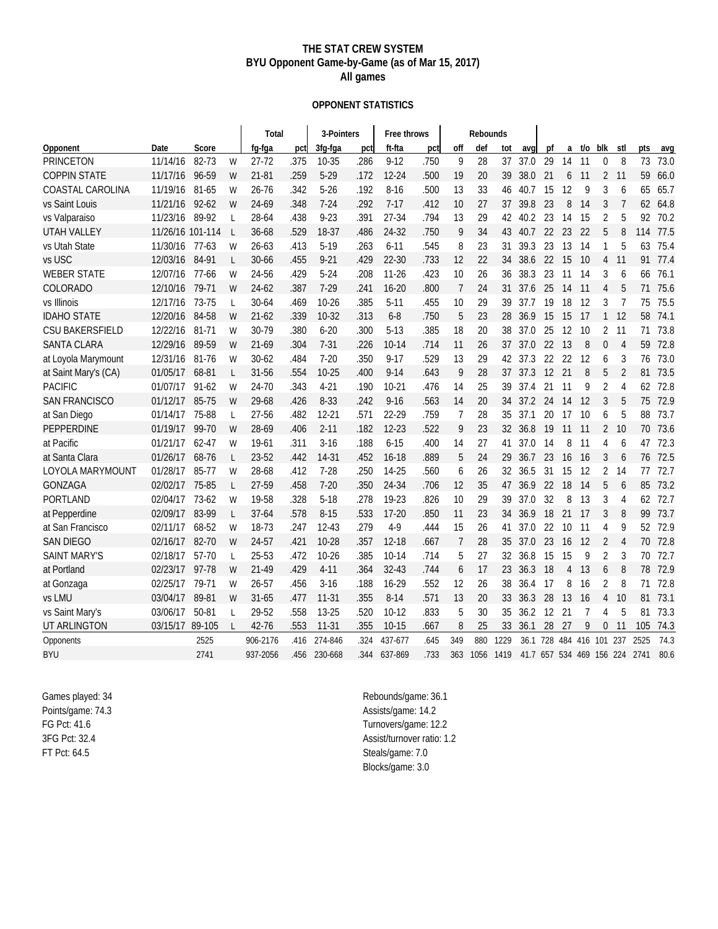#### **THE STAT CREW SYSTEM BYU Opponent Game-by-Game (as of Mar 15, 2017) All games**

#### **OPPONENT STATISTICS**

|                        |                  |           |              | Total     |      | 3-Pointers |      | Free throws |      |                | Rebounds |      |      |    |                          |     |                |                |      |      |
|------------------------|------------------|-----------|--------------|-----------|------|------------|------|-------------|------|----------------|----------|------|------|----|--------------------------|-----|----------------|----------------|------|------|
| Opponent               | Date             | Score     |              | fg-fga    | pctl | 3fg-fga    | pct  | ft-fta      | pct  | off            | def      | tot  | avq  | pf | a                        | t/o | blk            | stl            | pts  | avg  |
| <b>PRINCETON</b>       | 11/14/16         | 82-73     | W            | 27-72     | .375 | 10-35      | .286 | $9 - 12$    | .750 | 9              | 28       | 37   | 37.0 | 29 | 14                       | 11  | 0              | 8              | 73   | 73.0 |
| <b>COPPIN STATE</b>    | 11/17/16         | 96-59     | W            | 21-81     | .259 | $5 - 29$   | .172 | $12 - 24$   | .500 | 19             | 20       | 39   | 38.0 | 21 | 6                        | 11  | 2              | 11             | 59   | 66.0 |
| COASTAL CAROLINA       | 11/19/16         | 81-65     | W            | $26 - 76$ | .342 | $5 - 26$   | .192 | $8 - 16$    | .500 | 13             | 33       | 46   | 40.7 | 15 | 12                       | 9   | 3              | 6              | 65   | 65.7 |
| vs Saint Louis         | 11/21/16         | $92 - 62$ | W            | 24-69     | .348 | $7 - 24$   | .292 | $7-17$      | .412 | 10             | 27       | 37   | 39.8 | 23 | 8                        | 14  | 3              | $\overline{7}$ | 62   | 64.8 |
| vs Valparaiso          | 11/23/16         | 89-92     | L            | 28-64     | .438 | $9 - 23$   | .391 | 27-34       | .794 | 13             | 29       | 42   | 40.2 | 23 | 14                       | 15  | 2              | 5              | 92   | 70.2 |
| <b>UTAH VALLEY</b>     | 11/26/16 101-114 |           | <b>L</b>     | 36-68     | .529 | 18-37      | .486 | 24-32       | .750 | 9              | 34       | 43   | 40.7 | 22 | 23                       | 22  | 5              | 8              | 114  | 77.5 |
| vs Utah State          | 11/30/16         | $77-63$   | W            | $26 - 63$ | .413 | $5-19$     | .263 | $6 - 11$    | .545 | 8              | 23       | 31   | 39.3 | 23 | 13                       | 14  | 1              | 5              | 63   | 75.4 |
| vs USC                 | 12/03/16         | 84-91     | L            | 30-66     | .455 | $9 - 21$   | .429 | $22 - 30$   | .733 | 12             | 22       | 34   | 38.6 | 22 | 15                       | -10 | 4              | 11             | 91   | 77.4 |
| <b>WEBER STATE</b>     | 12/07/16         | 77-66     | W            | 24-56     | .429 | $5 - 24$   | .208 | $11 - 26$   | .423 | 10             | 26       | 36   | 38.3 | 23 | 11                       | 14  | 3              | 6              | 66   | 76.1 |
| COLORADO               | 12/10/16         | 79-71     | W            | 24-62     | .387 | $7 - 29$   | .241 | $16 - 20$   | .800 | $\overline{7}$ | 24       | 31   | 37.6 | 25 | 14                       | -11 | 4              | 5              | 71   | 75.6 |
| vs Illinois            | 12/17/16         | 73-75     | $\mathsf{L}$ | 30-64     | .469 | $10 - 26$  | .385 | $5-11$      | .455 | 10             | 29       | 39   | 37.7 | 19 | 18                       | 12  | 3              | $\overline{7}$ | 75   | 75.5 |
| <b>IDAHO STATE</b>     | 12/20/16         | 84-58     | W            | $21-62$   | .339 | $10-32$    | .313 | $6 - 8$     | .750 | 5              | 23       | 28   | 36.9 | 15 | 15                       | 17  | $\mathbf{1}$   | 12             | 58   | 74.1 |
| <b>CSU BAKERSFIELD</b> | 12/22/16         | 81-71     | W            | 30-79     | .380 | $6 - 20$   | .300 | $5-13$      | .385 | 18             | 20       | 38   | 37.0 | 25 | 12                       | 10  | 2              | 11             | 71   | 73.8 |
| <b>SANTA CLARA</b>     | 12/29/16         | 89-59     | W            | $21-69$   | .304 | $7 - 31$   | .226 | $10 - 14$   | .714 | 11             | 26       | 37   | 37.0 | 22 | 13                       | 8   | 0              | $\overline{4}$ | 59   | 72.8 |
| at Loyola Marymount    | 12/31/16         | 81-76     | W            | $30 - 62$ | .484 | $7 - 20$   | .350 | $9 - 17$    | .529 | 13             | 29       | 42   | 37.3 | 22 | 22                       | 12  | 6              | 3              | 76   | 73.0 |
| at Saint Mary's (CA)   | 01/05/17         | 68-81     | L            | 31-56     | .554 | $10 - 25$  | .400 | $9 - 14$    | .643 | 9              | 28       | 37   | 37.3 | 12 | 21                       | 8   | 5              | $\overline{2}$ | 81   | 73.5 |
| <b>PACIFIC</b>         | 01/07/17         | $91 - 62$ | W            | 24-70     | .343 | $4 - 21$   | .190 | $10-21$     | .476 | 14             | 25       | 39   | 37.4 | 21 | 11                       | 9   | $\overline{2}$ | 4              | 62   | 72.8 |
| <b>SAN FRANCISCO</b>   | 01/12/17         | 85-75     | W            | 29-68     | .426 | 8-33       | .242 | $9 - 16$    | .563 | 14             | 20       | 34   | 37.2 | 24 | 14                       | 12  | 3              | 5              | 75   | 72.9 |
| at San Diego           | 01/14/17         | 75-88     | $\mathsf{L}$ | 27-56     | .482 | $12 - 21$  | .571 | 22-29       | .759 | 7              | 28       | 35   | 37.1 | 20 | 17                       | 10  | 6              | 5              | 88   | 73.7 |
| <b>PEPPERDINE</b>      | 01/19/17         | 99-70     | W            | 28-69     | .406 | $2 - 11$   | .182 | $12 - 23$   | .522 | 9              | 23       | 32   | 36.8 | 19 | 11                       | 11  | $\overline{2}$ | 10             | 70   | 73.6 |
| at Pacific             | 01/21/17         | $62 - 47$ | W            | 19-61     | .311 | $3 - 16$   | .188 | $6 - 15$    | .400 | 14             | 27       | 41   | 37.0 | 14 | 8                        | 11  | 4              | 6              | 47   | 72.3 |
| at Santa Clara         | 01/26/17         | 68-76     | L            | 23-52     | .442 | 14-31      | .452 | $16 - 18$   | .889 | 5              | 24       | 29   | 36.7 | 23 | 16                       | -16 | 3              | 6              | 76   | 72.5 |
| LOYOLA MARYMOUNT       | 01/28/17         | 85-77     | W            | 28-68     | .412 | $7 - 28$   | .250 | 14-25       | .560 | 6              | 26       | 32   | 36.5 | 31 | 15                       | 12  | 2              | 14             | 77   | 72.7 |
| <b>GONZAGA</b>         | 02/02/17         | 75-85     | L            | 27-59     | .458 | $7 - 20$   | .350 | 24-34       | .706 | 12             | 35       | 47   | 36.9 | 22 | 18                       | 14  | 5              | 6              | 85   | 73.2 |
| PORTLAND               | 02/04/17         | 73-62     | W            | 19-58     | .328 | $5-18$     | .278 | 19-23       | .826 | 10             | 29       | 39   | 37.0 | 32 | 8                        | 13  | 3              | 4              | 62   | 72.7 |
| at Pepperdine          | 02/09/17         | 83-99     | L            | $37 - 64$ | .578 | $8 - 15$   | .533 | $17 - 20$   | .850 | 11             | 23       | 34   | 36.9 | 18 | 21                       | 17  | 3              | 8              | 99   | 73.7 |
| at San Francisco       | 02/11/17         | 68-52     | W            | 18-73     | .247 | $12 - 43$  | .279 | $4-9$       | .444 | 15             | 26       | 41   | 37.0 | 22 | 10                       | 11  | 4              | 9              | 52   | 72.9 |
| <b>SAN DIEGO</b>       | 02/16/17         | 82-70     | W            | 24-57     | .421 | $10 - 28$  | .357 | $12 - 18$   | .667 | 7              | 28       | 35   | 37.0 | 23 | 16                       | 12  | 2              | 4              | 70   | 72.8 |
| <b>SAINT MARY'S</b>    | 02/18/17         | 57-70     | L            | 25-53     | .472 | $10 - 26$  | .385 | $10-14$     | .714 | 5              | 27       | 32   | 36.8 | 15 | 15                       | 9   | 2              | 3              | 70   | 72.7 |
| at Portland            | 02/23/17         | 97-78     | W            | 21-49     | .429 | $4 - 11$   | .364 | 32-43       | .744 | 6              | 17       | 23   | 36.3 | 18 | 4                        | 13  | 6              | 8              | 78   | 72.9 |
| at Gonzaga             | 02/25/17         | 79-71     | W            | $26 - 57$ | .456 | $3 - 16$   | .188 | 16-29       | .552 | 12             | 26       | 38   | 36.4 | 17 | 8                        | 16  | 2              | 8              | 71   | 72.8 |
| vs LMU                 | 03/04/17         | 89-81     | W            | $31 - 65$ | .477 | $11 - 31$  | .355 | $8 - 14$    | .571 | 13             | 20       | 33   | 36.3 | 28 | 13                       | 16  | 4              | 10             | 81   | 73.1 |
| vs Saint Mary's        | 03/06/17         | 50-81     | L            | 29-52     | .558 | 13-25      | .520 | $10-12$     | .833 | 5              | 30       | 35   | 36.2 | 12 | 21                       | 7   | 4              | 5              | 81   | 73.3 |
| UT ARLINGTON           | 03/15/17         | 89-105    |              | 42-76     | .553 | $11-31$    | .355 | $10 - 15$   | .667 | 8              | 25       | 33   | 36.1 | 28 | 27                       | 9   | 0              | 11             | 105  | 74.3 |
| Opponents              |                  | 2525      |              | 906-2176  | .416 | 274-846    | .324 | 437-677     | .645 | 349            | 880      | 1229 | 36.1 |    | 728 484 416 101          |     |                | 237            | 2525 | 74.3 |
| <b>BYU</b>             |                  | 2741      |              | 937-2056  | .456 | 230-668    | 344  | 637-869     | .733 | 363            | 1056     | 1419 |      |    | 41.7 657 534 469 156 224 |     |                |                | 2741 | 80.6 |

Games played: 34 Points/game: 74.3 FG Pct: 41.6 3FG Pct: 32.4 FT Pct: 64.5

Rebounds/game: 36.1 Assists/game: 14.2 Turnovers/game: 12.2 Assist/turnover ratio: 1.2 Steals/game: 7.0 Blocks/game: 3.0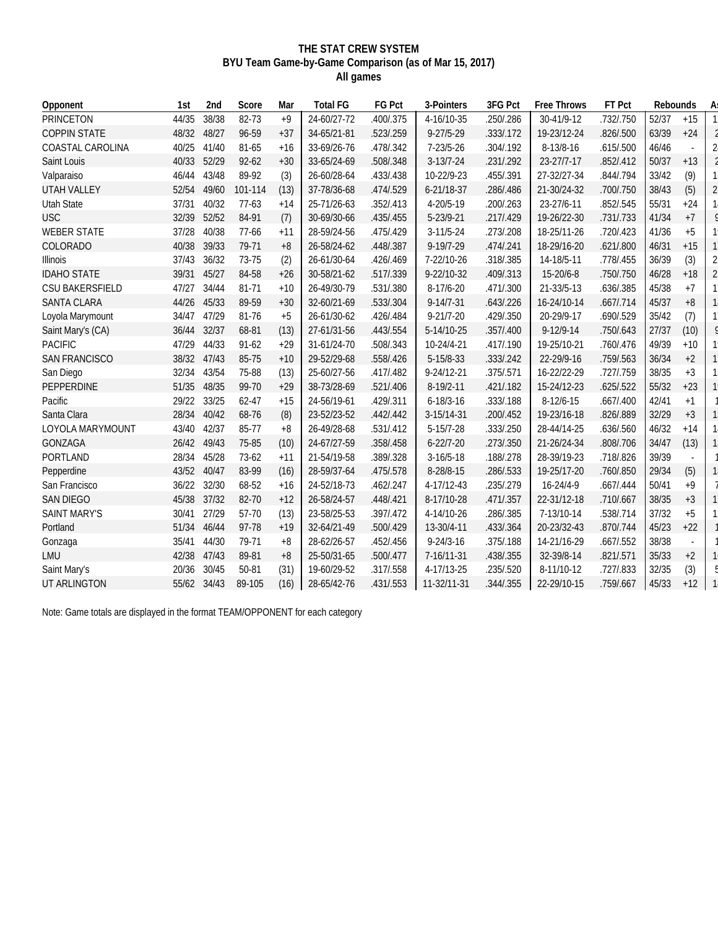#### **THE STAT CREW SYSTEM BYU Team Game-by-Game Comparison (as of Mar 15, 2017) All games**

| Opponent               | 1st   | 2nd   | Score     | Mar   | <b>Total FG</b> | FG Pct    | 3-Pointers      | 3FG Pct   | Free Throws     | FT Pct    | Rebounds |       | A: |
|------------------------|-------|-------|-----------|-------|-----------------|-----------|-----------------|-----------|-----------------|-----------|----------|-------|----|
| PRINCETON              | 44/35 | 38/38 | 82-73     | $+9$  | 24-60/27-72     | .400/.375 | 4-16/10-35      | .250/.286 | 30-41/9-12      | .732/.750 | 52/37    | $+15$ |    |
| <b>COPPIN STATE</b>    | 48/32 | 48/27 | 96-59     | $+37$ | 34-65/21-81     | .523/.259 | $9 - 27/5 - 29$ | .333/.172 | 19-23/12-24     | .826/.500 | 63/39    | $+24$ |    |
| COASTAL CAROLINA       | 40/25 | 41/40 | 81-65     | $+16$ | 33-69/26-76     | .478/.342 | $7 - 23/5 - 26$ | .304/.192 | 8-13/8-16       | .615/.500 | 46/46    |       |    |
| Saint Louis            | 40/33 | 52/29 | $92 - 62$ | $+30$ | 33-65/24-69     | .508/.348 | $3-13/7-24$     | .231/.292 | 23-27/7-17      | .852/.412 | 50/37    | $+13$ |    |
| Valparaiso             | 46/44 | 43/48 | 89-92     | (3)   | 26-60/28-64     | .433/.438 | 10-22/9-23      | .455/.391 | 27-32/27-34     | .844/.794 | 33/42    | (9)   |    |
| UTAH VALLEY            | 52/54 | 49/60 | 101-114   | (13)  | 37-78/36-68     | .474/.529 | 6-21/18-37      | .286/.486 | 21-30/24-32     | .700/.750 | 38/43    | (5)   |    |
| <b>Utah State</b>      | 37/31 | 40/32 | $77-63$   | $+14$ | 25-71/26-63     | .352/.413 | 4-20/5-19       | .200/.263 | 23-27/6-11      | .852/.545 | 55/31    | $+24$ |    |
| <b>USC</b>             | 32/39 | 52/52 | 84-91     | (7)   | 30-69/30-66     | .435/.455 | 5-23/9-21       | .217/.429 | 19-26/22-30     | .731/.733 | 41/34    | $+7$  |    |
| <b>WEBER STATE</b>     | 37/28 | 40/38 | 77-66     | $+11$ | 28-59/24-56     | .475/.429 | $3-11/5-24$     | .273/.208 | 18-25/11-26     | .720/.423 | 41/36    | $+5$  |    |
| COLORADO               | 40/38 | 39/33 | 79-71     | $+8$  | 26-58/24-62     | .448/.387 | $9-19/7-29$     | .474/.241 | 18-29/16-20     | .621/.800 | 46/31    | $+15$ |    |
| Illinois               | 37/43 | 36/32 | 73-75     | (2)   | 26-61/30-64     | .426/.469 | 7-22/10-26      | .318/.385 | 14-18/5-11      | .778/.455 | 36/39    | (3)   |    |
| <b>IDAHO STATE</b>     | 39/31 | 45/27 | 84-58     | $+26$ | 30-58/21-62     | .517/.339 | 9-22/10-32      | .409/.313 | 15-20/6-8       | .750/.750 | 46/28    | $+18$ |    |
| <b>CSU BAKERSFIELD</b> | 47/27 | 34/44 | 81-71     | $+10$ | 26-49/30-79     | .531/.380 | 8-17/6-20       | .471/.300 | 21-33/5-13      | .636/.385 | 45/38    | $+7$  |    |
| <b>SANTA CLARA</b>     | 44/26 | 45/33 | 89-59     | $+30$ | 32-60/21-69     | .533/.304 | $9 - 14/7 - 31$ | .643/.226 | 16-24/10-14     | .667/.714 | 45/37    | $+8$  |    |
| Loyola Marymount       | 34/47 | 47/29 | 81-76     | $+5$  | 26-61/30-62     | .426/.484 | $9 - 21/7 - 20$ | .429/.350 | 20-29/9-17      | .690/.529 | 35/42    | (7)   |    |
| Saint Mary's (CA)      | 36/44 | 32/37 | 68-81     | (13)  | 27-61/31-56     | .443/.554 | 5-14/10-25      | .357/.400 | $9 - 12/9 - 14$ | .750/.643 | 27/37    | (10)  |    |
| <b>PACIFIC</b>         | 47/29 | 44/33 | $91 - 62$ | $+29$ | 31-61/24-70     | .508/.343 | 10-24/4-21      | .417/.190 | 19-25/10-21     | .760/.476 | 49/39    | $+10$ |    |
| <b>SAN FRANCISCO</b>   | 38/32 | 47/43 | 85-75     | $+10$ | 29-52/29-68     | .558/.426 | 5-15/8-33       | .333/.242 | 22-29/9-16      | .759/.563 | 36/34    | $+2$  |    |
| San Diego              | 32/34 | 43/54 | 75-88     | (13)  | 25-60/27-56     | .417/.482 | 9-24/12-21      | .375/.571 | 16-22/22-29     | .727/.759 | 38/35    | $+3$  |    |
| <b>PEPPERDINE</b>      | 51/35 | 48/35 | 99-70     | $+29$ | 38-73/28-69     | .521/.406 | 8-19/2-11       | .421/.182 | 15-24/12-23     | .625/.522 | 55/32    | $+23$ |    |
| Pacific                | 29/22 | 33/25 | $62 - 47$ | $+15$ | 24-56/19-61     | .429/.311 | $6 - 18/3 - 16$ | .333/.188 | $8-12/6-15$     | .667/.400 | 42/41    | $+1$  |    |
| Santa Clara            | 28/34 | 40/42 | 68-76     | (8)   | 23-52/23-52     | .442/.442 | 3-15/14-31      | .200/.452 | 19-23/16-18     | .826/.889 | 32/29    | $+3$  |    |
| LOYOLA MARYMOUNT       | 43/40 | 42/37 | 85-77     | $+8$  | 26-49/28-68     | .531/.412 | $5-15/7-28$     | .333/.250 | 28-44/14-25     | .636/.560 | 46/32    | $+14$ |    |
| <b>GONZAGA</b>         | 26/42 | 49/43 | 75-85     | (10)  | 24-67/27-59     | .358/.458 | $6 - 22/7 - 20$ | .273/.350 | 21-26/24-34     | .808/.706 | 34/47    | (13)  |    |
| <b>PORTLAND</b>        | 28/34 | 45/28 | 73-62     | $+11$ | 21-54/19-58     | .389/.328 | $3-16/5-18$     | .188/.278 | 28-39/19-23     | .718/.826 | 39/39    |       |    |
| Pepperdine             | 43/52 | 40/47 | 83-99     | (16)  | 28-59/37-64     | .475/.578 | 8-28/8-15       | .286/.533 | 19-25/17-20     | .760/.850 | 29/34    | (5)   |    |
| San Francisco          | 36/22 | 32/30 | 68-52     | $+16$ | 24-52/18-73     | .462/.247 | 4-17/12-43      | .235/.279 | $16 - 24/4 - 9$ | .667/.444 | 50/41    | $+9$  |    |
| <b>SAN DIEGO</b>       | 45/38 | 37/32 | 82-70     | $+12$ | 26-58/24-57     | .448/.421 | 8-17/10-28      | .471/.357 | 22-31/12-18     | .710/.667 | 38/35    | $+3$  |    |
| <b>SAINT MARY'S</b>    | 30/41 | 27/29 | 57-70     | (13)  | 23-58/25-53     | .397/.472 | 4-14/10-26      | .286/.385 | 7-13/10-14      | 538/.714  | 37/32    | $+5$  |    |
| Portland               | 51/34 | 46/44 | 97-78     | $+19$ | 32-64/21-49     | .500/.429 | 13-30/4-11      | .433/.364 | 20-23/32-43     | .870/.744 | 45/23    | $+22$ |    |
| Gonzaga                | 35/41 | 44/30 | 79-71     | $+8$  | 28-62/26-57     | .452/.456 | $9 - 24/3 - 16$ | .375/.188 | 14-21/16-29     | .667/.552 | 38/38    |       |    |
| LMU                    | 42/38 | 47/43 | 89-81     | $+8$  | 25-50/31-65     | .500/.477 | 7-16/11-31      | .438/.355 | 32-39/8-14      | .821/.571 | 35/33    | $+2$  |    |
| Saint Mary's           | 20/36 | 30/45 | 50-81     | (31)  | 19-60/29-52     | .317/.558 | 4-17/13-25      | .235/.520 | 8-11/10-12      | .727/.833 | 32/35    | (3)   |    |
| UT ARLINGTON           | 55/62 | 34/43 | 89-105    | (16)  | 28-65/42-76     | .431/.553 | 11-32/11-31     | .344/.355 | 22-29/10-15     | .759/.667 | 45/33    | $+12$ |    |

Note: Game totals are displayed in the format TEAM/OPPONENT for each category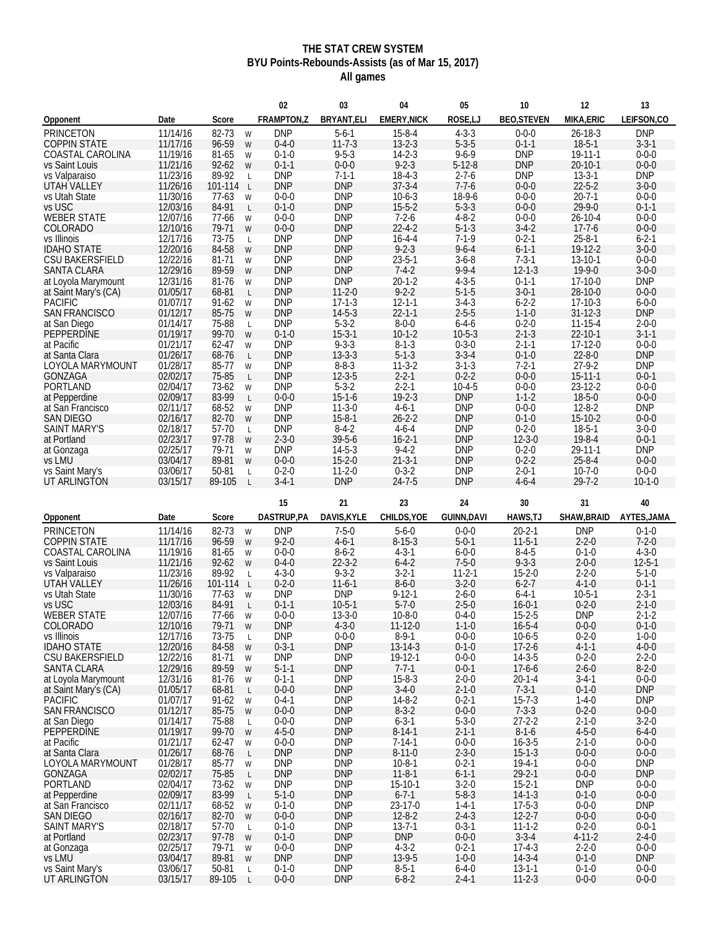### **THE STAT CREW SYSTEM BYU Points-Rebounds-Assists (as of Mar 15, 2017) All games**

| FRAMPTON,Z<br><b>EMERY.NICK</b><br>ROSE,LJ<br>MIKA, ERIC<br>LEIFSON,CO<br>BRYANT, ELI<br><b>BEO, STEVEN</b><br>Date<br>Score<br>Opponent<br>11/14/16<br>82-73<br><b>DNP</b><br>$5 - 6 - 1$<br>$15 - 8 - 4$<br>$4 - 3 - 3$<br>$26 - 18 - 3$<br><b>DNP</b><br>$0 - 0 - 0$<br>W<br>11/17/16<br>96-59<br>$11 - 7 - 3$<br>$5 - 3 - 5$<br>$0 - 1 - 1$<br>$18-5-1$<br>$3 - 3 - 1$<br>$0 - 4 - 0$<br>$13 - 2 - 3$<br>W<br>81-65<br>$9 - 5 - 3$<br>$14 - 2 - 3$<br>$9 - 6 - 9$<br><b>DNP</b><br>19-11-1<br>$0 - 0 - 0$<br>COASTAL CAROLINA<br>11/19/16<br>$0 - 1 - 0$<br>W<br>$9 - 2 - 3$<br>11/21/16<br>$0 - 0 - 0$<br>$5-12-8$<br><b>DNP</b><br>$20 - 10 - 1$<br>$0 - 0 - 0$<br>vs Saint Louis<br>$92 - 62$<br>$0 - 1 - 1$<br>W<br><b>DNP</b><br>11/23/16<br>89-92<br><b>DNP</b><br>$7 - 1 - 1$<br>$18 - 4 - 3$<br>$2 - 7 - 6$<br><b>DNP</b><br>$13 - 3 - 1$<br>vs Valparaiso<br>L<br><b>DNP</b><br>$37 - 3 - 4$<br>$7 - 7 - 6$<br>$22 - 5 - 2$<br>11/26/16<br>101-114<br><b>DNP</b><br>$0 - 0 - 0$<br>$3 - 0 - 0$<br>UTAH VALLEY<br>$\mathsf{L}$<br><b>DNP</b><br>$10-6-3$<br>18-9-6<br>$0 - 0 - 0$<br>$20 - 7 - 1$<br>$0 - 0 - 0$<br>11/30/16<br>$77-63$<br>$0 - 0 - 0$<br>W<br>$5 - 3 - 3$<br>12/03/16<br>84-91<br>$0 - 1 - 0$<br><b>DNP</b><br>$15 - 5 - 2$<br>$0 - 0 - 0$<br>$29 - 9 - 0$<br>$0 - 1 - 1$<br>$\mathsf{L}$<br><b>WEBER STATE</b><br><b>DNP</b><br>$7 - 2 - 6$<br>$4 - 8 - 2$<br>$0 - 0 - 0$<br>$26 - 10 - 4$<br>$0 - 0 - 0$<br>12/07/16<br>77-66<br>$0 - 0 - 0$<br>W<br>$22 - 4 - 2$<br>$5 - 1 - 3$<br>12/10/16<br>79-71<br>$0 - 0 - 0$<br><b>DNP</b><br>$3 - 4 - 2$<br>$17 - 7 - 6$<br>$0 - 0 - 0$<br>COLORADO<br>W<br>73-75<br><b>DNP</b><br><b>DNP</b><br>$16 - 4 - 4$<br>$7 - 1 - 9$<br>$0 - 2 - 1$<br>$25 - 8 - 1$<br>$6 - 2 - 1$<br>vs Illinois<br>12/17/16<br>$\mathsf{L}$<br>$9 - 2 - 3$<br>12/20/16<br>84-58<br><b>DNP</b><br><b>DNP</b><br>$9 - 6 - 4$<br>$6 - 1 - 1$<br>19-12-2<br>$3 - 0 - 0$<br><b>IDAHO STATE</b><br>W<br>12/22/16<br><b>DNP</b><br><b>DNP</b><br>$23 - 5 - 1$<br>$3-6-8$<br>$7 - 3 - 1$<br>13-10-1<br>$0 - 0 - 0$<br><b>CSU BAKERSFIELD</b><br>81-71<br>W<br>12/29/16<br><b>DNP</b><br>$7 - 4 - 2$<br>$9 - 9 - 4$<br>89-59<br><b>DNP</b><br>$12 - 1 - 3$<br>$19-9-0$<br>$3 - 0 - 0$<br>W<br>$20 - 1 - 2$<br>$4 - 3 - 5$<br><b>DNP</b><br>81-76<br><b>DNP</b><br><b>DNP</b><br>$0 - 1 - 1$<br>17-10-0<br>12/31/16<br>W<br>$9 - 2 - 2$<br>$3 - 0 - 1$<br>01/05/17<br>68-81<br><b>DNP</b><br>$11-2-0$<br>$5 - 1 - 5$<br>28-10-0<br>$0 - 0 - 0$<br>at Saint Mary's (CA)<br>L<br>$3-4-3$<br><b>PACIFIC</b><br><b>DNP</b><br>$17 - 1 - 3$<br>$12 - 1 - 1$<br>$6 - 2 - 2$<br>$17-10-3$<br>$6 - 0 - 0$<br>01/07/17<br>$91-62$<br>W<br>$14 - 5 - 3$<br>$22 - 1 - 1$<br>$1 - 1 - 0$<br><b>DNP</b><br><b>SAN FRANCISCO</b><br>01/12/17<br>85-75<br><b>DNP</b><br>$2 - 5 - 5$<br>$31 - 12 - 3$<br>W<br>75-88<br><b>DNP</b><br>$5 - 3 - 2$<br>$8 - 0 - 0$<br>$6 - 4 - 6$<br>$0 - 2 - 0$<br>$2 - 0 - 0$<br>at San Diego<br>01/14/17<br>$11 - 15 - 4$<br>$\mathsf{L}$<br>$15 - 3 - 1$<br>PEPPERDINE<br>01/19/17<br>99-70<br>$10-1-2$<br>$10-5-3$<br>$2 - 1 - 3$<br>$22 - 10 - 1$<br>$3 - 1 - 1$<br>$0 - 1 - 0$<br>W<br>$9 - 3 - 3$<br>62-47<br><b>DNP</b><br>$8 - 1 - 3$<br>$0 - 3 - 0$<br>$2 - 1 - 1$<br>17-12-0<br>$0 - 0 - 0$<br>01/21/17<br>W<br>$13 - 3 - 3$<br>$5 - 1 - 3$<br>$3 - 3 - 4$<br><b>DNP</b><br>01/26/17<br>68-76<br><b>DNP</b><br>$0 - 1 - 0$<br>$22 - 8 - 0$<br>at Santa Clara<br>$\mathsf{L}$<br><b>DNP</b><br>01/28/17<br>85-77<br><b>DNP</b><br>$8 - 8 - 3$<br>$11-3-2$<br>$3 - 1 - 3$<br>$7 - 2 - 1$<br>$27 - 9 - 2$<br><b>LOYOLA MARYMOUNT</b><br>W<br>$12 - 3 - 5$<br>$0 - 0 - 0$<br>02/02/17<br>75-85<br><b>DNP</b><br>$2 - 2 - 1$<br>$0 - 2 - 2$<br>$15 - 11 - 1$<br>$0 - 0 - 1$<br><b>GONZAGA</b><br>L<br>$5 - 3 - 2$<br>73-62<br><b>DNP</b><br>$2 - 2 - 1$<br>$10-4-5$<br>$0 - 0 - 0$<br>23-12-2<br>$0 - 0 - 0$<br><b>PORTLAND</b><br>02/04/17<br>W<br>83-99<br>$15 - 1 - 6$<br>$19 - 2 - 3$<br><b>DNP</b><br>$1 - 1 - 2$<br>$18 - 5 - 0$<br>02/09/17<br>$0 - 0 - 0$<br>$0 - 0 - 0$<br>at Pepperdine<br>$\mathsf{L}$<br><b>DNP</b><br>68-52<br><b>DNP</b><br>$11-3-0$<br>$4-6-1$<br><b>DNP</b><br>$0 - 0 - 0$<br>$12 - 8 - 2$<br>02/11/17<br>W<br>02/16/17<br>82-70<br><b>DNP</b><br>$15 - 8 - 1$<br>$26 - 2 - 2$<br><b>DNP</b><br>$0 - 1 - 0$<br>$15-10-2$<br>$0 - 0 - 0$<br><b>SAN DIEGO</b><br>W<br>02/18/17<br>57-70<br><b>DNP</b><br>$8-4-2$<br><b>DNP</b><br>$0 - 2 - 0$<br>$18-5-1$<br>$3 - 0 - 0$<br><b>SAINT MARY'S</b><br>$4 - 6 - 4$<br>$\mathsf{L}$<br>$39 - 5 - 6$<br>$16 - 2 - 1$<br>$19 - 8 - 4$<br>02/23/17<br>97-78<br>$2 - 3 - 0$<br><b>DNP</b><br>$12 - 3 - 0$<br>$0 - 0 - 1$<br>at Portland<br>W<br><b>DNP</b><br>79-71<br><b>DNP</b><br>$14 - 5 - 3$<br>$9 - 4 - 2$<br><b>DNP</b><br>$0 - 2 - 0$<br>$29 - 11 - 1$<br>02/25/17<br>at Gonzaga<br>W<br>vs LMU<br>03/04/17<br>89-81<br>$0 - 0 - 0$<br>$15 - 2 - 0$<br>$21 - 3 - 1$<br><b>DNP</b><br>$0 - 2 - 2$<br>$25 - 8 - 4$<br>$0 - 0 - 0$<br>W<br>50-81<br>$0 - 2 - 0$<br>$11-2-0$<br>$0 - 3 - 2$<br><b>DNP</b><br>$2 - 0 - 1$<br>$10-7-0$<br>$0 - 0 - 0$<br>vs Saint Mary's<br>03/06/17<br>$\mathsf{L}$<br>03/15/17<br>89-105<br>$3 - 4 - 1$<br><b>DNP</b><br>$24 - 7 - 5$<br><b>DNP</b><br>$4 - 6 - 4$<br>$29 - 7 - 2$<br>$10 - 1 - 0$<br>UT ARLINGTON<br>$\mathsf{L}$<br>15<br>21<br>23<br>24<br>30<br>40<br>31<br>DAVIS, KYLE<br>DASTRUP,PA<br>CHILDS, YOE<br><b>GUINN,DAVI</b><br>HAWS, TJ<br>SHAW, BRAID<br>AYTES, JAMA<br>Opponent<br>Date<br>Score<br>11/14/16<br>82-73<br><b>DNP</b><br>$7 - 5 - 0$<br>$5 - 6 - 0$<br>$0 - 0 - 0$<br>$20 - 2 - 1$<br><b>DNP</b><br>$0 - 1 - 0$<br>W<br><b>COPPIN STATE</b><br>96-59<br>$9 - 2 - 0$<br>$4-6-1$<br>$8 - 15 - 3$<br>$5 - 0 - 1$<br>$11 - 5 - 1$<br>$2 - 2 - 0$<br>$7 - 2 - 0$<br>11/17/16<br>W<br>81-65<br>$0 - 0 - 0$<br>$8-6-2$<br>$4 - 3 - 1$<br>$6 - 0 - 0$<br>$8 - 4 - 5$<br>$0 - 1 - 0$<br>$4 - 3 - 0$<br>11/19/16<br>W<br>92-62<br>$22 - 3 - 2$<br>$6 - 4 - 2$<br>$7 - 5 - 0$<br>$9 - 3 - 3$<br>$2 - 0 - 0$<br>$12 - 5 - 1$<br>11/21/16<br>$0 - 4 - 0$<br>W<br>89-92<br>$9 - 3 - 2$<br>$3 - 2 - 1$<br>$15 - 2 - 0$<br>$2 - 2 - 0$<br>$5 - 1 - 0$<br>11/23/16<br>$4 - 3 - 0$<br>$11 - 2 - 1$<br>L<br>$11-6-1$<br>$3 - 2 - 0$<br>$6 - 2 - 7$<br>$4 - 1 - 0$<br>$0 - 1 - 1$<br><b>UTAH VALLEY</b><br>11/26/16<br>101-114<br>$0 - 2 - 0$<br>$8 - 6 - 0$<br>$\mathsf{L}$<br><b>DNP</b><br><b>DNP</b><br>$9 - 12 - 1$<br>$2 - 6 - 0$<br>$6 - 4 - 1$<br>$2 - 3 - 1$<br>11/30/16<br>$77-63$<br>$10-5-1$<br>W<br>$10-5-1$<br>$5 - 7 - 0$<br>$2 - 5 - 0$<br>$16 - 0 - 1$<br>$0 - 2 - 0$<br>$2 - 1 - 0$<br>12/03/16<br>84-91<br>$0 - 1 - 1$<br>$\mathsf{L}$<br><b>DNP</b><br>12/07/16<br>77-66<br>$0 - 0 - 0$<br>$13 - 3 - 0$<br>$10 - 8 - 0$<br>$0 - 4 - 0$<br>$15 - 2 - 5$<br>$2 - 1 - 2$<br>W<br>12/10/16<br>79-71<br><b>DNP</b><br>$4 - 3 - 0$<br>$11 - 12 - 0$<br>$16 - 5 - 4$<br>$0 - 0 - 0$<br>$0 - 1 - 0$<br>$1 - 1 - 0$<br>W<br>12/17/16<br><b>DNP</b><br>$0 - 0 - 0$<br>$8 - 9 - 1$<br>$10-6-5$<br>$1 - 0 - 0$<br>73-75<br>$0 - 0 - 0$<br>$0 - 2 - 0$<br>L<br><b>DNP</b><br>$4 - 0 - 0$<br>12/20/16<br>84-58<br>$0 - 3 - 1$<br>$13 - 14 - 3$<br>$0 - 1 - 0$<br>$17 - 2 - 6$<br>$4 - 1 - 1$<br>W<br>12/22/16<br><b>DNP</b><br><b>DNP</b><br>19-12-1<br>$0 - 0 - 0$<br>$14 - 3 - 5$<br>$2 - 2 - 0$<br>81-71<br>$0 - 2 - 0$<br>W<br>12/29/16<br>89-59<br>$5 - 1 - 1$<br><b>DNP</b><br>$7 - 7 - 1$<br>$0 - 0 - 1$<br>$17-6-6$<br>$2 - 6 - 0$<br>$8 - 2 - 0$<br>W<br>12/31/16<br><b>DNP</b><br>$15 - 8 - 3$<br>$2 - 0 - 0$<br>$20 - 1 - 4$<br>$0 - 0 - 0$<br>81-76<br>$0 - 1 - 1$<br>$3 - 4 - 1$<br>W<br>$0 - 0 - 0$<br><b>DNP</b><br>$3-4-0$<br>$2 - 1 - 0$<br>$7 - 3 - 1$<br>$0 - 1 - 0$<br><b>DNP</b><br>01/05/17<br>68-81<br>$\mathsf{L}$<br>01/07/17<br><b>DNP</b><br>$14 - 8 - 2$<br>$0 - 2 - 1$<br>$15 - 7 - 3$<br><b>DNP</b><br>$91-62$<br>$0 - 4 - 1$<br>$1 - 4 - 0$<br>W<br>85-75<br><b>DNP</b><br>$8 - 3 - 2$<br>$0 - 0 - 0$<br>$7 - 3 - 3$<br>$0 - 2 - 0$<br>$0 - 0 - 0$<br>01/12/17<br>$0 - 0 - 0$<br>W<br>75-88<br><b>DNP</b><br>$6 - 3 - 1$<br>$5 - 3 - 0$<br>$27 - 2 - 2$<br>$3 - 2 - 0$<br>01/14/17<br>$0 - 0 - 0$<br>$2 - 1 - 0$<br>L<br>$4 - 5 - 0$<br><b>DNP</b><br>$8 - 14 - 1$<br>$2 - 1 - 1$<br>$8 - 1 - 6$<br>$4 - 5 - 0$<br>$6 - 4 - 0$<br>01/19/17<br>99-70<br>W<br>01/21/17<br><b>DNP</b><br>$7 - 14 - 1$<br>$0 - 0 - 0$<br>$16 - 3 - 5$<br>62-47<br>$0 - 0 - 0$<br>$2 - 1 - 0$<br>$0 - 0 - 0$<br>W<br>01/26/17<br><b>DNP</b><br><b>DNP</b><br>$8 - 11 - 0$<br>$2 - 3 - 0$<br>$15 - 1 - 3$<br>$0 - 0 - 0$<br>$0 - 0 - 0$<br>68-76<br>$\mathsf{L}$<br>01/28/17<br>85-77<br><b>DNP</b><br><b>DNP</b><br>$10-8-1$<br>$0 - 2 - 1$<br>$19-4-1$<br><b>DNP</b><br>$0 - 0 - 0$<br>W<br>02/02/17<br>75-85<br><b>DNP</b><br><b>DNP</b><br>$11 - 8 - 1$<br>$6 - 1 - 1$<br>$29 - 2 - 1$<br>$0 - 0 - 0$<br><b>DNP</b><br>$\mathsf{L}$<br>02/04/17<br><b>DNP</b><br><b>DNP</b><br>$15-10-1$<br>$3 - 2 - 0$<br>$15 - 2 - 1$<br><b>DNP</b><br>$0 - 0 - 0$<br>73-62<br>W<br>83-99<br>$5 - 1 - 0$<br><b>DNP</b><br>$6 - 7 - 1$<br>$5 - 8 - 3$<br>$14 - 1 - 3$<br>$0 - 1 - 0$<br>$0 - 0 - 0$<br>02/09/17<br>$\mathsf{L}$<br><b>DNP</b><br>23-17-0<br>$1 - 4 - 1$<br>$17 - 5 - 3$<br><b>DNP</b><br>02/11/17<br>68-52<br>$0 - 1 - 0$<br>$0 - 0 - 0$<br>W<br><b>DNP</b><br>$12 - 8 - 2$<br>$2 - 4 - 3$<br>$12 - 2 - 7$<br>$0 - 0 - 0$<br>$0 - 0 - 0$<br>02/16/17<br>82-70<br>$0 - 0 - 0$<br>W<br>02/18/17<br><b>DNP</b><br>$13 - 7 - 1$<br>$0 - 3 - 1$<br>$11 - 1 - 2$<br>57-70<br>$0 - 1 - 0$<br>$0 - 2 - 0$<br>$0 - 0 - 1$<br>L<br>02/23/17<br>97-78<br><b>DNP</b><br><b>DNP</b><br>$0 - 0 - 0$<br>$3 - 3 - 4$<br>$4 - 11 - 2$<br>$2 - 4 - 0$<br>$0 - 1 - 0$<br>W<br>02/25/17<br><b>DNP</b><br>$4 - 3 - 2$<br>$0 - 2 - 1$<br>$2 - 2 - 0$<br>79-71<br>$0 - 0 - 0$<br>$17-4-3$<br>$0 - 0 - 0$<br>W<br><b>DNP</b><br><b>DNP</b><br>13-9-5<br>$1 - 0 - 0$<br>$14 - 3 - 4$<br>$0 - 1 - 0$<br><b>DNP</b><br>03/04/17<br>89-81<br>W<br>vs Saint Mary's<br>03/06/17<br><b>DNP</b><br>$8 - 5 - 1$<br>$0 - 0 - 0$<br>50-81<br>$0 - 1 - 0$<br>$6 - 4 - 0$<br>$13 - 1 - 1$<br>$0 - 1 - 0$<br>$\mathsf{L}$<br>03/15/17<br><b>DNP</b><br>$6 - 8 - 2$<br>$11 - 2 - 3$<br>$0 - 0 - 0$<br>UT ARLINGTON<br>89-105<br>$0 - 0 - 0$<br>$2 - 4 - 1$<br>$0 - 0 - 0$<br>$\mathsf{L}$ |                                        |  | 02 | 03 | 04 | 05 | 10 | 12 | 13 |
|-----------------------------------------------------------------------------------------------------------------------------------------------------------------------------------------------------------------------------------------------------------------------------------------------------------------------------------------------------------------------------------------------------------------------------------------------------------------------------------------------------------------------------------------------------------------------------------------------------------------------------------------------------------------------------------------------------------------------------------------------------------------------------------------------------------------------------------------------------------------------------------------------------------------------------------------------------------------------------------------------------------------------------------------------------------------------------------------------------------------------------------------------------------------------------------------------------------------------------------------------------------------------------------------------------------------------------------------------------------------------------------------------------------------------------------------------------------------------------------------------------------------------------------------------------------------------------------------------------------------------------------------------------------------------------------------------------------------------------------------------------------------------------------------------------------------------------------------------------------------------------------------------------------------------------------------------------------------------------------------------------------------------------------------------------------------------------------------------------------------------------------------------------------------------------------------------------------------------------------------------------------------------------------------------------------------------------------------------------------------------------------------------------------------------------------------------------------------------------------------------------------------------------------------------------------------------------------------------------------------------------------------------------------------------------------------------------------------------------------------------------------------------------------------------------------------------------------------------------------------------------------------------------------------------------------------------------------------------------------------------------------------------------------------------------------------------------------------------------------------------------------------------------------------------------------------------------------------------------------------------------------------------------------------------------------------------------------------------------------------------------------------------------------------------------------------------------------------------------------------------------------------------------------------------------------------------------------------------------------------------------------------------------------------------------------------------------------------------------------------------------------------------------------------------------------------------------------------------------------------------------------------------------------------------------------------------------------------------------------------------------------------------------------------------------------------------------------------------------------------------------------------------------------------------------------------------------------------------------------------------------------------------------------------------------------------------------------------------------------------------------------------------------------------------------------------------------------------------------------------------------------------------------------------------------------------------------------------------------------------------------------------------------------------------------------------------------------------------------------------------------------------------------------------------------------------------------------------------------------------------------------------------------------------------------------------------------------------------------------------------------------------------------------------------------------------------------------------------------------------------------------------------------------------------------------------------------------------------------------------------------------------------------------------------------------------------------------------------------------------------------------------------------------------------------------------------------------------------------------------------------------------------------------------------------------------------------------------------------------------------------------------------------------------------------------------------------------------------------------------------------------------------------------------------------------------------------------------------------------------------------------------------------------------------------------------------------------------------------------------------------------------------------------------------------------------------------------------------------------------------------------------------------------------------------------------------------------------------------------------------------------------------------------------------------------------------------------------------------------------------------------------------------------------------------------------------------------------------------------------------------------------------------------------------------------------------------------------------------------------------------------------------------------------------------------------------------------------------------------------------------------------------------------------------------------------------------------------------------------------------------------------------------------------------------------------------------------------------------------------------------------------------------------------------------------------------------------------------------------------------------------------------------------------------------------------------------------------------------------------------------------------------------------------------------------------------------------------------------------------------------------------------------------------------------------------------------------------------------------------------------------------------------------------------------------------------------------------------------------------------------------------------------------------------------------------------------------------------------------------------------------------------------------------------------------------------------------------------------------------------------------------------------------------------------------------------------------------------------------------------------------------------------------------------------------------------------------------------------------------------------------------------------------------------------------------------------------------------------------------------------------------------------------------------------------------------------------------------------------------------------------------------------------------------------------------------------------------------------------------------------------------------------------------------------------------------------------------------------------------------------------------------------------------------------------------------------------------------------------------------------------------------------------------------------------------------------------------------------------------------------------------------------------------------------------------------------------------------------------------------------------------------------------------------------------------------------------------------------------------------------------------------------------------------------------------------------------------------------------------------------------------------------------------------------------------------------------------------------------------------------------------------------------------------------------------------------------------------------------------------------------------------------------------------------------------------------------------------------------------------------------------------------------------------------------------------------------------------------------------------------------------------------------------------------------------------------------------------------------------------------------------------------------------------------------------------------------------------------------------------------------------------------------------------------------------------------------------------------------------------------------------------------------------------------------------------------------------------------------------------------------|----------------------------------------|--|----|----|----|----|----|----|----|
|                                                                                                                                                                                                                                                                                                                                                                                                                                                                                                                                                                                                                                                                                                                                                                                                                                                                                                                                                                                                                                                                                                                                                                                                                                                                                                                                                                                                                                                                                                                                                                                                                                                                                                                                                                                                                                                                                                                                                                                                                                                                                                                                                                                                                                                                                                                                                                                                                                                                                                                                                                                                                                                                                                                                                                                                                                                                                                                                                                                                                                                                                                                                                                                                                                                                                                                                                                                                                                                                                                                                                                                                                                                                                                                                                                                                                                                                                                                                                                                                                                                                                                                                                                                                                                                                                                                                                                                                                                                                                                                                                                                                                                                                                                                                                                                                                                                                                                                                                                                                                                                                                                                                                                                                                                                                                                                                                                                                                                                                                                                                                                                                                                                                                                                                                                                                                                                                                                                                                                                                                                                                                                                                                                                                                                                                                                                                                                                                                                                                                                                                                                                                                                                                                                                                                                                                                                                                                                                                                                                                                                                                                                                                                                                                                                                                                                                                                                                                                                                                                                                                                                                                                                                                                                                                                                                                                                                                                                                                                                                                                                                                                                                                                                                                                                                                                                                                                                                                                                                                                                                                                                                                                                                                                                                                                                                                                                                                                                                                                                                                                                                                                                                                                                                                                                                                                                                                                                                                                                                                                                                                                                                                                                                                                                                                                                                                                                                                                                                                                                                                                                                                                                                                                                                                                                                           |                                        |  |    |    |    |    |    |    |    |
|                                                                                                                                                                                                                                                                                                                                                                                                                                                                                                                                                                                                                                                                                                                                                                                                                                                                                                                                                                                                                                                                                                                                                                                                                                                                                                                                                                                                                                                                                                                                                                                                                                                                                                                                                                                                                                                                                                                                                                                                                                                                                                                                                                                                                                                                                                                                                                                                                                                                                                                                                                                                                                                                                                                                                                                                                                                                                                                                                                                                                                                                                                                                                                                                                                                                                                                                                                                                                                                                                                                                                                                                                                                                                                                                                                                                                                                                                                                                                                                                                                                                                                                                                                                                                                                                                                                                                                                                                                                                                                                                                                                                                                                                                                                                                                                                                                                                                                                                                                                                                                                                                                                                                                                                                                                                                                                                                                                                                                                                                                                                                                                                                                                                                                                                                                                                                                                                                                                                                                                                                                                                                                                                                                                                                                                                                                                                                                                                                                                                                                                                                                                                                                                                                                                                                                                                                                                                                                                                                                                                                                                                                                                                                                                                                                                                                                                                                                                                                                                                                                                                                                                                                                                                                                                                                                                                                                                                                                                                                                                                                                                                                                                                                                                                                                                                                                                                                                                                                                                                                                                                                                                                                                                                                                                                                                                                                                                                                                                                                                                                                                                                                                                                                                                                                                                                                                                                                                                                                                                                                                                                                                                                                                                                                                                                                                                                                                                                                                                                                                                                                                                                                                                                                                                                                                                           | <b>PRINCETON</b>                       |  |    |    |    |    |    |    |    |
|                                                                                                                                                                                                                                                                                                                                                                                                                                                                                                                                                                                                                                                                                                                                                                                                                                                                                                                                                                                                                                                                                                                                                                                                                                                                                                                                                                                                                                                                                                                                                                                                                                                                                                                                                                                                                                                                                                                                                                                                                                                                                                                                                                                                                                                                                                                                                                                                                                                                                                                                                                                                                                                                                                                                                                                                                                                                                                                                                                                                                                                                                                                                                                                                                                                                                                                                                                                                                                                                                                                                                                                                                                                                                                                                                                                                                                                                                                                                                                                                                                                                                                                                                                                                                                                                                                                                                                                                                                                                                                                                                                                                                                                                                                                                                                                                                                                                                                                                                                                                                                                                                                                                                                                                                                                                                                                                                                                                                                                                                                                                                                                                                                                                                                                                                                                                                                                                                                                                                                                                                                                                                                                                                                                                                                                                                                                                                                                                                                                                                                                                                                                                                                                                                                                                                                                                                                                                                                                                                                                                                                                                                                                                                                                                                                                                                                                                                                                                                                                                                                                                                                                                                                                                                                                                                                                                                                                                                                                                                                                                                                                                                                                                                                                                                                                                                                                                                                                                                                                                                                                                                                                                                                                                                                                                                                                                                                                                                                                                                                                                                                                                                                                                                                                                                                                                                                                                                                                                                                                                                                                                                                                                                                                                                                                                                                                                                                                                                                                                                                                                                                                                                                                                                                                                                                                           | <b>COPPIN STATE</b>                    |  |    |    |    |    |    |    |    |
|                                                                                                                                                                                                                                                                                                                                                                                                                                                                                                                                                                                                                                                                                                                                                                                                                                                                                                                                                                                                                                                                                                                                                                                                                                                                                                                                                                                                                                                                                                                                                                                                                                                                                                                                                                                                                                                                                                                                                                                                                                                                                                                                                                                                                                                                                                                                                                                                                                                                                                                                                                                                                                                                                                                                                                                                                                                                                                                                                                                                                                                                                                                                                                                                                                                                                                                                                                                                                                                                                                                                                                                                                                                                                                                                                                                                                                                                                                                                                                                                                                                                                                                                                                                                                                                                                                                                                                                                                                                                                                                                                                                                                                                                                                                                                                                                                                                                                                                                                                                                                                                                                                                                                                                                                                                                                                                                                                                                                                                                                                                                                                                                                                                                                                                                                                                                                                                                                                                                                                                                                                                                                                                                                                                                                                                                                                                                                                                                                                                                                                                                                                                                                                                                                                                                                                                                                                                                                                                                                                                                                                                                                                                                                                                                                                                                                                                                                                                                                                                                                                                                                                                                                                                                                                                                                                                                                                                                                                                                                                                                                                                                                                                                                                                                                                                                                                                                                                                                                                                                                                                                                                                                                                                                                                                                                                                                                                                                                                                                                                                                                                                                                                                                                                                                                                                                                                                                                                                                                                                                                                                                                                                                                                                                                                                                                                                                                                                                                                                                                                                                                                                                                                                                                                                                                                                           |                                        |  |    |    |    |    |    |    |    |
|                                                                                                                                                                                                                                                                                                                                                                                                                                                                                                                                                                                                                                                                                                                                                                                                                                                                                                                                                                                                                                                                                                                                                                                                                                                                                                                                                                                                                                                                                                                                                                                                                                                                                                                                                                                                                                                                                                                                                                                                                                                                                                                                                                                                                                                                                                                                                                                                                                                                                                                                                                                                                                                                                                                                                                                                                                                                                                                                                                                                                                                                                                                                                                                                                                                                                                                                                                                                                                                                                                                                                                                                                                                                                                                                                                                                                                                                                                                                                                                                                                                                                                                                                                                                                                                                                                                                                                                                                                                                                                                                                                                                                                                                                                                                                                                                                                                                                                                                                                                                                                                                                                                                                                                                                                                                                                                                                                                                                                                                                                                                                                                                                                                                                                                                                                                                                                                                                                                                                                                                                                                                                                                                                                                                                                                                                                                                                                                                                                                                                                                                                                                                                                                                                                                                                                                                                                                                                                                                                                                                                                                                                                                                                                                                                                                                                                                                                                                                                                                                                                                                                                                                                                                                                                                                                                                                                                                                                                                                                                                                                                                                                                                                                                                                                                                                                                                                                                                                                                                                                                                                                                                                                                                                                                                                                                                                                                                                                                                                                                                                                                                                                                                                                                                                                                                                                                                                                                                                                                                                                                                                                                                                                                                                                                                                                                                                                                                                                                                                                                                                                                                                                                                                                                                                                                                           |                                        |  |    |    |    |    |    |    |    |
|                                                                                                                                                                                                                                                                                                                                                                                                                                                                                                                                                                                                                                                                                                                                                                                                                                                                                                                                                                                                                                                                                                                                                                                                                                                                                                                                                                                                                                                                                                                                                                                                                                                                                                                                                                                                                                                                                                                                                                                                                                                                                                                                                                                                                                                                                                                                                                                                                                                                                                                                                                                                                                                                                                                                                                                                                                                                                                                                                                                                                                                                                                                                                                                                                                                                                                                                                                                                                                                                                                                                                                                                                                                                                                                                                                                                                                                                                                                                                                                                                                                                                                                                                                                                                                                                                                                                                                                                                                                                                                                                                                                                                                                                                                                                                                                                                                                                                                                                                                                                                                                                                                                                                                                                                                                                                                                                                                                                                                                                                                                                                                                                                                                                                                                                                                                                                                                                                                                                                                                                                                                                                                                                                                                                                                                                                                                                                                                                                                                                                                                                                                                                                                                                                                                                                                                                                                                                                                                                                                                                                                                                                                                                                                                                                                                                                                                                                                                                                                                                                                                                                                                                                                                                                                                                                                                                                                                                                                                                                                                                                                                                                                                                                                                                                                                                                                                                                                                                                                                                                                                                                                                                                                                                                                                                                                                                                                                                                                                                                                                                                                                                                                                                                                                                                                                                                                                                                                                                                                                                                                                                                                                                                                                                                                                                                                                                                                                                                                                                                                                                                                                                                                                                                                                                                                                           |                                        |  |    |    |    |    |    |    |    |
|                                                                                                                                                                                                                                                                                                                                                                                                                                                                                                                                                                                                                                                                                                                                                                                                                                                                                                                                                                                                                                                                                                                                                                                                                                                                                                                                                                                                                                                                                                                                                                                                                                                                                                                                                                                                                                                                                                                                                                                                                                                                                                                                                                                                                                                                                                                                                                                                                                                                                                                                                                                                                                                                                                                                                                                                                                                                                                                                                                                                                                                                                                                                                                                                                                                                                                                                                                                                                                                                                                                                                                                                                                                                                                                                                                                                                                                                                                                                                                                                                                                                                                                                                                                                                                                                                                                                                                                                                                                                                                                                                                                                                                                                                                                                                                                                                                                                                                                                                                                                                                                                                                                                                                                                                                                                                                                                                                                                                                                                                                                                                                                                                                                                                                                                                                                                                                                                                                                                                                                                                                                                                                                                                                                                                                                                                                                                                                                                                                                                                                                                                                                                                                                                                                                                                                                                                                                                                                                                                                                                                                                                                                                                                                                                                                                                                                                                                                                                                                                                                                                                                                                                                                                                                                                                                                                                                                                                                                                                                                                                                                                                                                                                                                                                                                                                                                                                                                                                                                                                                                                                                                                                                                                                                                                                                                                                                                                                                                                                                                                                                                                                                                                                                                                                                                                                                                                                                                                                                                                                                                                                                                                                                                                                                                                                                                                                                                                                                                                                                                                                                                                                                                                                                                                                                                                           | vs Utah State                          |  |    |    |    |    |    |    |    |
|                                                                                                                                                                                                                                                                                                                                                                                                                                                                                                                                                                                                                                                                                                                                                                                                                                                                                                                                                                                                                                                                                                                                                                                                                                                                                                                                                                                                                                                                                                                                                                                                                                                                                                                                                                                                                                                                                                                                                                                                                                                                                                                                                                                                                                                                                                                                                                                                                                                                                                                                                                                                                                                                                                                                                                                                                                                                                                                                                                                                                                                                                                                                                                                                                                                                                                                                                                                                                                                                                                                                                                                                                                                                                                                                                                                                                                                                                                                                                                                                                                                                                                                                                                                                                                                                                                                                                                                                                                                                                                                                                                                                                                                                                                                                                                                                                                                                                                                                                                                                                                                                                                                                                                                                                                                                                                                                                                                                                                                                                                                                                                                                                                                                                                                                                                                                                                                                                                                                                                                                                                                                                                                                                                                                                                                                                                                                                                                                                                                                                                                                                                                                                                                                                                                                                                                                                                                                                                                                                                                                                                                                                                                                                                                                                                                                                                                                                                                                                                                                                                                                                                                                                                                                                                                                                                                                                                                                                                                                                                                                                                                                                                                                                                                                                                                                                                                                                                                                                                                                                                                                                                                                                                                                                                                                                                                                                                                                                                                                                                                                                                                                                                                                                                                                                                                                                                                                                                                                                                                                                                                                                                                                                                                                                                                                                                                                                                                                                                                                                                                                                                                                                                                                                                                                                                                           | vs USC                                 |  |    |    |    |    |    |    |    |
|                                                                                                                                                                                                                                                                                                                                                                                                                                                                                                                                                                                                                                                                                                                                                                                                                                                                                                                                                                                                                                                                                                                                                                                                                                                                                                                                                                                                                                                                                                                                                                                                                                                                                                                                                                                                                                                                                                                                                                                                                                                                                                                                                                                                                                                                                                                                                                                                                                                                                                                                                                                                                                                                                                                                                                                                                                                                                                                                                                                                                                                                                                                                                                                                                                                                                                                                                                                                                                                                                                                                                                                                                                                                                                                                                                                                                                                                                                                                                                                                                                                                                                                                                                                                                                                                                                                                                                                                                                                                                                                                                                                                                                                                                                                                                                                                                                                                                                                                                                                                                                                                                                                                                                                                                                                                                                                                                                                                                                                                                                                                                                                                                                                                                                                                                                                                                                                                                                                                                                                                                                                                                                                                                                                                                                                                                                                                                                                                                                                                                                                                                                                                                                                                                                                                                                                                                                                                                                                                                                                                                                                                                                                                                                                                                                                                                                                                                                                                                                                                                                                                                                                                                                                                                                                                                                                                                                                                                                                                                                                                                                                                                                                                                                                                                                                                                                                                                                                                                                                                                                                                                                                                                                                                                                                                                                                                                                                                                                                                                                                                                                                                                                                                                                                                                                                                                                                                                                                                                                                                                                                                                                                                                                                                                                                                                                                                                                                                                                                                                                                                                                                                                                                                                                                                                                                           |                                        |  |    |    |    |    |    |    |    |
|                                                                                                                                                                                                                                                                                                                                                                                                                                                                                                                                                                                                                                                                                                                                                                                                                                                                                                                                                                                                                                                                                                                                                                                                                                                                                                                                                                                                                                                                                                                                                                                                                                                                                                                                                                                                                                                                                                                                                                                                                                                                                                                                                                                                                                                                                                                                                                                                                                                                                                                                                                                                                                                                                                                                                                                                                                                                                                                                                                                                                                                                                                                                                                                                                                                                                                                                                                                                                                                                                                                                                                                                                                                                                                                                                                                                                                                                                                                                                                                                                                                                                                                                                                                                                                                                                                                                                                                                                                                                                                                                                                                                                                                                                                                                                                                                                                                                                                                                                                                                                                                                                                                                                                                                                                                                                                                                                                                                                                                                                                                                                                                                                                                                                                                                                                                                                                                                                                                                                                                                                                                                                                                                                                                                                                                                                                                                                                                                                                                                                                                                                                                                                                                                                                                                                                                                                                                                                                                                                                                                                                                                                                                                                                                                                                                                                                                                                                                                                                                                                                                                                                                                                                                                                                                                                                                                                                                                                                                                                                                                                                                                                                                                                                                                                                                                                                                                                                                                                                                                                                                                                                                                                                                                                                                                                                                                                                                                                                                                                                                                                                                                                                                                                                                                                                                                                                                                                                                                                                                                                                                                                                                                                                                                                                                                                                                                                                                                                                                                                                                                                                                                                                                                                                                                                                                           |                                        |  |    |    |    |    |    |    |    |
|                                                                                                                                                                                                                                                                                                                                                                                                                                                                                                                                                                                                                                                                                                                                                                                                                                                                                                                                                                                                                                                                                                                                                                                                                                                                                                                                                                                                                                                                                                                                                                                                                                                                                                                                                                                                                                                                                                                                                                                                                                                                                                                                                                                                                                                                                                                                                                                                                                                                                                                                                                                                                                                                                                                                                                                                                                                                                                                                                                                                                                                                                                                                                                                                                                                                                                                                                                                                                                                                                                                                                                                                                                                                                                                                                                                                                                                                                                                                                                                                                                                                                                                                                                                                                                                                                                                                                                                                                                                                                                                                                                                                                                                                                                                                                                                                                                                                                                                                                                                                                                                                                                                                                                                                                                                                                                                                                                                                                                                                                                                                                                                                                                                                                                                                                                                                                                                                                                                                                                                                                                                                                                                                                                                                                                                                                                                                                                                                                                                                                                                                                                                                                                                                                                                                                                                                                                                                                                                                                                                                                                                                                                                                                                                                                                                                                                                                                                                                                                                                                                                                                                                                                                                                                                                                                                                                                                                                                                                                                                                                                                                                                                                                                                                                                                                                                                                                                                                                                                                                                                                                                                                                                                                                                                                                                                                                                                                                                                                                                                                                                                                                                                                                                                                                                                                                                                                                                                                                                                                                                                                                                                                                                                                                                                                                                                                                                                                                                                                                                                                                                                                                                                                                                                                                                                                           |                                        |  |    |    |    |    |    |    |    |
|                                                                                                                                                                                                                                                                                                                                                                                                                                                                                                                                                                                                                                                                                                                                                                                                                                                                                                                                                                                                                                                                                                                                                                                                                                                                                                                                                                                                                                                                                                                                                                                                                                                                                                                                                                                                                                                                                                                                                                                                                                                                                                                                                                                                                                                                                                                                                                                                                                                                                                                                                                                                                                                                                                                                                                                                                                                                                                                                                                                                                                                                                                                                                                                                                                                                                                                                                                                                                                                                                                                                                                                                                                                                                                                                                                                                                                                                                                                                                                                                                                                                                                                                                                                                                                                                                                                                                                                                                                                                                                                                                                                                                                                                                                                                                                                                                                                                                                                                                                                                                                                                                                                                                                                                                                                                                                                                                                                                                                                                                                                                                                                                                                                                                                                                                                                                                                                                                                                                                                                                                                                                                                                                                                                                                                                                                                                                                                                                                                                                                                                                                                                                                                                                                                                                                                                                                                                                                                                                                                                                                                                                                                                                                                                                                                                                                                                                                                                                                                                                                                                                                                                                                                                                                                                                                                                                                                                                                                                                                                                                                                                                                                                                                                                                                                                                                                                                                                                                                                                                                                                                                                                                                                                                                                                                                                                                                                                                                                                                                                                                                                                                                                                                                                                                                                                                                                                                                                                                                                                                                                                                                                                                                                                                                                                                                                                                                                                                                                                                                                                                                                                                                                                                                                                                                                                           |                                        |  |    |    |    |    |    |    |    |
|                                                                                                                                                                                                                                                                                                                                                                                                                                                                                                                                                                                                                                                                                                                                                                                                                                                                                                                                                                                                                                                                                                                                                                                                                                                                                                                                                                                                                                                                                                                                                                                                                                                                                                                                                                                                                                                                                                                                                                                                                                                                                                                                                                                                                                                                                                                                                                                                                                                                                                                                                                                                                                                                                                                                                                                                                                                                                                                                                                                                                                                                                                                                                                                                                                                                                                                                                                                                                                                                                                                                                                                                                                                                                                                                                                                                                                                                                                                                                                                                                                                                                                                                                                                                                                                                                                                                                                                                                                                                                                                                                                                                                                                                                                                                                                                                                                                                                                                                                                                                                                                                                                                                                                                                                                                                                                                                                                                                                                                                                                                                                                                                                                                                                                                                                                                                                                                                                                                                                                                                                                                                                                                                                                                                                                                                                                                                                                                                                                                                                                                                                                                                                                                                                                                                                                                                                                                                                                                                                                                                                                                                                                                                                                                                                                                                                                                                                                                                                                                                                                                                                                                                                                                                                                                                                                                                                                                                                                                                                                                                                                                                                                                                                                                                                                                                                                                                                                                                                                                                                                                                                                                                                                                                                                                                                                                                                                                                                                                                                                                                                                                                                                                                                                                                                                                                                                                                                                                                                                                                                                                                                                                                                                                                                                                                                                                                                                                                                                                                                                                                                                                                                                                                                                                                                                                           | SANTA CLARA                            |  |    |    |    |    |    |    |    |
|                                                                                                                                                                                                                                                                                                                                                                                                                                                                                                                                                                                                                                                                                                                                                                                                                                                                                                                                                                                                                                                                                                                                                                                                                                                                                                                                                                                                                                                                                                                                                                                                                                                                                                                                                                                                                                                                                                                                                                                                                                                                                                                                                                                                                                                                                                                                                                                                                                                                                                                                                                                                                                                                                                                                                                                                                                                                                                                                                                                                                                                                                                                                                                                                                                                                                                                                                                                                                                                                                                                                                                                                                                                                                                                                                                                                                                                                                                                                                                                                                                                                                                                                                                                                                                                                                                                                                                                                                                                                                                                                                                                                                                                                                                                                                                                                                                                                                                                                                                                                                                                                                                                                                                                                                                                                                                                                                                                                                                                                                                                                                                                                                                                                                                                                                                                                                                                                                                                                                                                                                                                                                                                                                                                                                                                                                                                                                                                                                                                                                                                                                                                                                                                                                                                                                                                                                                                                                                                                                                                                                                                                                                                                                                                                                                                                                                                                                                                                                                                                                                                                                                                                                                                                                                                                                                                                                                                                                                                                                                                                                                                                                                                                                                                                                                                                                                                                                                                                                                                                                                                                                                                                                                                                                                                                                                                                                                                                                                                                                                                                                                                                                                                                                                                                                                                                                                                                                                                                                                                                                                                                                                                                                                                                                                                                                                                                                                                                                                                                                                                                                                                                                                                                                                                                                                                           | at Loyola Marymount                    |  |    |    |    |    |    |    |    |
|                                                                                                                                                                                                                                                                                                                                                                                                                                                                                                                                                                                                                                                                                                                                                                                                                                                                                                                                                                                                                                                                                                                                                                                                                                                                                                                                                                                                                                                                                                                                                                                                                                                                                                                                                                                                                                                                                                                                                                                                                                                                                                                                                                                                                                                                                                                                                                                                                                                                                                                                                                                                                                                                                                                                                                                                                                                                                                                                                                                                                                                                                                                                                                                                                                                                                                                                                                                                                                                                                                                                                                                                                                                                                                                                                                                                                                                                                                                                                                                                                                                                                                                                                                                                                                                                                                                                                                                                                                                                                                                                                                                                                                                                                                                                                                                                                                                                                                                                                                                                                                                                                                                                                                                                                                                                                                                                                                                                                                                                                                                                                                                                                                                                                                                                                                                                                                                                                                                                                                                                                                                                                                                                                                                                                                                                                                                                                                                                                                                                                                                                                                                                                                                                                                                                                                                                                                                                                                                                                                                                                                                                                                                                                                                                                                                                                                                                                                                                                                                                                                                                                                                                                                                                                                                                                                                                                                                                                                                                                                                                                                                                                                                                                                                                                                                                                                                                                                                                                                                                                                                                                                                                                                                                                                                                                                                                                                                                                                                                                                                                                                                                                                                                                                                                                                                                                                                                                                                                                                                                                                                                                                                                                                                                                                                                                                                                                                                                                                                                                                                                                                                                                                                                                                                                                                                           |                                        |  |    |    |    |    |    |    |    |
|                                                                                                                                                                                                                                                                                                                                                                                                                                                                                                                                                                                                                                                                                                                                                                                                                                                                                                                                                                                                                                                                                                                                                                                                                                                                                                                                                                                                                                                                                                                                                                                                                                                                                                                                                                                                                                                                                                                                                                                                                                                                                                                                                                                                                                                                                                                                                                                                                                                                                                                                                                                                                                                                                                                                                                                                                                                                                                                                                                                                                                                                                                                                                                                                                                                                                                                                                                                                                                                                                                                                                                                                                                                                                                                                                                                                                                                                                                                                                                                                                                                                                                                                                                                                                                                                                                                                                                                                                                                                                                                                                                                                                                                                                                                                                                                                                                                                                                                                                                                                                                                                                                                                                                                                                                                                                                                                                                                                                                                                                                                                                                                                                                                                                                                                                                                                                                                                                                                                                                                                                                                                                                                                                                                                                                                                                                                                                                                                                                                                                                                                                                                                                                                                                                                                                                                                                                                                                                                                                                                                                                                                                                                                                                                                                                                                                                                                                                                                                                                                                                                                                                                                                                                                                                                                                                                                                                                                                                                                                                                                                                                                                                                                                                                                                                                                                                                                                                                                                                                                                                                                                                                                                                                                                                                                                                                                                                                                                                                                                                                                                                                                                                                                                                                                                                                                                                                                                                                                                                                                                                                                                                                                                                                                                                                                                                                                                                                                                                                                                                                                                                                                                                                                                                                                                                                           |                                        |  |    |    |    |    |    |    |    |
|                                                                                                                                                                                                                                                                                                                                                                                                                                                                                                                                                                                                                                                                                                                                                                                                                                                                                                                                                                                                                                                                                                                                                                                                                                                                                                                                                                                                                                                                                                                                                                                                                                                                                                                                                                                                                                                                                                                                                                                                                                                                                                                                                                                                                                                                                                                                                                                                                                                                                                                                                                                                                                                                                                                                                                                                                                                                                                                                                                                                                                                                                                                                                                                                                                                                                                                                                                                                                                                                                                                                                                                                                                                                                                                                                                                                                                                                                                                                                                                                                                                                                                                                                                                                                                                                                                                                                                                                                                                                                                                                                                                                                                                                                                                                                                                                                                                                                                                                                                                                                                                                                                                                                                                                                                                                                                                                                                                                                                                                                                                                                                                                                                                                                                                                                                                                                                                                                                                                                                                                                                                                                                                                                                                                                                                                                                                                                                                                                                                                                                                                                                                                                                                                                                                                                                                                                                                                                                                                                                                                                                                                                                                                                                                                                                                                                                                                                                                                                                                                                                                                                                                                                                                                                                                                                                                                                                                                                                                                                                                                                                                                                                                                                                                                                                                                                                                                                                                                                                                                                                                                                                                                                                                                                                                                                                                                                                                                                                                                                                                                                                                                                                                                                                                                                                                                                                                                                                                                                                                                                                                                                                                                                                                                                                                                                                                                                                                                                                                                                                                                                                                                                                                                                                                                                                                           |                                        |  |    |    |    |    |    |    |    |
|                                                                                                                                                                                                                                                                                                                                                                                                                                                                                                                                                                                                                                                                                                                                                                                                                                                                                                                                                                                                                                                                                                                                                                                                                                                                                                                                                                                                                                                                                                                                                                                                                                                                                                                                                                                                                                                                                                                                                                                                                                                                                                                                                                                                                                                                                                                                                                                                                                                                                                                                                                                                                                                                                                                                                                                                                                                                                                                                                                                                                                                                                                                                                                                                                                                                                                                                                                                                                                                                                                                                                                                                                                                                                                                                                                                                                                                                                                                                                                                                                                                                                                                                                                                                                                                                                                                                                                                                                                                                                                                                                                                                                                                                                                                                                                                                                                                                                                                                                                                                                                                                                                                                                                                                                                                                                                                                                                                                                                                                                                                                                                                                                                                                                                                                                                                                                                                                                                                                                                                                                                                                                                                                                                                                                                                                                                                                                                                                                                                                                                                                                                                                                                                                                                                                                                                                                                                                                                                                                                                                                                                                                                                                                                                                                                                                                                                                                                                                                                                                                                                                                                                                                                                                                                                                                                                                                                                                                                                                                                                                                                                                                                                                                                                                                                                                                                                                                                                                                                                                                                                                                                                                                                                                                                                                                                                                                                                                                                                                                                                                                                                                                                                                                                                                                                                                                                                                                                                                                                                                                                                                                                                                                                                                                                                                                                                                                                                                                                                                                                                                                                                                                                                                                                                                                                                           |                                        |  |    |    |    |    |    |    |    |
|                                                                                                                                                                                                                                                                                                                                                                                                                                                                                                                                                                                                                                                                                                                                                                                                                                                                                                                                                                                                                                                                                                                                                                                                                                                                                                                                                                                                                                                                                                                                                                                                                                                                                                                                                                                                                                                                                                                                                                                                                                                                                                                                                                                                                                                                                                                                                                                                                                                                                                                                                                                                                                                                                                                                                                                                                                                                                                                                                                                                                                                                                                                                                                                                                                                                                                                                                                                                                                                                                                                                                                                                                                                                                                                                                                                                                                                                                                                                                                                                                                                                                                                                                                                                                                                                                                                                                                                                                                                                                                                                                                                                                                                                                                                                                                                                                                                                                                                                                                                                                                                                                                                                                                                                                                                                                                                                                                                                                                                                                                                                                                                                                                                                                                                                                                                                                                                                                                                                                                                                                                                                                                                                                                                                                                                                                                                                                                                                                                                                                                                                                                                                                                                                                                                                                                                                                                                                                                                                                                                                                                                                                                                                                                                                                                                                                                                                                                                                                                                                                                                                                                                                                                                                                                                                                                                                                                                                                                                                                                                                                                                                                                                                                                                                                                                                                                                                                                                                                                                                                                                                                                                                                                                                                                                                                                                                                                                                                                                                                                                                                                                                                                                                                                                                                                                                                                                                                                                                                                                                                                                                                                                                                                                                                                                                                                                                                                                                                                                                                                                                                                                                                                                                                                                                                                                           | at Pacific                             |  |    |    |    |    |    |    |    |
|                                                                                                                                                                                                                                                                                                                                                                                                                                                                                                                                                                                                                                                                                                                                                                                                                                                                                                                                                                                                                                                                                                                                                                                                                                                                                                                                                                                                                                                                                                                                                                                                                                                                                                                                                                                                                                                                                                                                                                                                                                                                                                                                                                                                                                                                                                                                                                                                                                                                                                                                                                                                                                                                                                                                                                                                                                                                                                                                                                                                                                                                                                                                                                                                                                                                                                                                                                                                                                                                                                                                                                                                                                                                                                                                                                                                                                                                                                                                                                                                                                                                                                                                                                                                                                                                                                                                                                                                                                                                                                                                                                                                                                                                                                                                                                                                                                                                                                                                                                                                                                                                                                                                                                                                                                                                                                                                                                                                                                                                                                                                                                                                                                                                                                                                                                                                                                                                                                                                                                                                                                                                                                                                                                                                                                                                                                                                                                                                                                                                                                                                                                                                                                                                                                                                                                                                                                                                                                                                                                                                                                                                                                                                                                                                                                                                                                                                                                                                                                                                                                                                                                                                                                                                                                                                                                                                                                                                                                                                                                                                                                                                                                                                                                                                                                                                                                                                                                                                                                                                                                                                                                                                                                                                                                                                                                                                                                                                                                                                                                                                                                                                                                                                                                                                                                                                                                                                                                                                                                                                                                                                                                                                                                                                                                                                                                                                                                                                                                                                                                                                                                                                                                                                                                                                                                                           |                                        |  |    |    |    |    |    |    |    |
|                                                                                                                                                                                                                                                                                                                                                                                                                                                                                                                                                                                                                                                                                                                                                                                                                                                                                                                                                                                                                                                                                                                                                                                                                                                                                                                                                                                                                                                                                                                                                                                                                                                                                                                                                                                                                                                                                                                                                                                                                                                                                                                                                                                                                                                                                                                                                                                                                                                                                                                                                                                                                                                                                                                                                                                                                                                                                                                                                                                                                                                                                                                                                                                                                                                                                                                                                                                                                                                                                                                                                                                                                                                                                                                                                                                                                                                                                                                                                                                                                                                                                                                                                                                                                                                                                                                                                                                                                                                                                                                                                                                                                                                                                                                                                                                                                                                                                                                                                                                                                                                                                                                                                                                                                                                                                                                                                                                                                                                                                                                                                                                                                                                                                                                                                                                                                                                                                                                                                                                                                                                                                                                                                                                                                                                                                                                                                                                                                                                                                                                                                                                                                                                                                                                                                                                                                                                                                                                                                                                                                                                                                                                                                                                                                                                                                                                                                                                                                                                                                                                                                                                                                                                                                                                                                                                                                                                                                                                                                                                                                                                                                                                                                                                                                                                                                                                                                                                                                                                                                                                                                                                                                                                                                                                                                                                                                                                                                                                                                                                                                                                                                                                                                                                                                                                                                                                                                                                                                                                                                                                                                                                                                                                                                                                                                                                                                                                                                                                                                                                                                                                                                                                                                                                                                                                           |                                        |  |    |    |    |    |    |    |    |
|                                                                                                                                                                                                                                                                                                                                                                                                                                                                                                                                                                                                                                                                                                                                                                                                                                                                                                                                                                                                                                                                                                                                                                                                                                                                                                                                                                                                                                                                                                                                                                                                                                                                                                                                                                                                                                                                                                                                                                                                                                                                                                                                                                                                                                                                                                                                                                                                                                                                                                                                                                                                                                                                                                                                                                                                                                                                                                                                                                                                                                                                                                                                                                                                                                                                                                                                                                                                                                                                                                                                                                                                                                                                                                                                                                                                                                                                                                                                                                                                                                                                                                                                                                                                                                                                                                                                                                                                                                                                                                                                                                                                                                                                                                                                                                                                                                                                                                                                                                                                                                                                                                                                                                                                                                                                                                                                                                                                                                                                                                                                                                                                                                                                                                                                                                                                                                                                                                                                                                                                                                                                                                                                                                                                                                                                                                                                                                                                                                                                                                                                                                                                                                                                                                                                                                                                                                                                                                                                                                                                                                                                                                                                                                                                                                                                                                                                                                                                                                                                                                                                                                                                                                                                                                                                                                                                                                                                                                                                                                                                                                                                                                                                                                                                                                                                                                                                                                                                                                                                                                                                                                                                                                                                                                                                                                                                                                                                                                                                                                                                                                                                                                                                                                                                                                                                                                                                                                                                                                                                                                                                                                                                                                                                                                                                                                                                                                                                                                                                                                                                                                                                                                                                                                                                                                                           |                                        |  |    |    |    |    |    |    |    |
|                                                                                                                                                                                                                                                                                                                                                                                                                                                                                                                                                                                                                                                                                                                                                                                                                                                                                                                                                                                                                                                                                                                                                                                                                                                                                                                                                                                                                                                                                                                                                                                                                                                                                                                                                                                                                                                                                                                                                                                                                                                                                                                                                                                                                                                                                                                                                                                                                                                                                                                                                                                                                                                                                                                                                                                                                                                                                                                                                                                                                                                                                                                                                                                                                                                                                                                                                                                                                                                                                                                                                                                                                                                                                                                                                                                                                                                                                                                                                                                                                                                                                                                                                                                                                                                                                                                                                                                                                                                                                                                                                                                                                                                                                                                                                                                                                                                                                                                                                                                                                                                                                                                                                                                                                                                                                                                                                                                                                                                                                                                                                                                                                                                                                                                                                                                                                                                                                                                                                                                                                                                                                                                                                                                                                                                                                                                                                                                                                                                                                                                                                                                                                                                                                                                                                                                                                                                                                                                                                                                                                                                                                                                                                                                                                                                                                                                                                                                                                                                                                                                                                                                                                                                                                                                                                                                                                                                                                                                                                                                                                                                                                                                                                                                                                                                                                                                                                                                                                                                                                                                                                                                                                                                                                                                                                                                                                                                                                                                                                                                                                                                                                                                                                                                                                                                                                                                                                                                                                                                                                                                                                                                                                                                                                                                                                                                                                                                                                                                                                                                                                                                                                                                                                                                                                                                           |                                        |  |    |    |    |    |    |    |    |
|                                                                                                                                                                                                                                                                                                                                                                                                                                                                                                                                                                                                                                                                                                                                                                                                                                                                                                                                                                                                                                                                                                                                                                                                                                                                                                                                                                                                                                                                                                                                                                                                                                                                                                                                                                                                                                                                                                                                                                                                                                                                                                                                                                                                                                                                                                                                                                                                                                                                                                                                                                                                                                                                                                                                                                                                                                                                                                                                                                                                                                                                                                                                                                                                                                                                                                                                                                                                                                                                                                                                                                                                                                                                                                                                                                                                                                                                                                                                                                                                                                                                                                                                                                                                                                                                                                                                                                                                                                                                                                                                                                                                                                                                                                                                                                                                                                                                                                                                                                                                                                                                                                                                                                                                                                                                                                                                                                                                                                                                                                                                                                                                                                                                                                                                                                                                                                                                                                                                                                                                                                                                                                                                                                                                                                                                                                                                                                                                                                                                                                                                                                                                                                                                                                                                                                                                                                                                                                                                                                                                                                                                                                                                                                                                                                                                                                                                                                                                                                                                                                                                                                                                                                                                                                                                                                                                                                                                                                                                                                                                                                                                                                                                                                                                                                                                                                                                                                                                                                                                                                                                                                                                                                                                                                                                                                                                                                                                                                                                                                                                                                                                                                                                                                                                                                                                                                                                                                                                                                                                                                                                                                                                                                                                                                                                                                                                                                                                                                                                                                                                                                                                                                                                                                                                                                                           | at San Francisco                       |  |    |    |    |    |    |    |    |
|                                                                                                                                                                                                                                                                                                                                                                                                                                                                                                                                                                                                                                                                                                                                                                                                                                                                                                                                                                                                                                                                                                                                                                                                                                                                                                                                                                                                                                                                                                                                                                                                                                                                                                                                                                                                                                                                                                                                                                                                                                                                                                                                                                                                                                                                                                                                                                                                                                                                                                                                                                                                                                                                                                                                                                                                                                                                                                                                                                                                                                                                                                                                                                                                                                                                                                                                                                                                                                                                                                                                                                                                                                                                                                                                                                                                                                                                                                                                                                                                                                                                                                                                                                                                                                                                                                                                                                                                                                                                                                                                                                                                                                                                                                                                                                                                                                                                                                                                                                                                                                                                                                                                                                                                                                                                                                                                                                                                                                                                                                                                                                                                                                                                                                                                                                                                                                                                                                                                                                                                                                                                                                                                                                                                                                                                                                                                                                                                                                                                                                                                                                                                                                                                                                                                                                                                                                                                                                                                                                                                                                                                                                                                                                                                                                                                                                                                                                                                                                                                                                                                                                                                                                                                                                                                                                                                                                                                                                                                                                                                                                                                                                                                                                                                                                                                                                                                                                                                                                                                                                                                                                                                                                                                                                                                                                                                                                                                                                                                                                                                                                                                                                                                                                                                                                                                                                                                                                                                                                                                                                                                                                                                                                                                                                                                                                                                                                                                                                                                                                                                                                                                                                                                                                                                                                                           |                                        |  |    |    |    |    |    |    |    |
|                                                                                                                                                                                                                                                                                                                                                                                                                                                                                                                                                                                                                                                                                                                                                                                                                                                                                                                                                                                                                                                                                                                                                                                                                                                                                                                                                                                                                                                                                                                                                                                                                                                                                                                                                                                                                                                                                                                                                                                                                                                                                                                                                                                                                                                                                                                                                                                                                                                                                                                                                                                                                                                                                                                                                                                                                                                                                                                                                                                                                                                                                                                                                                                                                                                                                                                                                                                                                                                                                                                                                                                                                                                                                                                                                                                                                                                                                                                                                                                                                                                                                                                                                                                                                                                                                                                                                                                                                                                                                                                                                                                                                                                                                                                                                                                                                                                                                                                                                                                                                                                                                                                                                                                                                                                                                                                                                                                                                                                                                                                                                                                                                                                                                                                                                                                                                                                                                                                                                                                                                                                                                                                                                                                                                                                                                                                                                                                                                                                                                                                                                                                                                                                                                                                                                                                                                                                                                                                                                                                                                                                                                                                                                                                                                                                                                                                                                                                                                                                                                                                                                                                                                                                                                                                                                                                                                                                                                                                                                                                                                                                                                                                                                                                                                                                                                                                                                                                                                                                                                                                                                                                                                                                                                                                                                                                                                                                                                                                                                                                                                                                                                                                                                                                                                                                                                                                                                                                                                                                                                                                                                                                                                                                                                                                                                                                                                                                                                                                                                                                                                                                                                                                                                                                                                                                           |                                        |  |    |    |    |    |    |    |    |
|                                                                                                                                                                                                                                                                                                                                                                                                                                                                                                                                                                                                                                                                                                                                                                                                                                                                                                                                                                                                                                                                                                                                                                                                                                                                                                                                                                                                                                                                                                                                                                                                                                                                                                                                                                                                                                                                                                                                                                                                                                                                                                                                                                                                                                                                                                                                                                                                                                                                                                                                                                                                                                                                                                                                                                                                                                                                                                                                                                                                                                                                                                                                                                                                                                                                                                                                                                                                                                                                                                                                                                                                                                                                                                                                                                                                                                                                                                                                                                                                                                                                                                                                                                                                                                                                                                                                                                                                                                                                                                                                                                                                                                                                                                                                                                                                                                                                                                                                                                                                                                                                                                                                                                                                                                                                                                                                                                                                                                                                                                                                                                                                                                                                                                                                                                                                                                                                                                                                                                                                                                                                                                                                                                                                                                                                                                                                                                                                                                                                                                                                                                                                                                                                                                                                                                                                                                                                                                                                                                                                                                                                                                                                                                                                                                                                                                                                                                                                                                                                                                                                                                                                                                                                                                                                                                                                                                                                                                                                                                                                                                                                                                                                                                                                                                                                                                                                                                                                                                                                                                                                                                                                                                                                                                                                                                                                                                                                                                                                                                                                                                                                                                                                                                                                                                                                                                                                                                                                                                                                                                                                                                                                                                                                                                                                                                                                                                                                                                                                                                                                                                                                                                                                                                                                                                                           |                                        |  |    |    |    |    |    |    |    |
|                                                                                                                                                                                                                                                                                                                                                                                                                                                                                                                                                                                                                                                                                                                                                                                                                                                                                                                                                                                                                                                                                                                                                                                                                                                                                                                                                                                                                                                                                                                                                                                                                                                                                                                                                                                                                                                                                                                                                                                                                                                                                                                                                                                                                                                                                                                                                                                                                                                                                                                                                                                                                                                                                                                                                                                                                                                                                                                                                                                                                                                                                                                                                                                                                                                                                                                                                                                                                                                                                                                                                                                                                                                                                                                                                                                                                                                                                                                                                                                                                                                                                                                                                                                                                                                                                                                                                                                                                                                                                                                                                                                                                                                                                                                                                                                                                                                                                                                                                                                                                                                                                                                                                                                                                                                                                                                                                                                                                                                                                                                                                                                                                                                                                                                                                                                                                                                                                                                                                                                                                                                                                                                                                                                                                                                                                                                                                                                                                                                                                                                                                                                                                                                                                                                                                                                                                                                                                                                                                                                                                                                                                                                                                                                                                                                                                                                                                                                                                                                                                                                                                                                                                                                                                                                                                                                                                                                                                                                                                                                                                                                                                                                                                                                                                                                                                                                                                                                                                                                                                                                                                                                                                                                                                                                                                                                                                                                                                                                                                                                                                                                                                                                                                                                                                                                                                                                                                                                                                                                                                                                                                                                                                                                                                                                                                                                                                                                                                                                                                                                                                                                                                                                                                                                                                                                           |                                        |  |    |    |    |    |    |    |    |
|                                                                                                                                                                                                                                                                                                                                                                                                                                                                                                                                                                                                                                                                                                                                                                                                                                                                                                                                                                                                                                                                                                                                                                                                                                                                                                                                                                                                                                                                                                                                                                                                                                                                                                                                                                                                                                                                                                                                                                                                                                                                                                                                                                                                                                                                                                                                                                                                                                                                                                                                                                                                                                                                                                                                                                                                                                                                                                                                                                                                                                                                                                                                                                                                                                                                                                                                                                                                                                                                                                                                                                                                                                                                                                                                                                                                                                                                                                                                                                                                                                                                                                                                                                                                                                                                                                                                                                                                                                                                                                                                                                                                                                                                                                                                                                                                                                                                                                                                                                                                                                                                                                                                                                                                                                                                                                                                                                                                                                                                                                                                                                                                                                                                                                                                                                                                                                                                                                                                                                                                                                                                                                                                                                                                                                                                                                                                                                                                                                                                                                                                                                                                                                                                                                                                                                                                                                                                                                                                                                                                                                                                                                                                                                                                                                                                                                                                                                                                                                                                                                                                                                                                                                                                                                                                                                                                                                                                                                                                                                                                                                                                                                                                                                                                                                                                                                                                                                                                                                                                                                                                                                                                                                                                                                                                                                                                                                                                                                                                                                                                                                                                                                                                                                                                                                                                                                                                                                                                                                                                                                                                                                                                                                                                                                                                                                                                                                                                                                                                                                                                                                                                                                                                                                                                                                                           |                                        |  |    |    |    |    |    |    |    |
|                                                                                                                                                                                                                                                                                                                                                                                                                                                                                                                                                                                                                                                                                                                                                                                                                                                                                                                                                                                                                                                                                                                                                                                                                                                                                                                                                                                                                                                                                                                                                                                                                                                                                                                                                                                                                                                                                                                                                                                                                                                                                                                                                                                                                                                                                                                                                                                                                                                                                                                                                                                                                                                                                                                                                                                                                                                                                                                                                                                                                                                                                                                                                                                                                                                                                                                                                                                                                                                                                                                                                                                                                                                                                                                                                                                                                                                                                                                                                                                                                                                                                                                                                                                                                                                                                                                                                                                                                                                                                                                                                                                                                                                                                                                                                                                                                                                                                                                                                                                                                                                                                                                                                                                                                                                                                                                                                                                                                                                                                                                                                                                                                                                                                                                                                                                                                                                                                                                                                                                                                                                                                                                                                                                                                                                                                                                                                                                                                                                                                                                                                                                                                                                                                                                                                                                                                                                                                                                                                                                                                                                                                                                                                                                                                                                                                                                                                                                                                                                                                                                                                                                                                                                                                                                                                                                                                                                                                                                                                                                                                                                                                                                                                                                                                                                                                                                                                                                                                                                                                                                                                                                                                                                                                                                                                                                                                                                                                                                                                                                                                                                                                                                                                                                                                                                                                                                                                                                                                                                                                                                                                                                                                                                                                                                                                                                                                                                                                                                                                                                                                                                                                                                                                                                                                                                           |                                        |  |    |    |    |    |    |    |    |
|                                                                                                                                                                                                                                                                                                                                                                                                                                                                                                                                                                                                                                                                                                                                                                                                                                                                                                                                                                                                                                                                                                                                                                                                                                                                                                                                                                                                                                                                                                                                                                                                                                                                                                                                                                                                                                                                                                                                                                                                                                                                                                                                                                                                                                                                                                                                                                                                                                                                                                                                                                                                                                                                                                                                                                                                                                                                                                                                                                                                                                                                                                                                                                                                                                                                                                                                                                                                                                                                                                                                                                                                                                                                                                                                                                                                                                                                                                                                                                                                                                                                                                                                                                                                                                                                                                                                                                                                                                                                                                                                                                                                                                                                                                                                                                                                                                                                                                                                                                                                                                                                                                                                                                                                                                                                                                                                                                                                                                                                                                                                                                                                                                                                                                                                                                                                                                                                                                                                                                                                                                                                                                                                                                                                                                                                                                                                                                                                                                                                                                                                                                                                                                                                                                                                                                                                                                                                                                                                                                                                                                                                                                                                                                                                                                                                                                                                                                                                                                                                                                                                                                                                                                                                                                                                                                                                                                                                                                                                                                                                                                                                                                                                                                                                                                                                                                                                                                                                                                                                                                                                                                                                                                                                                                                                                                                                                                                                                                                                                                                                                                                                                                                                                                                                                                                                                                                                                                                                                                                                                                                                                                                                                                                                                                                                                                                                                                                                                                                                                                                                                                                                                                                                                                                                                                                           |                                        |  |    |    |    |    |    |    |    |
|                                                                                                                                                                                                                                                                                                                                                                                                                                                                                                                                                                                                                                                                                                                                                                                                                                                                                                                                                                                                                                                                                                                                                                                                                                                                                                                                                                                                                                                                                                                                                                                                                                                                                                                                                                                                                                                                                                                                                                                                                                                                                                                                                                                                                                                                                                                                                                                                                                                                                                                                                                                                                                                                                                                                                                                                                                                                                                                                                                                                                                                                                                                                                                                                                                                                                                                                                                                                                                                                                                                                                                                                                                                                                                                                                                                                                                                                                                                                                                                                                                                                                                                                                                                                                                                                                                                                                                                                                                                                                                                                                                                                                                                                                                                                                                                                                                                                                                                                                                                                                                                                                                                                                                                                                                                                                                                                                                                                                                                                                                                                                                                                                                                                                                                                                                                                                                                                                                                                                                                                                                                                                                                                                                                                                                                                                                                                                                                                                                                                                                                                                                                                                                                                                                                                                                                                                                                                                                                                                                                                                                                                                                                                                                                                                                                                                                                                                                                                                                                                                                                                                                                                                                                                                                                                                                                                                                                                                                                                                                                                                                                                                                                                                                                                                                                                                                                                                                                                                                                                                                                                                                                                                                                                                                                                                                                                                                                                                                                                                                                                                                                                                                                                                                                                                                                                                                                                                                                                                                                                                                                                                                                                                                                                                                                                                                                                                                                                                                                                                                                                                                                                                                                                                                                                                                                           |                                        |  |    |    |    |    |    |    |    |
|                                                                                                                                                                                                                                                                                                                                                                                                                                                                                                                                                                                                                                                                                                                                                                                                                                                                                                                                                                                                                                                                                                                                                                                                                                                                                                                                                                                                                                                                                                                                                                                                                                                                                                                                                                                                                                                                                                                                                                                                                                                                                                                                                                                                                                                                                                                                                                                                                                                                                                                                                                                                                                                                                                                                                                                                                                                                                                                                                                                                                                                                                                                                                                                                                                                                                                                                                                                                                                                                                                                                                                                                                                                                                                                                                                                                                                                                                                                                                                                                                                                                                                                                                                                                                                                                                                                                                                                                                                                                                                                                                                                                                                                                                                                                                                                                                                                                                                                                                                                                                                                                                                                                                                                                                                                                                                                                                                                                                                                                                                                                                                                                                                                                                                                                                                                                                                                                                                                                                                                                                                                                                                                                                                                                                                                                                                                                                                                                                                                                                                                                                                                                                                                                                                                                                                                                                                                                                                                                                                                                                                                                                                                                                                                                                                                                                                                                                                                                                                                                                                                                                                                                                                                                                                                                                                                                                                                                                                                                                                                                                                                                                                                                                                                                                                                                                                                                                                                                                                                                                                                                                                                                                                                                                                                                                                                                                                                                                                                                                                                                                                                                                                                                                                                                                                                                                                                                                                                                                                                                                                                                                                                                                                                                                                                                                                                                                                                                                                                                                                                                                                                                                                                                                                                                                                                           |                                        |  |    |    |    |    |    |    |    |
|                                                                                                                                                                                                                                                                                                                                                                                                                                                                                                                                                                                                                                                                                                                                                                                                                                                                                                                                                                                                                                                                                                                                                                                                                                                                                                                                                                                                                                                                                                                                                                                                                                                                                                                                                                                                                                                                                                                                                                                                                                                                                                                                                                                                                                                                                                                                                                                                                                                                                                                                                                                                                                                                                                                                                                                                                                                                                                                                                                                                                                                                                                                                                                                                                                                                                                                                                                                                                                                                                                                                                                                                                                                                                                                                                                                                                                                                                                                                                                                                                                                                                                                                                                                                                                                                                                                                                                                                                                                                                                                                                                                                                                                                                                                                                                                                                                                                                                                                                                                                                                                                                                                                                                                                                                                                                                                                                                                                                                                                                                                                                                                                                                                                                                                                                                                                                                                                                                                                                                                                                                                                                                                                                                                                                                                                                                                                                                                                                                                                                                                                                                                                                                                                                                                                                                                                                                                                                                                                                                                                                                                                                                                                                                                                                                                                                                                                                                                                                                                                                                                                                                                                                                                                                                                                                                                                                                                                                                                                                                                                                                                                                                                                                                                                                                                                                                                                                                                                                                                                                                                                                                                                                                                                                                                                                                                                                                                                                                                                                                                                                                                                                                                                                                                                                                                                                                                                                                                                                                                                                                                                                                                                                                                                                                                                                                                                                                                                                                                                                                                                                                                                                                                                                                                                                                                           |                                        |  |    |    |    |    |    |    |    |
|                                                                                                                                                                                                                                                                                                                                                                                                                                                                                                                                                                                                                                                                                                                                                                                                                                                                                                                                                                                                                                                                                                                                                                                                                                                                                                                                                                                                                                                                                                                                                                                                                                                                                                                                                                                                                                                                                                                                                                                                                                                                                                                                                                                                                                                                                                                                                                                                                                                                                                                                                                                                                                                                                                                                                                                                                                                                                                                                                                                                                                                                                                                                                                                                                                                                                                                                                                                                                                                                                                                                                                                                                                                                                                                                                                                                                                                                                                                                                                                                                                                                                                                                                                                                                                                                                                                                                                                                                                                                                                                                                                                                                                                                                                                                                                                                                                                                                                                                                                                                                                                                                                                                                                                                                                                                                                                                                                                                                                                                                                                                                                                                                                                                                                                                                                                                                                                                                                                                                                                                                                                                                                                                                                                                                                                                                                                                                                                                                                                                                                                                                                                                                                                                                                                                                                                                                                                                                                                                                                                                                                                                                                                                                                                                                                                                                                                                                                                                                                                                                                                                                                                                                                                                                                                                                                                                                                                                                                                                                                                                                                                                                                                                                                                                                                                                                                                                                                                                                                                                                                                                                                                                                                                                                                                                                                                                                                                                                                                                                                                                                                                                                                                                                                                                                                                                                                                                                                                                                                                                                                                                                                                                                                                                                                                                                                                                                                                                                                                                                                                                                                                                                                                                                                                                                                                           | <b>PRINCETON</b>                       |  |    |    |    |    |    |    |    |
|                                                                                                                                                                                                                                                                                                                                                                                                                                                                                                                                                                                                                                                                                                                                                                                                                                                                                                                                                                                                                                                                                                                                                                                                                                                                                                                                                                                                                                                                                                                                                                                                                                                                                                                                                                                                                                                                                                                                                                                                                                                                                                                                                                                                                                                                                                                                                                                                                                                                                                                                                                                                                                                                                                                                                                                                                                                                                                                                                                                                                                                                                                                                                                                                                                                                                                                                                                                                                                                                                                                                                                                                                                                                                                                                                                                                                                                                                                                                                                                                                                                                                                                                                                                                                                                                                                                                                                                                                                                                                                                                                                                                                                                                                                                                                                                                                                                                                                                                                                                                                                                                                                                                                                                                                                                                                                                                                                                                                                                                                                                                                                                                                                                                                                                                                                                                                                                                                                                                                                                                                                                                                                                                                                                                                                                                                                                                                                                                                                                                                                                                                                                                                                                                                                                                                                                                                                                                                                                                                                                                                                                                                                                                                                                                                                                                                                                                                                                                                                                                                                                                                                                                                                                                                                                                                                                                                                                                                                                                                                                                                                                                                                                                                                                                                                                                                                                                                                                                                                                                                                                                                                                                                                                                                                                                                                                                                                                                                                                                                                                                                                                                                                                                                                                                                                                                                                                                                                                                                                                                                                                                                                                                                                                                                                                                                                                                                                                                                                                                                                                                                                                                                                                                                                                                                                                           |                                        |  |    |    |    |    |    |    |    |
|                                                                                                                                                                                                                                                                                                                                                                                                                                                                                                                                                                                                                                                                                                                                                                                                                                                                                                                                                                                                                                                                                                                                                                                                                                                                                                                                                                                                                                                                                                                                                                                                                                                                                                                                                                                                                                                                                                                                                                                                                                                                                                                                                                                                                                                                                                                                                                                                                                                                                                                                                                                                                                                                                                                                                                                                                                                                                                                                                                                                                                                                                                                                                                                                                                                                                                                                                                                                                                                                                                                                                                                                                                                                                                                                                                                                                                                                                                                                                                                                                                                                                                                                                                                                                                                                                                                                                                                                                                                                                                                                                                                                                                                                                                                                                                                                                                                                                                                                                                                                                                                                                                                                                                                                                                                                                                                                                                                                                                                                                                                                                                                                                                                                                                                                                                                                                                                                                                                                                                                                                                                                                                                                                                                                                                                                                                                                                                                                                                                                                                                                                                                                                                                                                                                                                                                                                                                                                                                                                                                                                                                                                                                                                                                                                                                                                                                                                                                                                                                                                                                                                                                                                                                                                                                                                                                                                                                                                                                                                                                                                                                                                                                                                                                                                                                                                                                                                                                                                                                                                                                                                                                                                                                                                                                                                                                                                                                                                                                                                                                                                                                                                                                                                                                                                                                                                                                                                                                                                                                                                                                                                                                                                                                                                                                                                                                                                                                                                                                                                                                                                                                                                                                                                                                                                                                           | COASTAL CAROLINA<br>vs Saint Louis     |  |    |    |    |    |    |    |    |
|                                                                                                                                                                                                                                                                                                                                                                                                                                                                                                                                                                                                                                                                                                                                                                                                                                                                                                                                                                                                                                                                                                                                                                                                                                                                                                                                                                                                                                                                                                                                                                                                                                                                                                                                                                                                                                                                                                                                                                                                                                                                                                                                                                                                                                                                                                                                                                                                                                                                                                                                                                                                                                                                                                                                                                                                                                                                                                                                                                                                                                                                                                                                                                                                                                                                                                                                                                                                                                                                                                                                                                                                                                                                                                                                                                                                                                                                                                                                                                                                                                                                                                                                                                                                                                                                                                                                                                                                                                                                                                                                                                                                                                                                                                                                                                                                                                                                                                                                                                                                                                                                                                                                                                                                                                                                                                                                                                                                                                                                                                                                                                                                                                                                                                                                                                                                                                                                                                                                                                                                                                                                                                                                                                                                                                                                                                                                                                                                                                                                                                                                                                                                                                                                                                                                                                                                                                                                                                                                                                                                                                                                                                                                                                                                                                                                                                                                                                                                                                                                                                                                                                                                                                                                                                                                                                                                                                                                                                                                                                                                                                                                                                                                                                                                                                                                                                                                                                                                                                                                                                                                                                                                                                                                                                                                                                                                                                                                                                                                                                                                                                                                                                                                                                                                                                                                                                                                                                                                                                                                                                                                                                                                                                                                                                                                                                                                                                                                                                                                                                                                                                                                                                                                                                                                                                                           | vs Valparaiso                          |  |    |    |    |    |    |    |    |
|                                                                                                                                                                                                                                                                                                                                                                                                                                                                                                                                                                                                                                                                                                                                                                                                                                                                                                                                                                                                                                                                                                                                                                                                                                                                                                                                                                                                                                                                                                                                                                                                                                                                                                                                                                                                                                                                                                                                                                                                                                                                                                                                                                                                                                                                                                                                                                                                                                                                                                                                                                                                                                                                                                                                                                                                                                                                                                                                                                                                                                                                                                                                                                                                                                                                                                                                                                                                                                                                                                                                                                                                                                                                                                                                                                                                                                                                                                                                                                                                                                                                                                                                                                                                                                                                                                                                                                                                                                                                                                                                                                                                                                                                                                                                                                                                                                                                                                                                                                                                                                                                                                                                                                                                                                                                                                                                                                                                                                                                                                                                                                                                                                                                                                                                                                                                                                                                                                                                                                                                                                                                                                                                                                                                                                                                                                                                                                                                                                                                                                                                                                                                                                                                                                                                                                                                                                                                                                                                                                                                                                                                                                                                                                                                                                                                                                                                                                                                                                                                                                                                                                                                                                                                                                                                                                                                                                                                                                                                                                                                                                                                                                                                                                                                                                                                                                                                                                                                                                                                                                                                                                                                                                                                                                                                                                                                                                                                                                                                                                                                                                                                                                                                                                                                                                                                                                                                                                                                                                                                                                                                                                                                                                                                                                                                                                                                                                                                                                                                                                                                                                                                                                                                                                                                                                                           |                                        |  |    |    |    |    |    |    |    |
|                                                                                                                                                                                                                                                                                                                                                                                                                                                                                                                                                                                                                                                                                                                                                                                                                                                                                                                                                                                                                                                                                                                                                                                                                                                                                                                                                                                                                                                                                                                                                                                                                                                                                                                                                                                                                                                                                                                                                                                                                                                                                                                                                                                                                                                                                                                                                                                                                                                                                                                                                                                                                                                                                                                                                                                                                                                                                                                                                                                                                                                                                                                                                                                                                                                                                                                                                                                                                                                                                                                                                                                                                                                                                                                                                                                                                                                                                                                                                                                                                                                                                                                                                                                                                                                                                                                                                                                                                                                                                                                                                                                                                                                                                                                                                                                                                                                                                                                                                                                                                                                                                                                                                                                                                                                                                                                                                                                                                                                                                                                                                                                                                                                                                                                                                                                                                                                                                                                                                                                                                                                                                                                                                                                                                                                                                                                                                                                                                                                                                                                                                                                                                                                                                                                                                                                                                                                                                                                                                                                                                                                                                                                                                                                                                                                                                                                                                                                                                                                                                                                                                                                                                                                                                                                                                                                                                                                                                                                                                                                                                                                                                                                                                                                                                                                                                                                                                                                                                                                                                                                                                                                                                                                                                                                                                                                                                                                                                                                                                                                                                                                                                                                                                                                                                                                                                                                                                                                                                                                                                                                                                                                                                                                                                                                                                                                                                                                                                                                                                                                                                                                                                                                                                                                                                                                           | vs Utah State                          |  |    |    |    |    |    |    |    |
|                                                                                                                                                                                                                                                                                                                                                                                                                                                                                                                                                                                                                                                                                                                                                                                                                                                                                                                                                                                                                                                                                                                                                                                                                                                                                                                                                                                                                                                                                                                                                                                                                                                                                                                                                                                                                                                                                                                                                                                                                                                                                                                                                                                                                                                                                                                                                                                                                                                                                                                                                                                                                                                                                                                                                                                                                                                                                                                                                                                                                                                                                                                                                                                                                                                                                                                                                                                                                                                                                                                                                                                                                                                                                                                                                                                                                                                                                                                                                                                                                                                                                                                                                                                                                                                                                                                                                                                                                                                                                                                                                                                                                                                                                                                                                                                                                                                                                                                                                                                                                                                                                                                                                                                                                                                                                                                                                                                                                                                                                                                                                                                                                                                                                                                                                                                                                                                                                                                                                                                                                                                                                                                                                                                                                                                                                                                                                                                                                                                                                                                                                                                                                                                                                                                                                                                                                                                                                                                                                                                                                                                                                                                                                                                                                                                                                                                                                                                                                                                                                                                                                                                                                                                                                                                                                                                                                                                                                                                                                                                                                                                                                                                                                                                                                                                                                                                                                                                                                                                                                                                                                                                                                                                                                                                                                                                                                                                                                                                                                                                                                                                                                                                                                                                                                                                                                                                                                                                                                                                                                                                                                                                                                                                                                                                                                                                                                                                                                                                                                                                                                                                                                                                                                                                                                                                           | vs USC                                 |  |    |    |    |    |    |    |    |
|                                                                                                                                                                                                                                                                                                                                                                                                                                                                                                                                                                                                                                                                                                                                                                                                                                                                                                                                                                                                                                                                                                                                                                                                                                                                                                                                                                                                                                                                                                                                                                                                                                                                                                                                                                                                                                                                                                                                                                                                                                                                                                                                                                                                                                                                                                                                                                                                                                                                                                                                                                                                                                                                                                                                                                                                                                                                                                                                                                                                                                                                                                                                                                                                                                                                                                                                                                                                                                                                                                                                                                                                                                                                                                                                                                                                                                                                                                                                                                                                                                                                                                                                                                                                                                                                                                                                                                                                                                                                                                                                                                                                                                                                                                                                                                                                                                                                                                                                                                                                                                                                                                                                                                                                                                                                                                                                                                                                                                                                                                                                                                                                                                                                                                                                                                                                                                                                                                                                                                                                                                                                                                                                                                                                                                                                                                                                                                                                                                                                                                                                                                                                                                                                                                                                                                                                                                                                                                                                                                                                                                                                                                                                                                                                                                                                                                                                                                                                                                                                                                                                                                                                                                                                                                                                                                                                                                                                                                                                                                                                                                                                                                                                                                                                                                                                                                                                                                                                                                                                                                                                                                                                                                                                                                                                                                                                                                                                                                                                                                                                                                                                                                                                                                                                                                                                                                                                                                                                                                                                                                                                                                                                                                                                                                                                                                                                                                                                                                                                                                                                                                                                                                                                                                                                                                                           | <b>WEBER STATE</b>                     |  |    |    |    |    |    |    |    |
|                                                                                                                                                                                                                                                                                                                                                                                                                                                                                                                                                                                                                                                                                                                                                                                                                                                                                                                                                                                                                                                                                                                                                                                                                                                                                                                                                                                                                                                                                                                                                                                                                                                                                                                                                                                                                                                                                                                                                                                                                                                                                                                                                                                                                                                                                                                                                                                                                                                                                                                                                                                                                                                                                                                                                                                                                                                                                                                                                                                                                                                                                                                                                                                                                                                                                                                                                                                                                                                                                                                                                                                                                                                                                                                                                                                                                                                                                                                                                                                                                                                                                                                                                                                                                                                                                                                                                                                                                                                                                                                                                                                                                                                                                                                                                                                                                                                                                                                                                                                                                                                                                                                                                                                                                                                                                                                                                                                                                                                                                                                                                                                                                                                                                                                                                                                                                                                                                                                                                                                                                                                                                                                                                                                                                                                                                                                                                                                                                                                                                                                                                                                                                                                                                                                                                                                                                                                                                                                                                                                                                                                                                                                                                                                                                                                                                                                                                                                                                                                                                                                                                                                                                                                                                                                                                                                                                                                                                                                                                                                                                                                                                                                                                                                                                                                                                                                                                                                                                                                                                                                                                                                                                                                                                                                                                                                                                                                                                                                                                                                                                                                                                                                                                                                                                                                                                                                                                                                                                                                                                                                                                                                                                                                                                                                                                                                                                                                                                                                                                                                                                                                                                                                                                                                                                                                           | COLORADO<br>vs Illinois                |  |    |    |    |    |    |    |    |
|                                                                                                                                                                                                                                                                                                                                                                                                                                                                                                                                                                                                                                                                                                                                                                                                                                                                                                                                                                                                                                                                                                                                                                                                                                                                                                                                                                                                                                                                                                                                                                                                                                                                                                                                                                                                                                                                                                                                                                                                                                                                                                                                                                                                                                                                                                                                                                                                                                                                                                                                                                                                                                                                                                                                                                                                                                                                                                                                                                                                                                                                                                                                                                                                                                                                                                                                                                                                                                                                                                                                                                                                                                                                                                                                                                                                                                                                                                                                                                                                                                                                                                                                                                                                                                                                                                                                                                                                                                                                                                                                                                                                                                                                                                                                                                                                                                                                                                                                                                                                                                                                                                                                                                                                                                                                                                                                                                                                                                                                                                                                                                                                                                                                                                                                                                                                                                                                                                                                                                                                                                                                                                                                                                                                                                                                                                                                                                                                                                                                                                                                                                                                                                                                                                                                                                                                                                                                                                                                                                                                                                                                                                                                                                                                                                                                                                                                                                                                                                                                                                                                                                                                                                                                                                                                                                                                                                                                                                                                                                                                                                                                                                                                                                                                                                                                                                                                                                                                                                                                                                                                                                                                                                                                                                                                                                                                                                                                                                                                                                                                                                                                                                                                                                                                                                                                                                                                                                                                                                                                                                                                                                                                                                                                                                                                                                                                                                                                                                                                                                                                                                                                                                                                                                                                                                                           | <b>IDAHO STATE</b>                     |  |    |    |    |    |    |    |    |
|                                                                                                                                                                                                                                                                                                                                                                                                                                                                                                                                                                                                                                                                                                                                                                                                                                                                                                                                                                                                                                                                                                                                                                                                                                                                                                                                                                                                                                                                                                                                                                                                                                                                                                                                                                                                                                                                                                                                                                                                                                                                                                                                                                                                                                                                                                                                                                                                                                                                                                                                                                                                                                                                                                                                                                                                                                                                                                                                                                                                                                                                                                                                                                                                                                                                                                                                                                                                                                                                                                                                                                                                                                                                                                                                                                                                                                                                                                                                                                                                                                                                                                                                                                                                                                                                                                                                                                                                                                                                                                                                                                                                                                                                                                                                                                                                                                                                                                                                                                                                                                                                                                                                                                                                                                                                                                                                                                                                                                                                                                                                                                                                                                                                                                                                                                                                                                                                                                                                                                                                                                                                                                                                                                                                                                                                                                                                                                                                                                                                                                                                                                                                                                                                                                                                                                                                                                                                                                                                                                                                                                                                                                                                                                                                                                                                                                                                                                                                                                                                                                                                                                                                                                                                                                                                                                                                                                                                                                                                                                                                                                                                                                                                                                                                                                                                                                                                                                                                                                                                                                                                                                                                                                                                                                                                                                                                                                                                                                                                                                                                                                                                                                                                                                                                                                                                                                                                                                                                                                                                                                                                                                                                                                                                                                                                                                                                                                                                                                                                                                                                                                                                                                                                                                                                                                                           | <b>CSU BAKERSFIELD</b>                 |  |    |    |    |    |    |    |    |
|                                                                                                                                                                                                                                                                                                                                                                                                                                                                                                                                                                                                                                                                                                                                                                                                                                                                                                                                                                                                                                                                                                                                                                                                                                                                                                                                                                                                                                                                                                                                                                                                                                                                                                                                                                                                                                                                                                                                                                                                                                                                                                                                                                                                                                                                                                                                                                                                                                                                                                                                                                                                                                                                                                                                                                                                                                                                                                                                                                                                                                                                                                                                                                                                                                                                                                                                                                                                                                                                                                                                                                                                                                                                                                                                                                                                                                                                                                                                                                                                                                                                                                                                                                                                                                                                                                                                                                                                                                                                                                                                                                                                                                                                                                                                                                                                                                                                                                                                                                                                                                                                                                                                                                                                                                                                                                                                                                                                                                                                                                                                                                                                                                                                                                                                                                                                                                                                                                                                                                                                                                                                                                                                                                                                                                                                                                                                                                                                                                                                                                                                                                                                                                                                                                                                                                                                                                                                                                                                                                                                                                                                                                                                                                                                                                                                                                                                                                                                                                                                                                                                                                                                                                                                                                                                                                                                                                                                                                                                                                                                                                                                                                                                                                                                                                                                                                                                                                                                                                                                                                                                                                                                                                                                                                                                                                                                                                                                                                                                                                                                                                                                                                                                                                                                                                                                                                                                                                                                                                                                                                                                                                                                                                                                                                                                                                                                                                                                                                                                                                                                                                                                                                                                                                                                                                                           | SANTA CLARA                            |  |    |    |    |    |    |    |    |
|                                                                                                                                                                                                                                                                                                                                                                                                                                                                                                                                                                                                                                                                                                                                                                                                                                                                                                                                                                                                                                                                                                                                                                                                                                                                                                                                                                                                                                                                                                                                                                                                                                                                                                                                                                                                                                                                                                                                                                                                                                                                                                                                                                                                                                                                                                                                                                                                                                                                                                                                                                                                                                                                                                                                                                                                                                                                                                                                                                                                                                                                                                                                                                                                                                                                                                                                                                                                                                                                                                                                                                                                                                                                                                                                                                                                                                                                                                                                                                                                                                                                                                                                                                                                                                                                                                                                                                                                                                                                                                                                                                                                                                                                                                                                                                                                                                                                                                                                                                                                                                                                                                                                                                                                                                                                                                                                                                                                                                                                                                                                                                                                                                                                                                                                                                                                                                                                                                                                                                                                                                                                                                                                                                                                                                                                                                                                                                                                                                                                                                                                                                                                                                                                                                                                                                                                                                                                                                                                                                                                                                                                                                                                                                                                                                                                                                                                                                                                                                                                                                                                                                                                                                                                                                                                                                                                                                                                                                                                                                                                                                                                                                                                                                                                                                                                                                                                                                                                                                                                                                                                                                                                                                                                                                                                                                                                                                                                                                                                                                                                                                                                                                                                                                                                                                                                                                                                                                                                                                                                                                                                                                                                                                                                                                                                                                                                                                                                                                                                                                                                                                                                                                                                                                                                                                                           | at Loyola Marymount                    |  |    |    |    |    |    |    |    |
|                                                                                                                                                                                                                                                                                                                                                                                                                                                                                                                                                                                                                                                                                                                                                                                                                                                                                                                                                                                                                                                                                                                                                                                                                                                                                                                                                                                                                                                                                                                                                                                                                                                                                                                                                                                                                                                                                                                                                                                                                                                                                                                                                                                                                                                                                                                                                                                                                                                                                                                                                                                                                                                                                                                                                                                                                                                                                                                                                                                                                                                                                                                                                                                                                                                                                                                                                                                                                                                                                                                                                                                                                                                                                                                                                                                                                                                                                                                                                                                                                                                                                                                                                                                                                                                                                                                                                                                                                                                                                                                                                                                                                                                                                                                                                                                                                                                                                                                                                                                                                                                                                                                                                                                                                                                                                                                                                                                                                                                                                                                                                                                                                                                                                                                                                                                                                                                                                                                                                                                                                                                                                                                                                                                                                                                                                                                                                                                                                                                                                                                                                                                                                                                                                                                                                                                                                                                                                                                                                                                                                                                                                                                                                                                                                                                                                                                                                                                                                                                                                                                                                                                                                                                                                                                                                                                                                                                                                                                                                                                                                                                                                                                                                                                                                                                                                                                                                                                                                                                                                                                                                                                                                                                                                                                                                                                                                                                                                                                                                                                                                                                                                                                                                                                                                                                                                                                                                                                                                                                                                                                                                                                                                                                                                                                                                                                                                                                                                                                                                                                                                                                                                                                                                                                                                                                           | at Saint Mary's (CA)<br><b>PACIFIC</b> |  |    |    |    |    |    |    |    |
|                                                                                                                                                                                                                                                                                                                                                                                                                                                                                                                                                                                                                                                                                                                                                                                                                                                                                                                                                                                                                                                                                                                                                                                                                                                                                                                                                                                                                                                                                                                                                                                                                                                                                                                                                                                                                                                                                                                                                                                                                                                                                                                                                                                                                                                                                                                                                                                                                                                                                                                                                                                                                                                                                                                                                                                                                                                                                                                                                                                                                                                                                                                                                                                                                                                                                                                                                                                                                                                                                                                                                                                                                                                                                                                                                                                                                                                                                                                                                                                                                                                                                                                                                                                                                                                                                                                                                                                                                                                                                                                                                                                                                                                                                                                                                                                                                                                                                                                                                                                                                                                                                                                                                                                                                                                                                                                                                                                                                                                                                                                                                                                                                                                                                                                                                                                                                                                                                                                                                                                                                                                                                                                                                                                                                                                                                                                                                                                                                                                                                                                                                                                                                                                                                                                                                                                                                                                                                                                                                                                                                                                                                                                                                                                                                                                                                                                                                                                                                                                                                                                                                                                                                                                                                                                                                                                                                                                                                                                                                                                                                                                                                                                                                                                                                                                                                                                                                                                                                                                                                                                                                                                                                                                                                                                                                                                                                                                                                                                                                                                                                                                                                                                                                                                                                                                                                                                                                                                                                                                                                                                                                                                                                                                                                                                                                                                                                                                                                                                                                                                                                                                                                                                                                                                                                                                           | SAN FRANCISCO                          |  |    |    |    |    |    |    |    |
|                                                                                                                                                                                                                                                                                                                                                                                                                                                                                                                                                                                                                                                                                                                                                                                                                                                                                                                                                                                                                                                                                                                                                                                                                                                                                                                                                                                                                                                                                                                                                                                                                                                                                                                                                                                                                                                                                                                                                                                                                                                                                                                                                                                                                                                                                                                                                                                                                                                                                                                                                                                                                                                                                                                                                                                                                                                                                                                                                                                                                                                                                                                                                                                                                                                                                                                                                                                                                                                                                                                                                                                                                                                                                                                                                                                                                                                                                                                                                                                                                                                                                                                                                                                                                                                                                                                                                                                                                                                                                                                                                                                                                                                                                                                                                                                                                                                                                                                                                                                                                                                                                                                                                                                                                                                                                                                                                                                                                                                                                                                                                                                                                                                                                                                                                                                                                                                                                                                                                                                                                                                                                                                                                                                                                                                                                                                                                                                                                                                                                                                                                                                                                                                                                                                                                                                                                                                                                                                                                                                                                                                                                                                                                                                                                                                                                                                                                                                                                                                                                                                                                                                                                                                                                                                                                                                                                                                                                                                                                                                                                                                                                                                                                                                                                                                                                                                                                                                                                                                                                                                                                                                                                                                                                                                                                                                                                                                                                                                                                                                                                                                                                                                                                                                                                                                                                                                                                                                                                                                                                                                                                                                                                                                                                                                                                                                                                                                                                                                                                                                                                                                                                                                                                                                                                                                           | at San Diego                           |  |    |    |    |    |    |    |    |
|                                                                                                                                                                                                                                                                                                                                                                                                                                                                                                                                                                                                                                                                                                                                                                                                                                                                                                                                                                                                                                                                                                                                                                                                                                                                                                                                                                                                                                                                                                                                                                                                                                                                                                                                                                                                                                                                                                                                                                                                                                                                                                                                                                                                                                                                                                                                                                                                                                                                                                                                                                                                                                                                                                                                                                                                                                                                                                                                                                                                                                                                                                                                                                                                                                                                                                                                                                                                                                                                                                                                                                                                                                                                                                                                                                                                                                                                                                                                                                                                                                                                                                                                                                                                                                                                                                                                                                                                                                                                                                                                                                                                                                                                                                                                                                                                                                                                                                                                                                                                                                                                                                                                                                                                                                                                                                                                                                                                                                                                                                                                                                                                                                                                                                                                                                                                                                                                                                                                                                                                                                                                                                                                                                                                                                                                                                                                                                                                                                                                                                                                                                                                                                                                                                                                                                                                                                                                                                                                                                                                                                                                                                                                                                                                                                                                                                                                                                                                                                                                                                                                                                                                                                                                                                                                                                                                                                                                                                                                                                                                                                                                                                                                                                                                                                                                                                                                                                                                                                                                                                                                                                                                                                                                                                                                                                                                                                                                                                                                                                                                                                                                                                                                                                                                                                                                                                                                                                                                                                                                                                                                                                                                                                                                                                                                                                                                                                                                                                                                                                                                                                                                                                                                                                                                                                                           | PEPPERDINE                             |  |    |    |    |    |    |    |    |
|                                                                                                                                                                                                                                                                                                                                                                                                                                                                                                                                                                                                                                                                                                                                                                                                                                                                                                                                                                                                                                                                                                                                                                                                                                                                                                                                                                                                                                                                                                                                                                                                                                                                                                                                                                                                                                                                                                                                                                                                                                                                                                                                                                                                                                                                                                                                                                                                                                                                                                                                                                                                                                                                                                                                                                                                                                                                                                                                                                                                                                                                                                                                                                                                                                                                                                                                                                                                                                                                                                                                                                                                                                                                                                                                                                                                                                                                                                                                                                                                                                                                                                                                                                                                                                                                                                                                                                                                                                                                                                                                                                                                                                                                                                                                                                                                                                                                                                                                                                                                                                                                                                                                                                                                                                                                                                                                                                                                                                                                                                                                                                                                                                                                                                                                                                                                                                                                                                                                                                                                                                                                                                                                                                                                                                                                                                                                                                                                                                                                                                                                                                                                                                                                                                                                                                                                                                                                                                                                                                                                                                                                                                                                                                                                                                                                                                                                                                                                                                                                                                                                                                                                                                                                                                                                                                                                                                                                                                                                                                                                                                                                                                                                                                                                                                                                                                                                                                                                                                                                                                                                                                                                                                                                                                                                                                                                                                                                                                                                                                                                                                                                                                                                                                                                                                                                                                                                                                                                                                                                                                                                                                                                                                                                                                                                                                                                                                                                                                                                                                                                                                                                                                                                                                                                                                                           | at Pacific                             |  |    |    |    |    |    |    |    |
|                                                                                                                                                                                                                                                                                                                                                                                                                                                                                                                                                                                                                                                                                                                                                                                                                                                                                                                                                                                                                                                                                                                                                                                                                                                                                                                                                                                                                                                                                                                                                                                                                                                                                                                                                                                                                                                                                                                                                                                                                                                                                                                                                                                                                                                                                                                                                                                                                                                                                                                                                                                                                                                                                                                                                                                                                                                                                                                                                                                                                                                                                                                                                                                                                                                                                                                                                                                                                                                                                                                                                                                                                                                                                                                                                                                                                                                                                                                                                                                                                                                                                                                                                                                                                                                                                                                                                                                                                                                                                                                                                                                                                                                                                                                                                                                                                                                                                                                                                                                                                                                                                                                                                                                                                                                                                                                                                                                                                                                                                                                                                                                                                                                                                                                                                                                                                                                                                                                                                                                                                                                                                                                                                                                                                                                                                                                                                                                                                                                                                                                                                                                                                                                                                                                                                                                                                                                                                                                                                                                                                                                                                                                                                                                                                                                                                                                                                                                                                                                                                                                                                                                                                                                                                                                                                                                                                                                                                                                                                                                                                                                                                                                                                                                                                                                                                                                                                                                                                                                                                                                                                                                                                                                                                                                                                                                                                                                                                                                                                                                                                                                                                                                                                                                                                                                                                                                                                                                                                                                                                                                                                                                                                                                                                                                                                                                                                                                                                                                                                                                                                                                                                                                                                                                                                                                           | at Santa Clara                         |  |    |    |    |    |    |    |    |
|                                                                                                                                                                                                                                                                                                                                                                                                                                                                                                                                                                                                                                                                                                                                                                                                                                                                                                                                                                                                                                                                                                                                                                                                                                                                                                                                                                                                                                                                                                                                                                                                                                                                                                                                                                                                                                                                                                                                                                                                                                                                                                                                                                                                                                                                                                                                                                                                                                                                                                                                                                                                                                                                                                                                                                                                                                                                                                                                                                                                                                                                                                                                                                                                                                                                                                                                                                                                                                                                                                                                                                                                                                                                                                                                                                                                                                                                                                                                                                                                                                                                                                                                                                                                                                                                                                                                                                                                                                                                                                                                                                                                                                                                                                                                                                                                                                                                                                                                                                                                                                                                                                                                                                                                                                                                                                                                                                                                                                                                                                                                                                                                                                                                                                                                                                                                                                                                                                                                                                                                                                                                                                                                                                                                                                                                                                                                                                                                                                                                                                                                                                                                                                                                                                                                                                                                                                                                                                                                                                                                                                                                                                                                                                                                                                                                                                                                                                                                                                                                                                                                                                                                                                                                                                                                                                                                                                                                                                                                                                                                                                                                                                                                                                                                                                                                                                                                                                                                                                                                                                                                                                                                                                                                                                                                                                                                                                                                                                                                                                                                                                                                                                                                                                                                                                                                                                                                                                                                                                                                                                                                                                                                                                                                                                                                                                                                                                                                                                                                                                                                                                                                                                                                                                                                                                                           | LOYOLA MARYMOUNT<br><b>GONZAGA</b>     |  |    |    |    |    |    |    |    |
|                                                                                                                                                                                                                                                                                                                                                                                                                                                                                                                                                                                                                                                                                                                                                                                                                                                                                                                                                                                                                                                                                                                                                                                                                                                                                                                                                                                                                                                                                                                                                                                                                                                                                                                                                                                                                                                                                                                                                                                                                                                                                                                                                                                                                                                                                                                                                                                                                                                                                                                                                                                                                                                                                                                                                                                                                                                                                                                                                                                                                                                                                                                                                                                                                                                                                                                                                                                                                                                                                                                                                                                                                                                                                                                                                                                                                                                                                                                                                                                                                                                                                                                                                                                                                                                                                                                                                                                                                                                                                                                                                                                                                                                                                                                                                                                                                                                                                                                                                                                                                                                                                                                                                                                                                                                                                                                                                                                                                                                                                                                                                                                                                                                                                                                                                                                                                                                                                                                                                                                                                                                                                                                                                                                                                                                                                                                                                                                                                                                                                                                                                                                                                                                                                                                                                                                                                                                                                                                                                                                                                                                                                                                                                                                                                                                                                                                                                                                                                                                                                                                                                                                                                                                                                                                                                                                                                                                                                                                                                                                                                                                                                                                                                                                                                                                                                                                                                                                                                                                                                                                                                                                                                                                                                                                                                                                                                                                                                                                                                                                                                                                                                                                                                                                                                                                                                                                                                                                                                                                                                                                                                                                                                                                                                                                                                                                                                                                                                                                                                                                                                                                                                                                                                                                                                                                           | <b>PORTLAND</b>                        |  |    |    |    |    |    |    |    |
|                                                                                                                                                                                                                                                                                                                                                                                                                                                                                                                                                                                                                                                                                                                                                                                                                                                                                                                                                                                                                                                                                                                                                                                                                                                                                                                                                                                                                                                                                                                                                                                                                                                                                                                                                                                                                                                                                                                                                                                                                                                                                                                                                                                                                                                                                                                                                                                                                                                                                                                                                                                                                                                                                                                                                                                                                                                                                                                                                                                                                                                                                                                                                                                                                                                                                                                                                                                                                                                                                                                                                                                                                                                                                                                                                                                                                                                                                                                                                                                                                                                                                                                                                                                                                                                                                                                                                                                                                                                                                                                                                                                                                                                                                                                                                                                                                                                                                                                                                                                                                                                                                                                                                                                                                                                                                                                                                                                                                                                                                                                                                                                                                                                                                                                                                                                                                                                                                                                                                                                                                                                                                                                                                                                                                                                                                                                                                                                                                                                                                                                                                                                                                                                                                                                                                                                                                                                                                                                                                                                                                                                                                                                                                                                                                                                                                                                                                                                                                                                                                                                                                                                                                                                                                                                                                                                                                                                                                                                                                                                                                                                                                                                                                                                                                                                                                                                                                                                                                                                                                                                                                                                                                                                                                                                                                                                                                                                                                                                                                                                                                                                                                                                                                                                                                                                                                                                                                                                                                                                                                                                                                                                                                                                                                                                                                                                                                                                                                                                                                                                                                                                                                                                                                                                                                                                           | at Pepperdine                          |  |    |    |    |    |    |    |    |
|                                                                                                                                                                                                                                                                                                                                                                                                                                                                                                                                                                                                                                                                                                                                                                                                                                                                                                                                                                                                                                                                                                                                                                                                                                                                                                                                                                                                                                                                                                                                                                                                                                                                                                                                                                                                                                                                                                                                                                                                                                                                                                                                                                                                                                                                                                                                                                                                                                                                                                                                                                                                                                                                                                                                                                                                                                                                                                                                                                                                                                                                                                                                                                                                                                                                                                                                                                                                                                                                                                                                                                                                                                                                                                                                                                                                                                                                                                                                                                                                                                                                                                                                                                                                                                                                                                                                                                                                                                                                                                                                                                                                                                                                                                                                                                                                                                                                                                                                                                                                                                                                                                                                                                                                                                                                                                                                                                                                                                                                                                                                                                                                                                                                                                                                                                                                                                                                                                                                                                                                                                                                                                                                                                                                                                                                                                                                                                                                                                                                                                                                                                                                                                                                                                                                                                                                                                                                                                                                                                                                                                                                                                                                                                                                                                                                                                                                                                                                                                                                                                                                                                                                                                                                                                                                                                                                                                                                                                                                                                                                                                                                                                                                                                                                                                                                                                                                                                                                                                                                                                                                                                                                                                                                                                                                                                                                                                                                                                                                                                                                                                                                                                                                                                                                                                                                                                                                                                                                                                                                                                                                                                                                                                                                                                                                                                                                                                                                                                                                                                                                                                                                                                                                                                                                                                                           | at San Francisco                       |  |    |    |    |    |    |    |    |
|                                                                                                                                                                                                                                                                                                                                                                                                                                                                                                                                                                                                                                                                                                                                                                                                                                                                                                                                                                                                                                                                                                                                                                                                                                                                                                                                                                                                                                                                                                                                                                                                                                                                                                                                                                                                                                                                                                                                                                                                                                                                                                                                                                                                                                                                                                                                                                                                                                                                                                                                                                                                                                                                                                                                                                                                                                                                                                                                                                                                                                                                                                                                                                                                                                                                                                                                                                                                                                                                                                                                                                                                                                                                                                                                                                                                                                                                                                                                                                                                                                                                                                                                                                                                                                                                                                                                                                                                                                                                                                                                                                                                                                                                                                                                                                                                                                                                                                                                                                                                                                                                                                                                                                                                                                                                                                                                                                                                                                                                                                                                                                                                                                                                                                                                                                                                                                                                                                                                                                                                                                                                                                                                                                                                                                                                                                                                                                                                                                                                                                                                                                                                                                                                                                                                                                                                                                                                                                                                                                                                                                                                                                                                                                                                                                                                                                                                                                                                                                                                                                                                                                                                                                                                                                                                                                                                                                                                                                                                                                                                                                                                                                                                                                                                                                                                                                                                                                                                                                                                                                                                                                                                                                                                                                                                                                                                                                                                                                                                                                                                                                                                                                                                                                                                                                                                                                                                                                                                                                                                                                                                                                                                                                                                                                                                                                                                                                                                                                                                                                                                                                                                                                                                                                                                                                                           | <b>SAN DIEGO</b>                       |  |    |    |    |    |    |    |    |
|                                                                                                                                                                                                                                                                                                                                                                                                                                                                                                                                                                                                                                                                                                                                                                                                                                                                                                                                                                                                                                                                                                                                                                                                                                                                                                                                                                                                                                                                                                                                                                                                                                                                                                                                                                                                                                                                                                                                                                                                                                                                                                                                                                                                                                                                                                                                                                                                                                                                                                                                                                                                                                                                                                                                                                                                                                                                                                                                                                                                                                                                                                                                                                                                                                                                                                                                                                                                                                                                                                                                                                                                                                                                                                                                                                                                                                                                                                                                                                                                                                                                                                                                                                                                                                                                                                                                                                                                                                                                                                                                                                                                                                                                                                                                                                                                                                                                                                                                                                                                                                                                                                                                                                                                                                                                                                                                                                                                                                                                                                                                                                                                                                                                                                                                                                                                                                                                                                                                                                                                                                                                                                                                                                                                                                                                                                                                                                                                                                                                                                                                                                                                                                                                                                                                                                                                                                                                                                                                                                                                                                                                                                                                                                                                                                                                                                                                                                                                                                                                                                                                                                                                                                                                                                                                                                                                                                                                                                                                                                                                                                                                                                                                                                                                                                                                                                                                                                                                                                                                                                                                                                                                                                                                                                                                                                                                                                                                                                                                                                                                                                                                                                                                                                                                                                                                                                                                                                                                                                                                                                                                                                                                                                                                                                                                                                                                                                                                                                                                                                                                                                                                                                                                                                                                                                                           | <b>SAINT MARY'S</b><br>at Portland     |  |    |    |    |    |    |    |    |
|                                                                                                                                                                                                                                                                                                                                                                                                                                                                                                                                                                                                                                                                                                                                                                                                                                                                                                                                                                                                                                                                                                                                                                                                                                                                                                                                                                                                                                                                                                                                                                                                                                                                                                                                                                                                                                                                                                                                                                                                                                                                                                                                                                                                                                                                                                                                                                                                                                                                                                                                                                                                                                                                                                                                                                                                                                                                                                                                                                                                                                                                                                                                                                                                                                                                                                                                                                                                                                                                                                                                                                                                                                                                                                                                                                                                                                                                                                                                                                                                                                                                                                                                                                                                                                                                                                                                                                                                                                                                                                                                                                                                                                                                                                                                                                                                                                                                                                                                                                                                                                                                                                                                                                                                                                                                                                                                                                                                                                                                                                                                                                                                                                                                                                                                                                                                                                                                                                                                                                                                                                                                                                                                                                                                                                                                                                                                                                                                                                                                                                                                                                                                                                                                                                                                                                                                                                                                                                                                                                                                                                                                                                                                                                                                                                                                                                                                                                                                                                                                                                                                                                                                                                                                                                                                                                                                                                                                                                                                                                                                                                                                                                                                                                                                                                                                                                                                                                                                                                                                                                                                                                                                                                                                                                                                                                                                                                                                                                                                                                                                                                                                                                                                                                                                                                                                                                                                                                                                                                                                                                                                                                                                                                                                                                                                                                                                                                                                                                                                                                                                                                                                                                                                                                                                                                                           | at Gonzaga                             |  |    |    |    |    |    |    |    |
|                                                                                                                                                                                                                                                                                                                                                                                                                                                                                                                                                                                                                                                                                                                                                                                                                                                                                                                                                                                                                                                                                                                                                                                                                                                                                                                                                                                                                                                                                                                                                                                                                                                                                                                                                                                                                                                                                                                                                                                                                                                                                                                                                                                                                                                                                                                                                                                                                                                                                                                                                                                                                                                                                                                                                                                                                                                                                                                                                                                                                                                                                                                                                                                                                                                                                                                                                                                                                                                                                                                                                                                                                                                                                                                                                                                                                                                                                                                                                                                                                                                                                                                                                                                                                                                                                                                                                                                                                                                                                                                                                                                                                                                                                                                                                                                                                                                                                                                                                                                                                                                                                                                                                                                                                                                                                                                                                                                                                                                                                                                                                                                                                                                                                                                                                                                                                                                                                                                                                                                                                                                                                                                                                                                                                                                                                                                                                                                                                                                                                                                                                                                                                                                                                                                                                                                                                                                                                                                                                                                                                                                                                                                                                                                                                                                                                                                                                                                                                                                                                                                                                                                                                                                                                                                                                                                                                                                                                                                                                                                                                                                                                                                                                                                                                                                                                                                                                                                                                                                                                                                                                                                                                                                                                                                                                                                                                                                                                                                                                                                                                                                                                                                                                                                                                                                                                                                                                                                                                                                                                                                                                                                                                                                                                                                                                                                                                                                                                                                                                                                                                                                                                                                                                                                                                                                           | vs LMU                                 |  |    |    |    |    |    |    |    |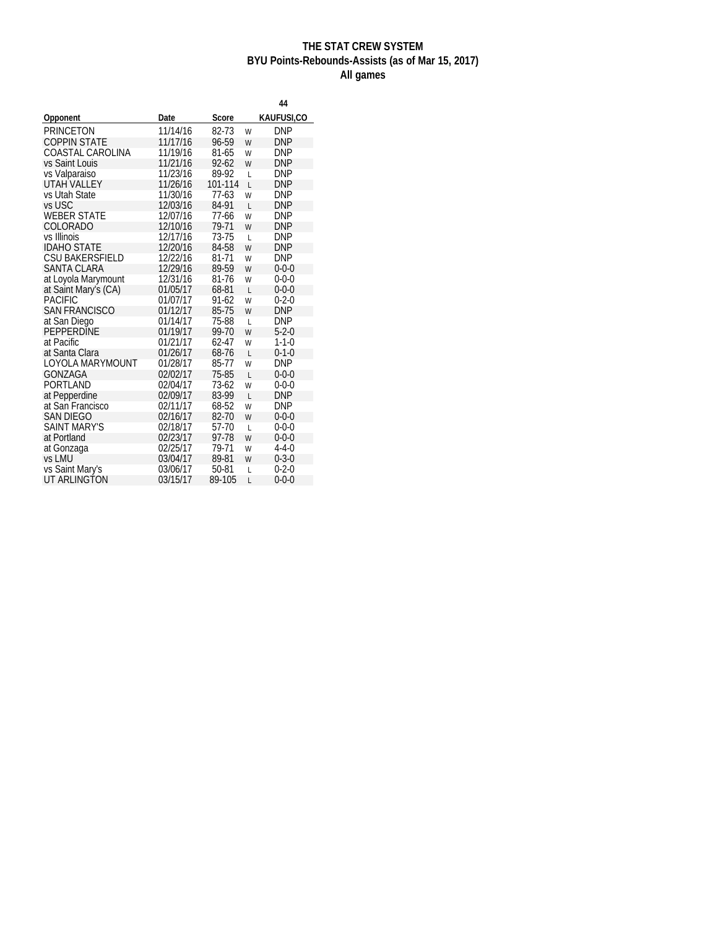## **THE STAT CREW SYSTEM BYU Points-Rebounds-Assists (as of Mar 15, 2017) All games**

|                        |          |           |                | 44          |
|------------------------|----------|-----------|----------------|-------------|
| Opponent               | Date     | Score     |                | KAUFUSI,CO  |
| <b>PRINCETON</b>       | 11/14/16 | 82-73     | W              | DNP         |
| <b>COPPIN STATE</b>    | 11/17/16 | 96-59     | W              | DNP         |
| COASTAL CAROLINA       | 11/19/16 | 81-65     | W              | <b>DNP</b>  |
| vs Saint Louis         | 11/21/16 | $92 - 62$ | W              | <b>DNP</b>  |
| vs Valparaiso          | 11/23/16 | 89-92     | L              | DNP         |
| UTAH VALLEY            | 11/26/16 | 101-114   | L              | DNP         |
| vs Utah State          | 11/30/16 | 77-63     | W              | DNP         |
| vs USC                 | 12/03/16 | 84-91     | L              | <b>DNP</b>  |
| <b>WEBER STATE</b>     | 12/07/16 | 77-66     | W              | DNP         |
| COLORADO               | 12/10/16 | 79-71     | W              | <b>DNP</b>  |
| vs Illinois            | 12/17/16 | 73-75     | $\overline{L}$ | DNP         |
| <b>IDAHO STATE</b>     | 12/20/16 | 84-58     | W              | <b>DNP</b>  |
| <b>CSU BAKERSFIELD</b> | 12/22/16 | 81-71     | W              | DNP         |
| <b>SANTA CLARA</b>     | 12/29/16 | 89-59     | W              | $0 - 0 - 0$ |
| at Loyola Marymount    | 12/31/16 | 81-76     | W              | $0 - 0 - 0$ |
| at Saint Mary's (CA)   | 01/05/17 | 68-81     | $\overline{L}$ | $0 - 0 - 0$ |
| <b>PACIFIC</b>         | 01/07/17 | 91-62     | W              | $0 - 2 - 0$ |
| <b>SAN FRANCISCO</b>   | 01/12/17 | 85-75     | W              | <b>DNP</b>  |
| at San Diego           | 01/14/17 | 75-88     | $\overline{L}$ | DNP         |
| PEPPERDINE             | 01/19/17 | 99-70     | W              | $5 - 2 - 0$ |
| at Pacific             | 01/21/17 | 62-47     | W              | $1 - 1 - 0$ |
| at Santa Clara         | 01/26/17 | 68-76     | $\overline{L}$ | $0 - 1 - 0$ |
| LOYOLA MARYMOUNT       | 01/28/17 | 85-77     | W              | <b>DNP</b>  |
| GONZAGA                | 02/02/17 | 75-85     | L              | $0 - 0 - 0$ |
| PORTLAND               | 02/04/17 | $73-62$   | W              | $0 - 0 - 0$ |
| at Pepperdine          | 02/09/17 | 83-99     | $\overline{L}$ | <b>DNP</b>  |
| at San Francisco       | 02/11/17 | 68-52     | W              | <b>DNP</b>  |
| <b>SAN DIEGO</b>       | 02/16/17 | 82-70     | W              | $0 - 0 - 0$ |
| <b>SAINT MARY'S</b>    | 02/18/17 | 57-70     | $\overline{L}$ | $0 - 0 - 0$ |
| at Portland            | 02/23/17 | 97-78     | W              | $0 - 0 - 0$ |
| at Gonzaga             | 02/25/17 | 79-71     | W              | $4 - 4 - 0$ |
| vs LMU                 | 03/04/17 | 89-81     | W              | $0 - 3 - 0$ |
| vs Saint Mary's        | 03/06/17 | 50-81     | L              | $0 - 2 - 0$ |
| UT ARLINGTON           | 03/15/17 | 89-105    | L              | $0 - 0 - 0$ |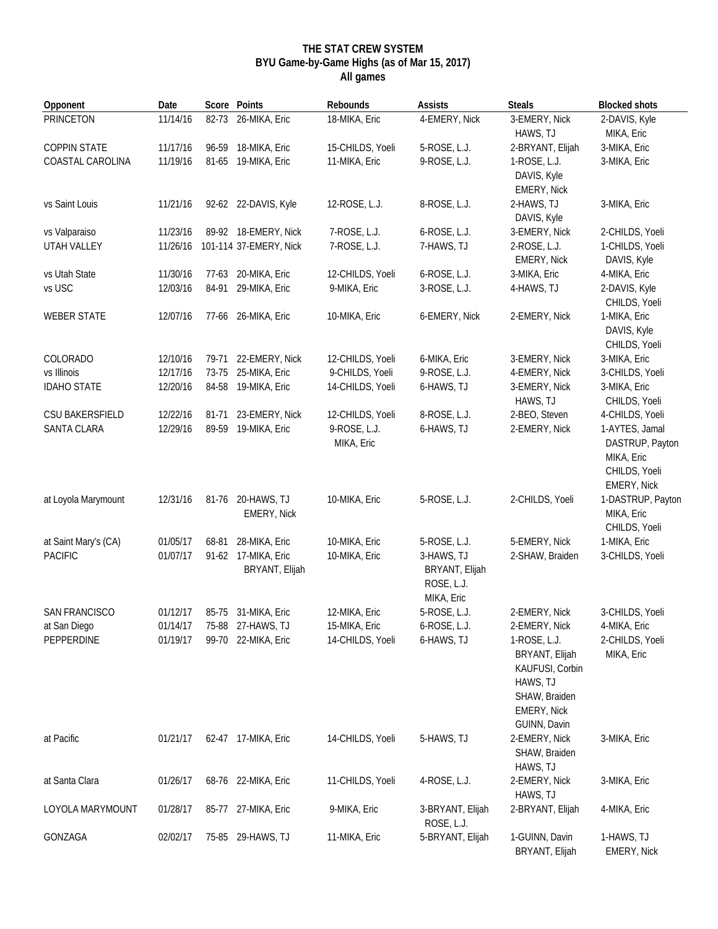#### **THE STAT CREW SYSTEM BYU Game-by-Game Highs (as of Mar 15, 2017) All games**

| Opponent             | Date     |       | Score Points                          | Rebounds                   | Assists                                                  | <b>Steals</b>                                                                                                 | <b>Blocked shots</b>                                                            |
|----------------------|----------|-------|---------------------------------------|----------------------------|----------------------------------------------------------|---------------------------------------------------------------------------------------------------------------|---------------------------------------------------------------------------------|
| <b>PRINCETON</b>     | 11/14/16 | 82-73 | 26-MIKA, Eric                         | 18-MIKA, Eric              | 4-EMERY, Nick                                            | 3-EMERY, Nick<br>HAWS, TJ                                                                                     | 2-DAVIS, Kyle<br>MIKA, Eric                                                     |
| <b>COPPIN STATE</b>  | 11/17/16 | 96-59 | 18-MIKA, Eric                         | 15-CHILDS, Yoeli           | 5-ROSE, L.J.                                             | 2-BRYANT, Elijah                                                                                              | 3-MIKA, Eric                                                                    |
| COASTAL CAROLINA     | 11/19/16 | 81-65 | 19-MIKA, Eric                         | 11-MIKA, Eric              | 9-ROSE, L.J.                                             | 1-ROSE, L.J.<br>DAVIS, Kyle<br>EMERY, Nick                                                                    | 3-MIKA, Eric                                                                    |
| vs Saint Louis       | 11/21/16 |       | 92-62 22-DAVIS, Kyle                  | 12-ROSE, L.J.              | 8-ROSE, L.J.                                             | 2-HAWS, TJ<br>DAVIS, Kyle                                                                                     | 3-MIKA, Eric                                                                    |
| vs Valparaiso        | 11/23/16 |       | 89-92 18-EMERY, Nick                  | 7-ROSE, L.J.               | 6-ROSE, L.J.                                             | 3-EMERY, Nick                                                                                                 | 2-CHILDS, Yoeli                                                                 |
| UTAH VALLEY          | 11/26/16 |       | 101-114 37-EMERY, Nick                | 7-ROSE, L.J.               | 7-HAWS, TJ                                               | 2-ROSE, L.J.<br><b>EMERY, Nick</b>                                                                            | 1-CHILDS, Yoeli<br>DAVIS, Kyle                                                  |
| vs Utah State        | 11/30/16 | 77-63 | 20-MIKA, Eric                         | 12-CHILDS, Yoeli           | 6-ROSE, L.J.                                             | 3-MIKA, Eric                                                                                                  | 4-MIKA, Eric                                                                    |
| vs USC               | 12/03/16 | 84-91 | 29-MIKA, Eric                         | 9-MIKA, Eric               | 3-ROSE, L.J.                                             | 4-HAWS, TJ                                                                                                    | 2-DAVIS, Kyle<br>CHILDS, Yoeli                                                  |
| <b>WEBER STATE</b>   | 12/07/16 |       | 77-66 26-MIKA, Eric                   | 10-MIKA, Eric              | 6-EMERY, Nick                                            | 2-EMERY, Nick                                                                                                 | 1-MIKA, Eric<br>DAVIS, Kyle<br>CHILDS, Yoeli                                    |
| COLORADO             | 12/10/16 | 79-71 | 22-EMERY, Nick                        | 12-CHILDS, Yoeli           | 6-MIKA, Eric                                             | 3-EMERY, Nick                                                                                                 | 3-MIKA, Eric                                                                    |
| vs Illinois          | 12/17/16 | 73-75 | 25-MIKA, Eric                         | 9-CHILDS, Yoeli            | 9-ROSE, L.J.                                             | 4-EMERY, Nick                                                                                                 | 3-CHILDS, Yoeli                                                                 |
| <b>IDAHO STATE</b>   | 12/20/16 |       | 84-58 19-MIKA, Eric                   | 14-CHILDS, Yoeli           | 6-HAWS, TJ                                               | 3-EMERY, Nick<br>HAWS, TJ                                                                                     | 3-MIKA, Eric<br>CHILDS, Yoeli                                                   |
| CSU BAKERSFIELD      | 12/22/16 | 81-71 | 23-EMERY, Nick                        | 12-CHILDS, Yoeli           | 8-ROSE, L.J.                                             | 2-BEO, Steven                                                                                                 | 4-CHILDS, Yoeli                                                                 |
| SANTA CLARA          | 12/29/16 | 89-59 | 19-MIKA, Eric                         | 9-ROSE, L.J.<br>MIKA, Eric | 6-HAWS, TJ                                               | 2-EMERY, Nick                                                                                                 | 1-AYTES, Jamal<br>DASTRUP, Payton<br>MIKA, Eric<br>CHILDS, Yoeli<br>EMERY, Nick |
| at Loyola Marymount  | 12/31/16 | 81-76 | 20-HAWS, TJ<br><b>EMERY, Nick</b>     | 10-MIKA, Eric              | 5-ROSE, L.J.                                             | 2-CHILDS, Yoeli                                                                                               | 1-DASTRUP, Payton<br>MIKA, Eric<br>CHILDS, Yoeli                                |
| at Saint Mary's (CA) | 01/05/17 | 68-81 | 28-MIKA, Eric                         | 10-MIKA, Eric              | 5-ROSE, L.J.                                             | 5-EMERY, Nick                                                                                                 | 1-MIKA, Eric                                                                    |
| <b>PACIFIC</b>       | 01/07/17 |       | 91-62 17-MIKA, Eric<br>BRYANT, Elijah | 10-MIKA, Eric              | 3-HAWS, TJ<br>BRYANT, Elijah<br>ROSE, L.J.<br>MIKA, Eric | 2-SHAW, Braiden                                                                                               | 3-CHILDS, Yoeli                                                                 |
| <b>SAN FRANCISCO</b> | 01/12/17 |       | 85-75 31-MIKA, Eric                   | 12-MIKA, Eric              | 5-ROSE, L.J.                                             | 2-EMERY, Nick                                                                                                 | 3-CHILDS, Yoeli                                                                 |
| at San Diego         | 01/14/17 |       | 75-88 27-HAWS, TJ                     | 15-MIKA, Eric              | 6-ROSE, L.J.                                             | 2-EMERY, Nick                                                                                                 | 4-MIKA, Eric                                                                    |
| PEPPERDINE           | 01/19/17 |       | 99-70 22-MIKA, Eric                   | 14-CHILDS, Yoeli           | 6-HAWS, TJ                                               | 1-ROSE, L.J.<br>BRYANT, Elijah<br>KAUFUSI, Corbin<br>HAWS, TJ<br>SHAW, Braiden<br>EMERY, Nick<br>GUINN, Davin | 2-CHILDS, Yoeli<br>MIKA, Eric                                                   |
| at Pacific           | 01/21/17 |       | 62-47 17-MIKA, Eric                   | 14-CHILDS, Yoeli           | 5-HAWS, TJ                                               | 2-EMERY, Nick<br>SHAW, Braiden<br>HAWS, TJ                                                                    | 3-MIKA, Eric                                                                    |
| at Santa Clara       | 01/26/17 |       | 68-76 22-MIKA, Eric                   | 11-CHILDS, Yoeli           | 4-ROSE, L.J.                                             | 2-EMERY, Nick<br>HAWS, TJ                                                                                     | 3-MIKA, Eric                                                                    |
| LOYOLA MARYMOUNT     | 01/28/17 |       | 85-77 27-MIKA, Eric                   | 9-MIKA, Eric               | 3-BRYANT, Elijah<br>ROSE, L.J.                           | 2-BRYANT, Elijah                                                                                              | 4-MIKA, Eric                                                                    |
| GONZAGA              | 02/02/17 |       | 75-85 29-HAWS, TJ                     | 11-MIKA, Eric              | 5-BRYANT, Elijah                                         | 1-GUINN, Davin<br>BRYANT, Elijah                                                                              | 1-HAWS, TJ<br><b>EMERY, Nick</b>                                                |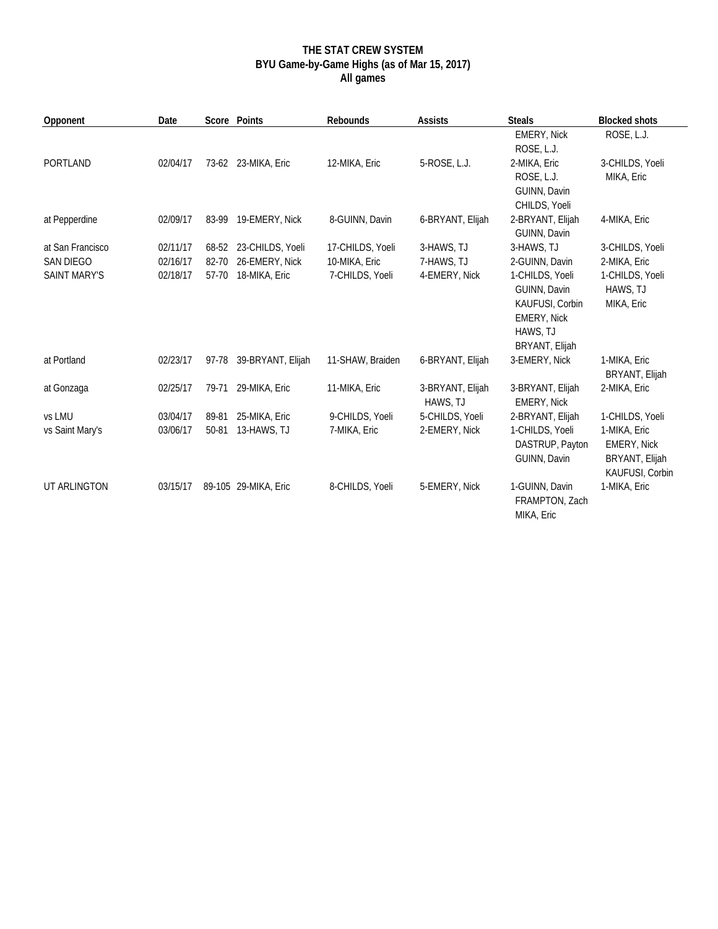## **THE STAT CREW SYSTEM BYU Game-by-Game Highs (as of Mar 15, 2017) All games**

| Opponent            | Date     |       | Score Points            | Rebounds         | Assists                      | <b>Steals</b>                                                                                          | <b>Blocked shots</b>                                                    |
|---------------------|----------|-------|-------------------------|------------------|------------------------------|--------------------------------------------------------------------------------------------------------|-------------------------------------------------------------------------|
|                     |          |       |                         |                  |                              | <b>EMERY, Nick</b><br>ROSE, L.J.                                                                       | ROSE, L.J.                                                              |
| <b>PORTLAND</b>     | 02/04/17 |       | 73-62 23-MIKA, Eric     | 12-MIKA, Eric    | 5-ROSE, L.J.                 | 2-MIKA, Eric<br>ROSE, L.J.<br>GUINN, Davin<br>CHILDS, Yoeli                                            | 3-CHILDS, Yoeli<br>MIKA, Eric                                           |
| at Pepperdine       | 02/09/17 |       | 83-99 19-EMERY, Nick    | 8-GUINN, Davin   | 6-BRYANT, Elijah             | 2-BRYANT, Elijah<br>GUINN, Davin                                                                       | 4-MIKA, Eric                                                            |
| at San Francisco    | 02/11/17 |       | 68-52 23-CHILDS, Yoeli  | 17-CHILDS, Yoeli | 3-HAWS, TJ                   | 3-HAWS, TJ                                                                                             | 3-CHILDS, Yoeli                                                         |
| SAN DIEGO           | 02/16/17 | 82-70 | 26-EMERY, Nick          | 10-MIKA, Eric    | 7-HAWS, TJ                   | 2-GUINN, Davin                                                                                         | 2-MIKA, Eric                                                            |
| <b>SAINT MARY'S</b> | 02/18/17 | 57-70 | 18-MIKA, Eric           | 7-CHILDS, Yoeli  | 4-EMERY, Nick                | 1-CHILDS, Yoeli<br>GUINN, Davin<br>KAUFUSI, Corbin<br><b>EMERY, Nick</b><br>HAWS, TJ<br>BRYANT, Elijah | 1-CHILDS, Yoeli<br>HAWS, TJ<br>MIKA, Eric                               |
| at Portland         | 02/23/17 |       | 97-78 39-BRYANT, Elijah | 11-SHAW, Braiden | 6-BRYANT, Elijah             | 3-EMERY, Nick                                                                                          | 1-MIKA, Eric<br><b>BRYANT, Elijah</b>                                   |
| at Gonzaga          | 02/25/17 | 79-71 | 29-MIKA, Eric           | 11-MIKA, Eric    | 3-BRYANT, Elijah<br>HAWS, TJ | 3-BRYANT, Elijah<br>EMERY, Nick                                                                        | 2-MIKA, Eric                                                            |
| vs LMU              | 03/04/17 | 89-81 | 25-MIKA, Eric           | 9-CHILDS, Yoeli  | 5-CHILDS, Yoeli              | 2-BRYANT, Elijah                                                                                       | 1-CHILDS, Yoeli                                                         |
| vs Saint Mary's     | 03/06/17 | 50-81 | 13-HAWS, TJ             | 7-MIKA, Eric     | 2-EMERY, Nick                | 1-CHILDS, Yoeli<br>DASTRUP, Payton<br>GUINN, Davin                                                     | 1-MIKA, Eric<br><b>EMERY, Nick</b><br>BRYANT, Elijah<br>KAUFUSI, Corbin |
| UT ARLINGTON        | 03/15/17 |       | 89-105 29-MIKA, Eric    | 8-CHILDS, Yoeli  | 5-EMERY, Nick                | 1-GUINN, Davin<br>FRAMPTON, Zach<br>MIKA, Eric                                                         | 1-MIKA, Eric                                                            |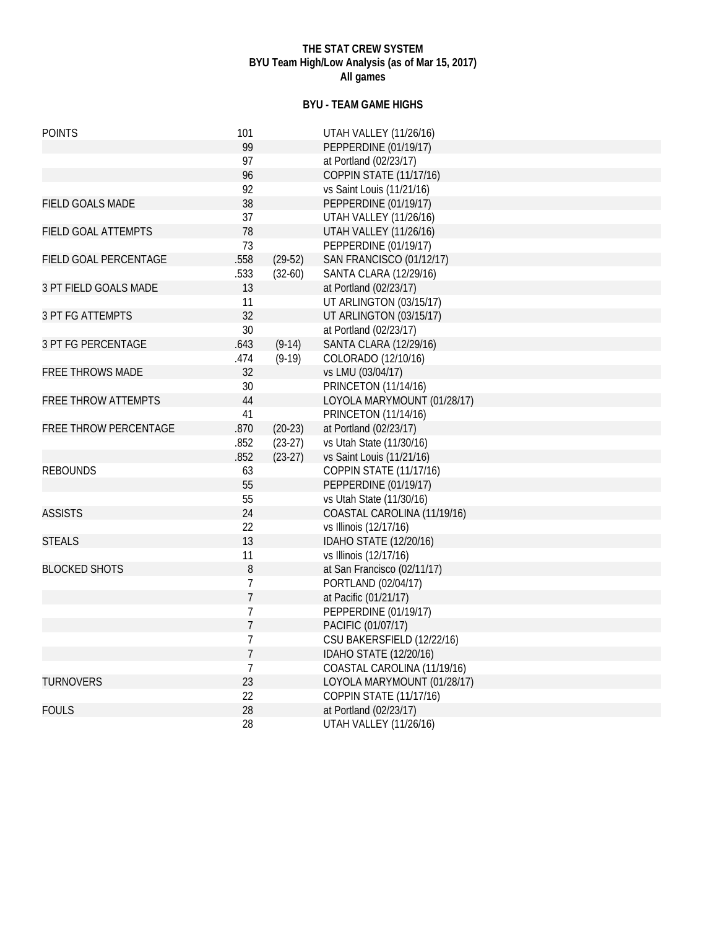### **THE STAT CREW SYSTEM BYU Team High/Low Analysis (as of Mar 15, 2017) All games**

## **BYU - TEAM GAME HIGHS**

| <b>POINTS</b>              | 101            |           | <b>UTAH VALLEY (11/26/16)</b>   |
|----------------------------|----------------|-----------|---------------------------------|
|                            | 99             |           | PEPPERDINE (01/19/17)           |
|                            | 97             |           | at Portland (02/23/17)          |
|                            | 96             |           | <b>COPPIN STATE (11/17/16)</b>  |
|                            | 92             |           | vs Saint Louis (11/21/16)       |
| <b>FIELD GOALS MADE</b>    | 38             |           | PEPPERDINE (01/19/17)           |
|                            | 37             |           | <b>UTAH VALLEY (11/26/16)</b>   |
| FIELD GOAL ATTEMPTS        | 78             |           | <b>UTAH VALLEY (11/26/16)</b>   |
|                            | 73             |           | PEPPERDINE (01/19/17)           |
| FIELD GOAL PERCENTAGE      | .558           | $(29-52)$ | <b>SAN FRANCISCO (01/12/17)</b> |
|                            | .533           | $(32-60)$ | <b>SANTA CLARA (12/29/16)</b>   |
| 3 PT FIELD GOALS MADE      | 13             |           | at Portland (02/23/17)          |
|                            | 11             |           | UT ARLINGTON (03/15/17)         |
| 3 PT FG ATTEMPTS           | 32             |           | UT ARLINGTON (03/15/17)         |
|                            | 30             |           | at Portland (02/23/17)          |
| <b>3 PT FG PERCENTAGE</b>  | .643           | $(9-14)$  | <b>SANTA CLARA (12/29/16)</b>   |
|                            | .474           | $(9-19)$  | COLORADO (12/10/16)             |
| <b>FREE THROWS MADE</b>    | 32             |           | vs LMU (03/04/17)               |
|                            | 30             |           | <b>PRINCETON (11/14/16)</b>     |
| <b>FREE THROW ATTEMPTS</b> | 44             |           | LOYOLA MARYMOUNT (01/28/17)     |
|                            | 41             |           | <b>PRINCETON (11/14/16)</b>     |
| FREE THROW PERCENTAGE      | .870           | $(20-23)$ | at Portland (02/23/17)          |
|                            | .852           | $(23-27)$ | vs Utah State (11/30/16)        |
|                            | .852           | $(23-27)$ | vs Saint Louis (11/21/16)       |
| <b>REBOUNDS</b>            | 63             |           | <b>COPPIN STATE (11/17/16)</b>  |
|                            | 55             |           | PEPPERDINE (01/19/17)           |
|                            | 55             |           | vs Utah State (11/30/16)        |
| <b>ASSISTS</b>             | 24             |           | COASTAL CAROLINA (11/19/16)     |
|                            | 22             |           | vs Illinois (12/17/16)          |
| <b>STEALS</b>              | 13             |           | IDAHO STATE (12/20/16)          |
|                            | 11             |           | vs Illinois (12/17/16)          |
| <b>BLOCKED SHOTS</b>       | 8              |           | at San Francisco (02/11/17)     |
|                            | 7              |           | PORTLAND (02/04/17)             |
|                            | $\overline{1}$ |           | at Pacific (01/21/17)           |
|                            | 7              |           | PEPPERDINE (01/19/17)           |
|                            | $\overline{1}$ |           | PACIFIC (01/07/17)              |
|                            | 7              |           | CSU BAKERSFIELD (12/22/16)      |
|                            | $\overline{1}$ |           | IDAHO STATE (12/20/16)          |
|                            | 7              |           | COASTAL CAROLINA (11/19/16)     |
| <b>TURNOVERS</b>           | 23             |           | LOYOLA MARYMOUNT (01/28/17)     |
|                            | 22             |           | <b>COPPIN STATE (11/17/16)</b>  |
| <b>FOULS</b>               | 28             |           | at Portland (02/23/17)          |
|                            | 28             |           | <b>UTAH VALLEY (11/26/16)</b>   |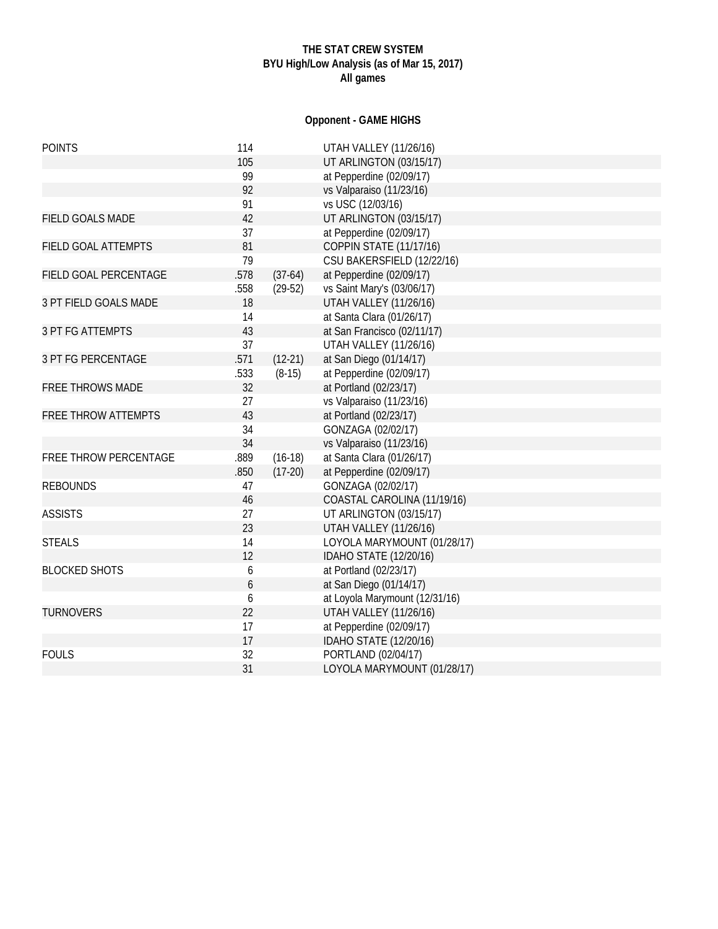## **THE STAT CREW SYSTEM BYU High/Low Analysis (as of Mar 15, 2017) All games**

## **Opponent - GAME HIGHS**

| <b>POINTS</b>              | 114  |           | <b>UTAH VALLEY (11/26/16)</b>  |
|----------------------------|------|-----------|--------------------------------|
|                            | 105  |           | UT ARLINGTON (03/15/17)        |
|                            | 99   |           | at Pepperdine (02/09/17)       |
|                            | 92   |           | vs Valparaiso (11/23/16)       |
|                            | 91   |           | vs USC (12/03/16)              |
| <b>FIELD GOALS MADE</b>    | 42   |           | UT ARLINGTON (03/15/17)        |
|                            | 37   |           | at Pepperdine (02/09/17)       |
| FIELD GOAL ATTEMPTS        | 81   |           | <b>COPPIN STATE (11/17/16)</b> |
|                            | 79   |           | CSU BAKERSFIELD (12/22/16)     |
| FIELD GOAL PERCENTAGE      | .578 | $(37-64)$ | at Pepperdine (02/09/17)       |
|                            | .558 | $(29-52)$ | vs Saint Mary's (03/06/17)     |
| 3 PT FIELD GOALS MADE      | 18   |           | <b>UTAH VALLEY (11/26/16)</b>  |
|                            | 14   |           | at Santa Clara (01/26/17)      |
| <b>3 PT FG ATTEMPTS</b>    | 43   |           | at San Francisco (02/11/17)    |
|                            | 37   |           | <b>UTAH VALLEY (11/26/16)</b>  |
| <b>3 PT FG PERCENTAGE</b>  | .571 | $(12-21)$ | at San Diego (01/14/17)        |
|                            | .533 | $(8-15)$  | at Pepperdine (02/09/17)       |
| <b>FREE THROWS MADE</b>    | 32   |           | at Portland (02/23/17)         |
|                            | 27   |           | vs Valparaiso (11/23/16)       |
| <b>FREE THROW ATTEMPTS</b> | 43   |           | at Portland (02/23/17)         |
|                            | 34   |           | GONZAGA (02/02/17)             |
|                            | 34   |           | vs Valparaiso (11/23/16)       |
| FREE THROW PERCENTAGE      | .889 | $(16-18)$ | at Santa Clara (01/26/17)      |
|                            | .850 | $(17-20)$ | at Pepperdine (02/09/17)       |
| <b>REBOUNDS</b>            | 47   |           | GONZAGA (02/02/17)             |
|                            | 46   |           | COASTAL CAROLINA (11/19/16)    |
| <b>ASSISTS</b>             | 27   |           | UT ARLINGTON (03/15/17)        |
|                            | 23   |           | <b>UTAH VALLEY (11/26/16)</b>  |
| <b>STEALS</b>              | 14   |           | LOYOLA MARYMOUNT (01/28/17)    |
|                            | 12   |           | IDAHO STATE (12/20/16)         |
| <b>BLOCKED SHOTS</b>       | 6    |           | at Portland (02/23/17)         |
|                            | 6    |           | at San Diego (01/14/17)        |
|                            | 6    |           | at Loyola Marymount (12/31/16) |
| <b>TURNOVERS</b>           | 22   |           | <b>UTAH VALLEY (11/26/16)</b>  |
|                            | 17   |           | at Pepperdine (02/09/17)       |
|                            | 17   |           | IDAHO STATE (12/20/16)         |
| <b>FOULS</b>               | 32   |           | PORTLAND (02/04/17)            |
|                            | 31   |           | LOYOLA MARYMOUNT (01/28/17)    |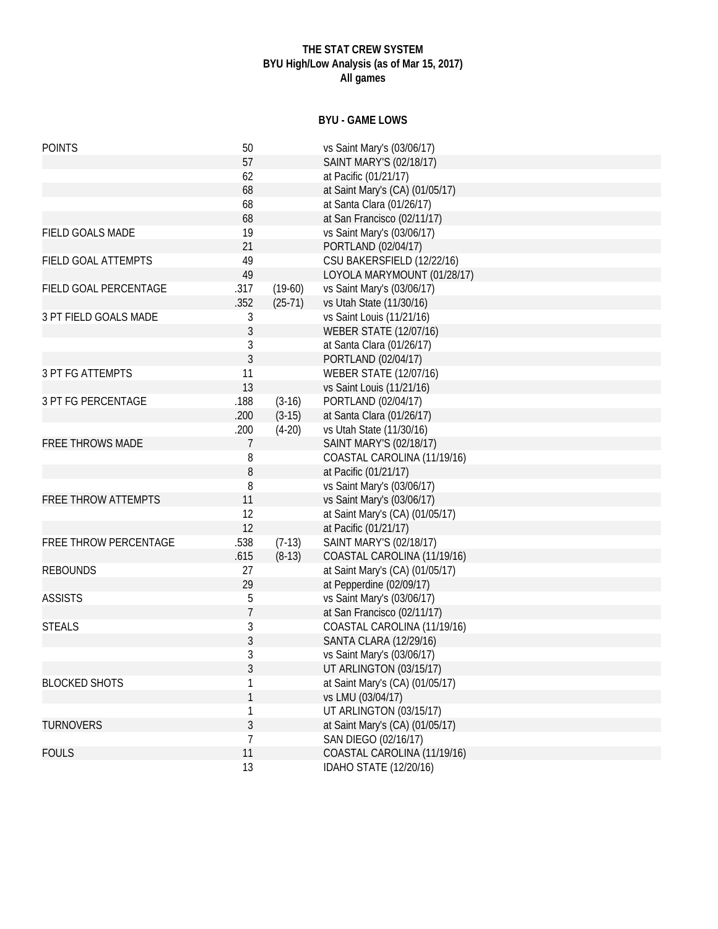## **THE STAT CREW SYSTEM BYU High/Low Analysis (as of Mar 15, 2017) All games**

## **BYU - GAME LOWS**

| <b>POINTS</b>              | 50             |           | vs Saint Mary's (03/06/17)      |
|----------------------------|----------------|-----------|---------------------------------|
|                            | 57             |           | SAINT MARY'S (02/18/17)         |
|                            | 62             |           | at Pacific (01/21/17)           |
|                            | 68             |           | at Saint Mary's (CA) (01/05/17) |
|                            | 68             |           | at Santa Clara (01/26/17)       |
|                            | 68             |           | at San Francisco (02/11/17)     |
| FIELD GOALS MADE           | 19             |           | vs Saint Mary's (03/06/17)      |
|                            | 21             |           | PORTLAND (02/04/17)             |
| FIELD GOAL ATTEMPTS        | 49             |           | CSU BAKERSFIELD (12/22/16)      |
|                            | 49             |           | LOYOLA MARYMOUNT (01/28/17)     |
| FIELD GOAL PERCENTAGE      | .317           | $(19-60)$ | vs Saint Mary's (03/06/17)      |
|                            | .352           | $(25-71)$ | vs Utah State (11/30/16)        |
| 3 PT FIELD GOALS MADE      | 3              |           | vs Saint Louis (11/21/16)       |
|                            | 3              |           | <b>WEBER STATE (12/07/16)</b>   |
|                            | 3              |           | at Santa Clara (01/26/17)       |
|                            | 3              |           | PORTLAND (02/04/17)             |
| <b>3 PT FG ATTEMPTS</b>    | 11             |           | <b>WEBER STATE (12/07/16)</b>   |
|                            | 13             |           | vs Saint Louis (11/21/16)       |
| <b>3 PT FG PERCENTAGE</b>  | .188           | $(3-16)$  | PORTLAND (02/04/17)             |
|                            | .200           | $(3-15)$  | at Santa Clara (01/26/17)       |
|                            | .200           | $(4-20)$  | vs Utah State (11/30/16)        |
| <b>FREE THROWS MADE</b>    | 7              |           | SAINT MARY'S (02/18/17)         |
|                            | 8              |           | COASTAL CAROLINA (11/19/16)     |
|                            | 8              |           | at Pacific (01/21/17)           |
|                            | 8              |           | vs Saint Mary's (03/06/17)      |
| <b>FREE THROW ATTEMPTS</b> | 11             |           | vs Saint Mary's (03/06/17)      |
|                            | 12             |           | at Saint Mary's (CA) (01/05/17) |
|                            | 12             |           | at Pacific (01/21/17)           |
| FREE THROW PERCENTAGE      | .538           | $(7-13)$  | SAINT MARY'S (02/18/17)         |
|                            | .615           | $(8-13)$  | COASTAL CAROLINA (11/19/16)     |
| <b>REBOUNDS</b>            | 27             |           | at Saint Mary's (CA) (01/05/17) |
|                            | 29             |           | at Pepperdine (02/09/17)        |
| <b>ASSISTS</b>             | 5              |           | vs Saint Mary's (03/06/17)      |
|                            | $\overline{7}$ |           | at San Francisco (02/11/17)     |
| <b>STEALS</b>              | 3              |           | COASTAL CAROLINA (11/19/16)     |
|                            | 3              |           | <b>SANTA CLARA (12/29/16)</b>   |
|                            | 3              |           | vs Saint Mary's (03/06/17)      |
|                            | 3              |           | UT ARLINGTON (03/15/17)         |
| <b>BLOCKED SHOTS</b>       | 1              |           | at Saint Mary's (CA) (01/05/17) |
|                            | 1              |           | vs LMU (03/04/17)               |
|                            | 1              |           | UT ARLINGTON (03/15/17)         |
| <b>TURNOVERS</b>           | $\mathfrak{Z}$ |           | at Saint Mary's (CA) (01/05/17) |
|                            | $\overline{7}$ |           | SAN DIEGO (02/16/17)            |
| <b>FOULS</b>               | 11             |           | COASTAL CAROLINA (11/19/16)     |
|                            | 13             |           | IDAHO STATE (12/20/16)          |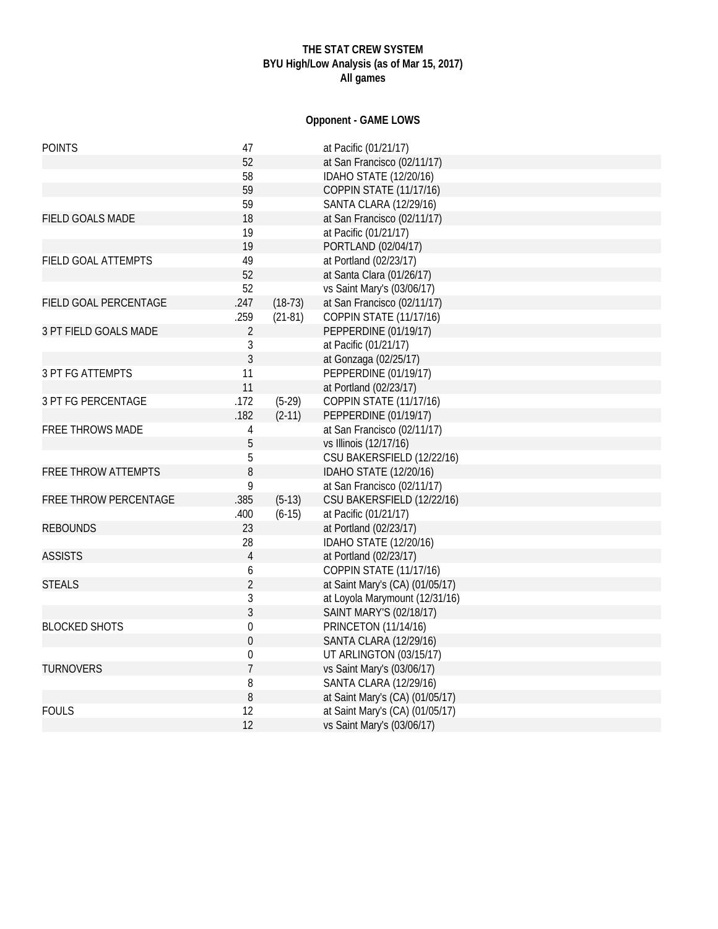## **THE STAT CREW SYSTEM BYU High/Low Analysis (as of Mar 15, 2017) All games**

# **Opponent - GAME LOWS**

| <b>POINTS</b>              | 47               |           | at Pacific (01/21/17)           |
|----------------------------|------------------|-----------|---------------------------------|
|                            | 52               |           | at San Francisco (02/11/17)     |
|                            | 58               |           | IDAHO STATE (12/20/16)          |
|                            | 59               |           | <b>COPPIN STATE (11/17/16)</b>  |
|                            | 59               |           | SANTA CLARA (12/29/16)          |
| <b>FIELD GOALS MADE</b>    | 18               |           | at San Francisco (02/11/17)     |
|                            | 19               |           | at Pacific (01/21/17)           |
|                            | 19               |           | PORTLAND (02/04/17)             |
| FIELD GOAL ATTEMPTS        | 49               |           | at Portland (02/23/17)          |
|                            | 52               |           | at Santa Clara (01/26/17)       |
|                            | 52               |           | vs Saint Mary's (03/06/17)      |
| FIELD GOAL PERCENTAGE      | .247             | $(18-73)$ | at San Francisco (02/11/17)     |
|                            | .259             | $(21-81)$ | COPPIN STATE (11/17/16)         |
| 3 PT FIELD GOALS MADE      | $\overline{2}$   |           | PEPPERDINE (01/19/17)           |
|                            | $\mathfrak{Z}$   |           | at Pacific (01/21/17)           |
|                            | $\overline{3}$   |           | at Gonzaga (02/25/17)           |
| <b>3 PT FG ATTEMPTS</b>    | 11               |           | PEPPERDINE (01/19/17)           |
|                            | 11               |           | at Portland (02/23/17)          |
| <b>3 PT FG PERCENTAGE</b>  | .172             | $(5-29)$  | <b>COPPIN STATE (11/17/16)</b>  |
|                            | .182             | $(2-11)$  | PEPPERDINE (01/19/17)           |
| <b>FREE THROWS MADE</b>    | 4                |           | at San Francisco (02/11/17)     |
|                            | 5                |           | vs Illinois (12/17/16)          |
|                            | 5                |           | CSU BAKERSFIELD (12/22/16)      |
| <b>FREE THROW ATTEMPTS</b> | 8                |           | IDAHO STATE (12/20/16)          |
|                            | 9                |           | at San Francisco (02/11/17)     |
| FREE THROW PERCENTAGE      | .385             | $(5-13)$  | CSU BAKERSFIELD (12/22/16)      |
|                            | .400             | $(6-15)$  | at Pacific (01/21/17)           |
| <b>REBOUNDS</b>            | 23               |           | at Portland (02/23/17)          |
|                            | 28               |           | IDAHO STATE (12/20/16)          |
| <b>ASSISTS</b>             | $\overline{4}$   |           | at Portland (02/23/17)          |
|                            | 6                |           | <b>COPPIN STATE (11/17/16)</b>  |
| <b>STEALS</b>              | $\overline{2}$   |           | at Saint Mary's (CA) (01/05/17) |
|                            | $\sqrt{3}$       |           | at Loyola Marymount (12/31/16)  |
|                            | $\overline{3}$   |           | SAINT MARY'S (02/18/17)         |
| <b>BLOCKED SHOTS</b>       | $\boldsymbol{0}$ |           | <b>PRINCETON (11/14/16)</b>     |
|                            | $\mathbf{0}$     |           | <b>SANTA CLARA (12/29/16)</b>   |
|                            | $\boldsymbol{0}$ |           | UT ARLINGTON (03/15/17)         |
| <b>TURNOVERS</b>           | $\overline{1}$   |           | vs Saint Mary's (03/06/17)      |
|                            | 8                |           | <b>SANTA CLARA (12/29/16)</b>   |
|                            | 8                |           | at Saint Mary's (CA) (01/05/17) |
| <b>FOULS</b>               | 12               |           | at Saint Mary's (CA) (01/05/17) |
|                            | 12               |           | vs Saint Mary's (03/06/17)      |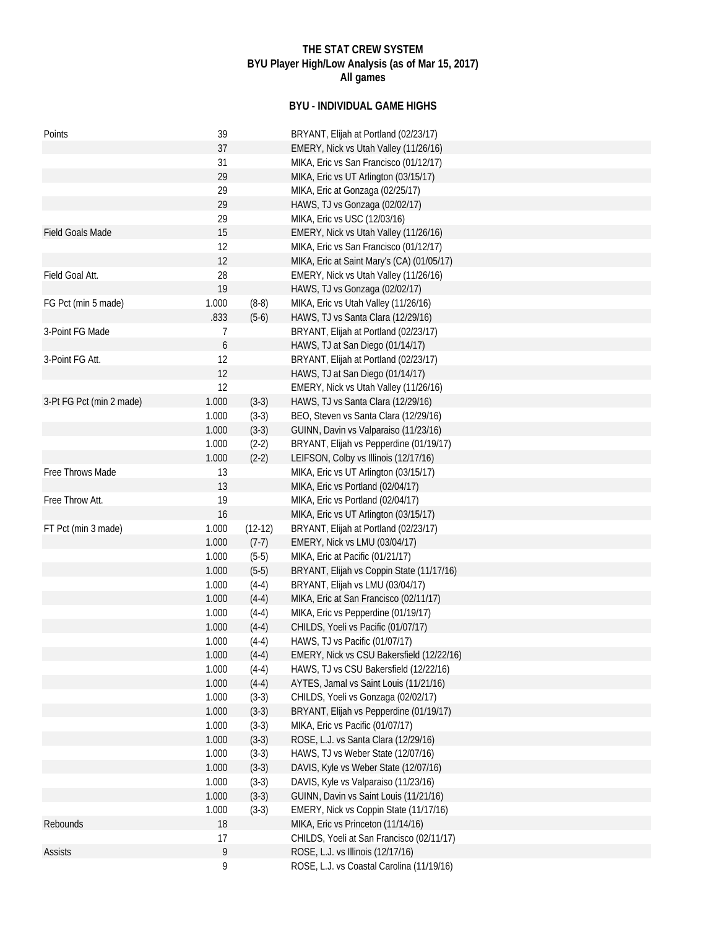## **THE STAT CREW SYSTEM BYU Player High/Low Analysis (as of Mar 15, 2017) All games**

## **BYU - INDIVIDUAL GAME HIGHS**

| Points                   | 39    |           | BRYANT, Elijah at Portland (02/23/17)      |
|--------------------------|-------|-----------|--------------------------------------------|
|                          | 37    |           | EMERY, Nick vs Utah Valley (11/26/16)      |
|                          | 31    |           | MIKA, Eric vs San Francisco (01/12/17)     |
|                          | 29    |           | MIKA, Eric vs UT Arlington (03/15/17)      |
|                          | 29    |           | MIKA, Eric at Gonzaga (02/25/17)           |
|                          | 29    |           | HAWS, TJ vs Gonzaga (02/02/17)             |
|                          | 29    |           | MIKA, Eric vs USC (12/03/16)               |
| <b>Field Goals Made</b>  | 15    |           | EMERY, Nick vs Utah Valley (11/26/16)      |
|                          | 12    |           | MIKA, Eric vs San Francisco (01/12/17)     |
|                          | 12    |           | MIKA, Eric at Saint Mary's (CA) (01/05/17) |
| Field Goal Att.          | 28    |           | EMERY, Nick vs Utah Valley (11/26/16)      |
|                          | 19    |           | HAWS, TJ vs Gonzaga (02/02/17)             |
| FG Pct (min 5 made)      | 1.000 | $(8-8)$   | MIKA, Eric vs Utah Valley (11/26/16)       |
|                          | .833  | $(5-6)$   | HAWS, TJ vs Santa Clara (12/29/16)         |
| 3-Point FG Made          | 7     |           | BRYANT, Elijah at Portland (02/23/17)      |
|                          | 6     |           | HAWS, TJ at San Diego (01/14/17)           |
| 3-Point FG Att.          | 12    |           | BRYANT, Elijah at Portland (02/23/17)      |
|                          | 12    |           | HAWS, TJ at San Diego (01/14/17)           |
|                          | 12    |           | EMERY, Nick vs Utah Valley (11/26/16)      |
| 3-Pt FG Pct (min 2 made) | 1.000 | $(3-3)$   | HAWS, TJ vs Santa Clara (12/29/16)         |
|                          | 1.000 | $(3-3)$   | BEO, Steven vs Santa Clara (12/29/16)      |
|                          | 1.000 | $(3-3)$   | GUINN, Davin vs Valparaiso (11/23/16)      |
|                          | 1.000 | $(2-2)$   | BRYANT, Elijah vs Pepperdine (01/19/17)    |
|                          | 1.000 | $(2-2)$   | LEIFSON, Colby vs Illinois (12/17/16)      |
| Free Throws Made         | 13    |           | MIKA, Eric vs UT Arlington (03/15/17)      |
|                          | 13    |           | MIKA, Eric vs Portland (02/04/17)          |
| Free Throw Att.          | 19    |           | MIKA, Eric vs Portland (02/04/17)          |
|                          | 16    |           | MIKA, Eric vs UT Arlington (03/15/17)      |
| FT Pct (min 3 made)      | 1.000 | $(12-12)$ | BRYANT, Elijah at Portland (02/23/17)      |
|                          | 1.000 | $(7-7)$   | EMERY, Nick vs LMU (03/04/17)              |
|                          | 1.000 | $(5-5)$   | MIKA, Eric at Pacific (01/21/17)           |
|                          | 1.000 | $(5-5)$   | BRYANT, Elijah vs Coppin State (11/17/16)  |
|                          | 1.000 | $(4-4)$   | BRYANT, Elijah vs LMU (03/04/17)           |
|                          | 1.000 | $(4-4)$   | MIKA, Eric at San Francisco (02/11/17)     |
|                          | 1.000 | $(4-4)$   | MIKA, Eric vs Pepperdine (01/19/17)        |
|                          | 1.000 | $(4-4)$   | CHILDS, Yoeli vs Pacific (01/07/17)        |
|                          | 1.000 | $(4-4)$   | HAWS, TJ vs Pacific (01/07/17)             |
|                          | 1.000 | $(4-4)$   | EMERY, Nick vs CSU Bakersfield (12/22/16)  |
|                          | 1.000 | $(4-4)$   | HAWS, TJ vs CSU Bakersfield (12/22/16)     |
|                          | 1.000 | $(4-4)$   | AYTES, Jamal vs Saint Louis (11/21/16)     |
|                          | 1.000 | $(3-3)$   | CHILDS, Yoeli vs Gonzaga (02/02/17)        |
|                          | 1.000 | $(3-3)$   | BRYANT, Elijah vs Pepperdine (01/19/17)    |
|                          | 1.000 | $(3-3)$   | MIKA, Eric vs Pacific (01/07/17)           |
|                          | 1.000 | $(3-3)$   | ROSE, L.J. vs Santa Clara (12/29/16)       |
|                          | 1.000 | $(3-3)$   | HAWS, TJ vs Weber State (12/07/16)         |
|                          | 1.000 | $(3-3)$   | DAVIS, Kyle vs Weber State (12/07/16)      |
|                          | 1.000 | $(3-3)$   | DAVIS, Kyle vs Valparaiso (11/23/16)       |
|                          | 1.000 | $(3-3)$   | GUINN, Davin vs Saint Louis (11/21/16)     |
|                          | 1.000 | $(3-3)$   | EMERY, Nick vs Coppin State (11/17/16)     |
| Rebounds                 | 18    |           | MIKA, Eric vs Princeton (11/14/16)         |
|                          | 17    |           | CHILDS, Yoeli at San Francisco (02/11/17)  |
| <b>Assists</b>           | 9     |           | ROSE, L.J. vs Illinois (12/17/16)          |
|                          | 9     |           | ROSE, L.J. vs Coastal Carolina (11/19/16)  |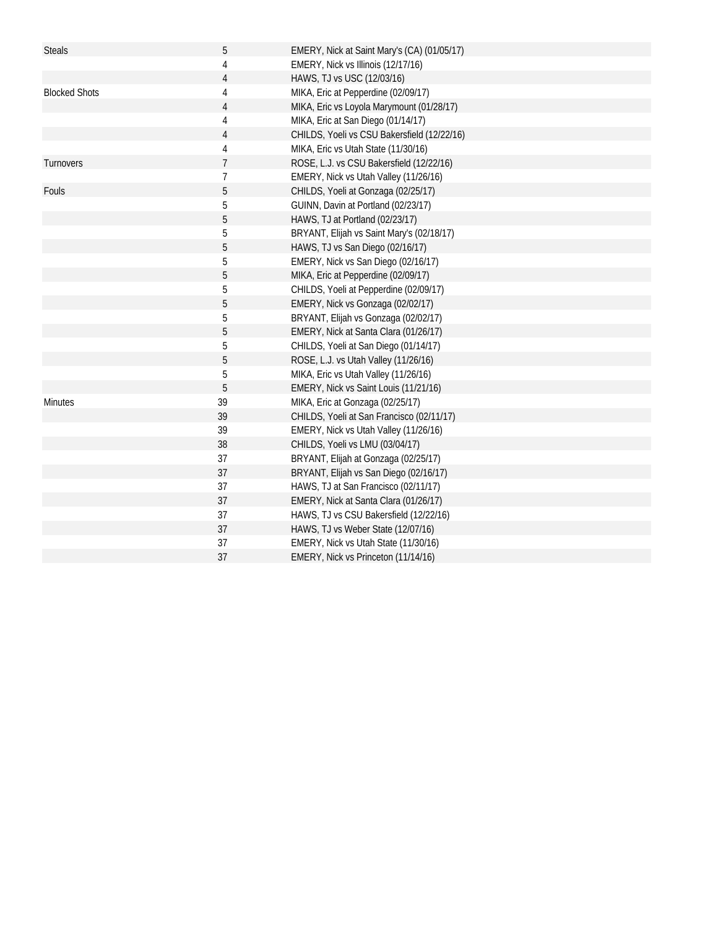| <b>Steals</b>        | 5              | EMERY, Nick at Saint Mary's (CA) (01/05/17) |
|----------------------|----------------|---------------------------------------------|
|                      | 4              | EMERY, Nick vs Illinois (12/17/16)          |
|                      | 4              | HAWS, TJ vs USC (12/03/16)                  |
| <b>Blocked Shots</b> | 4              | MIKA, Eric at Pepperdine (02/09/17)         |
|                      | 4              | MIKA, Eric vs Loyola Marymount (01/28/17)   |
|                      | 4              | MIKA, Eric at San Diego (01/14/17)          |
|                      | 4              | CHILDS, Yoeli vs CSU Bakersfield (12/22/16) |
|                      | 4              | MIKA, Eric vs Utah State (11/30/16)         |
| Turnovers            | $\overline{7}$ | ROSE, L.J. vs CSU Bakersfield (12/22/16)    |
|                      | 7              | EMERY, Nick vs Utah Valley (11/26/16)       |
| Fouls                | 5              | CHILDS, Yoeli at Gonzaga (02/25/17)         |
|                      | 5              | GUINN, Davin at Portland (02/23/17)         |
|                      | 5              | HAWS, TJ at Portland (02/23/17)             |
|                      | 5              | BRYANT, Elijah vs Saint Mary's (02/18/17)   |
|                      | 5              | HAWS, TJ vs San Diego (02/16/17)            |
|                      | 5              | EMERY, Nick vs San Diego (02/16/17)         |
|                      | 5              | MIKA, Eric at Pepperdine (02/09/17)         |
|                      | 5              | CHILDS, Yoeli at Pepperdine (02/09/17)      |
|                      | 5              | EMERY, Nick vs Gonzaga (02/02/17)           |
|                      | 5              | BRYANT, Elijah vs Gonzaga (02/02/17)        |
|                      | 5              | EMERY, Nick at Santa Clara (01/26/17)       |
|                      | 5              | CHILDS, Yoeli at San Diego (01/14/17)       |
|                      | 5              | ROSE, L.J. vs Utah Valley (11/26/16)        |
|                      | 5              | MIKA, Eric vs Utah Valley (11/26/16)        |
|                      | 5              | EMERY, Nick vs Saint Louis (11/21/16)       |
| <b>Minutes</b>       | 39             | MIKA, Eric at Gonzaga (02/25/17)            |
|                      | 39             | CHILDS, Yoeli at San Francisco (02/11/17)   |
|                      | 39             | EMERY, Nick vs Utah Valley (11/26/16)       |
|                      | 38             | CHILDS, Yoeli vs LMU (03/04/17)             |
|                      | 37             | BRYANT, Elijah at Gonzaga (02/25/17)        |
|                      | 37             | BRYANT, Elijah vs San Diego (02/16/17)      |
|                      | 37             | HAWS, TJ at San Francisco (02/11/17)        |
|                      | 37             | EMERY, Nick at Santa Clara (01/26/17)       |
|                      | 37             | HAWS, TJ vs CSU Bakersfield (12/22/16)      |
|                      | 37             | HAWS, TJ vs Weber State (12/07/16)          |
|                      | 37             | EMERY, Nick vs Utah State (11/30/16)        |
|                      | 37             | EMERY, Nick vs Princeton (11/14/16)         |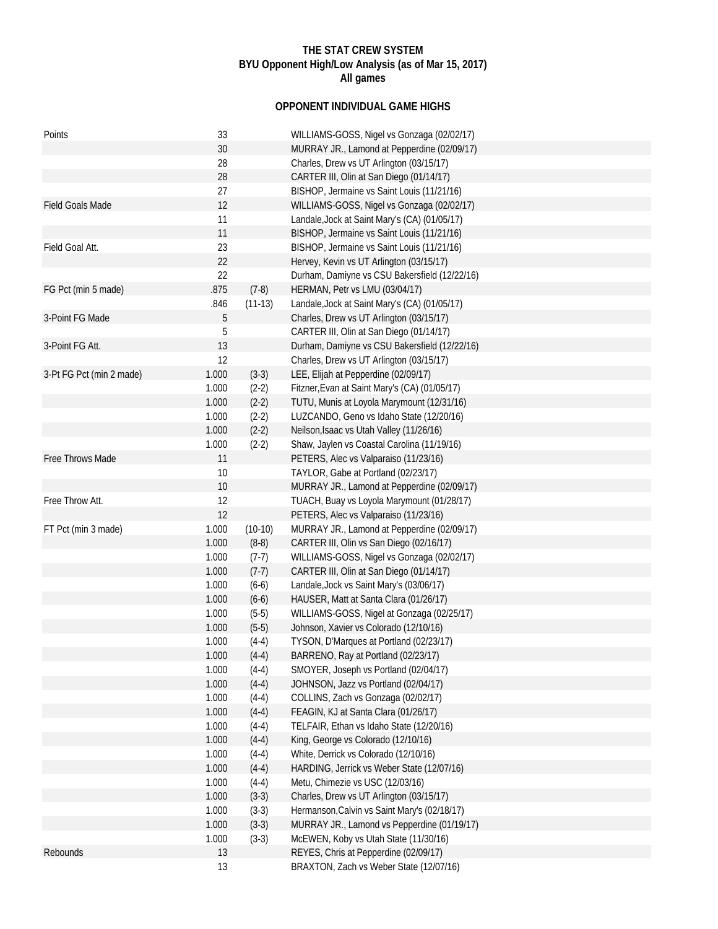## **THE STAT CREW SYSTEM BYU Opponent High/Low Analysis (as of Mar 15, 2017) All games**

# **OPPONENT INDIVIDUAL GAME HIGHS**

| Points                   | 33    |           | WILLIAMS-GOSS, Nigel vs Gonzaga (02/02/17)    |
|--------------------------|-------|-----------|-----------------------------------------------|
|                          | 30    |           | MURRAY JR., Lamond at Pepperdine (02/09/17)   |
|                          | 28    |           | Charles, Drew vs UT Arlington (03/15/17)      |
|                          | 28    |           | CARTER III, Olin at San Diego (01/14/17)      |
|                          | 27    |           | BISHOP, Jermaine vs Saint Louis (11/21/16)    |
| Field Goals Made         | 12    |           | WILLIAMS-GOSS, Nigel vs Gonzaga (02/02/17)    |
|                          | 11    |           | Landale, Jock at Saint Mary's (CA) (01/05/17) |
|                          | 11    |           | BISHOP, Jermaine vs Saint Louis (11/21/16)    |
| Field Goal Att.          | 23    |           | BISHOP, Jermaine vs Saint Louis (11/21/16)    |
|                          | 22    |           | Hervey, Kevin vs UT Arlington (03/15/17)      |
|                          | 22    |           | Durham, Damiyne vs CSU Bakersfield (12/22/16) |
| FG Pct (min 5 made)      | .875  | $(7-8)$   | HERMAN, Petr vs LMU (03/04/17)                |
|                          | .846  | $(11-13)$ | Landale, Jock at Saint Mary's (CA) (01/05/17) |
| 3-Point FG Made          | 5     |           | Charles, Drew vs UT Arlington (03/15/17)      |
|                          | 5     |           | CARTER III, Olin at San Diego (01/14/17)      |
| 3-Point FG Att.          | 13    |           | Durham, Damiyne vs CSU Bakersfield (12/22/16) |
|                          | 12    |           | Charles, Drew vs UT Arlington (03/15/17)      |
| 3-Pt FG Pct (min 2 made) | 1.000 | $(3-3)$   | LEE, Elijah at Pepperdine (02/09/17)          |
|                          | 1.000 | $(2-2)$   | Fitzner, Evan at Saint Mary's (CA) (01/05/17) |
|                          | 1.000 | $(2-2)$   | TUTU, Munis at Loyola Marymount (12/31/16)    |
|                          | 1.000 | $(2-2)$   | LUZCANDO, Geno vs Idaho State (12/20/16)      |
|                          | 1.000 | $(2-2)$   | Neilson, Isaac vs Utah Valley (11/26/16)      |
|                          | 1.000 | $(2-2)$   | Shaw, Jaylen vs Coastal Carolina (11/19/16)   |
| Free Throws Made         | 11    |           | PETERS, Alec vs Valparaiso (11/23/16)         |
|                          | 10    |           | TAYLOR, Gabe at Portland (02/23/17)           |
|                          | 10    |           | MURRAY JR., Lamond at Pepperdine (02/09/17)   |
| Free Throw Att.          | 12    |           | TUACH, Buay vs Loyola Marymount (01/28/17)    |
|                          | 12    |           | PETERS, Alec vs Valparaiso (11/23/16)         |
| FT Pct (min 3 made)      | 1.000 | $(10-10)$ | MURRAY JR., Lamond at Pepperdine (02/09/17)   |
|                          | 1.000 | $(8-8)$   | CARTER III, Olin vs San Diego (02/16/17)      |
|                          | 1.000 | $(7-7)$   | WILLIAMS-GOSS, Nigel vs Gonzaga (02/02/17)    |
|                          | 1.000 | $(7-7)$   | CARTER III, Olin at San Diego (01/14/17)      |
|                          | 1.000 | $(6-6)$   | Landale, Jock vs Saint Mary's (03/06/17)      |
|                          | 1.000 | $(6-6)$   | HAUSER, Matt at Santa Clara (01/26/17)        |
|                          | 1.000 | $(5-5)$   | WILLIAMS-GOSS, Nigel at Gonzaga (02/25/17)    |
|                          | 1.000 | $(5-5)$   | Johnson, Xavier vs Colorado (12/10/16)        |
|                          | 1.000 | $(4-4)$   | TYSON, D'Marques at Portland (02/23/17)       |
|                          | 1.000 | $(4-4)$   | BARRENO, Ray at Portland (02/23/17)           |
|                          | 1.000 | $(4-4)$   | SMOYER, Joseph vs Portland (02/04/17)         |
|                          | 1.000 | $(4-4)$   | JOHNSON, Jazz vs Portland (02/04/17)          |
|                          | 1.000 | $(4-4)$   | COLLINS, Zach vs Gonzaga (02/02/17)           |
|                          | 1.000 | $(4-4)$   | FEAGIN, KJ at Santa Clara (01/26/17)          |
|                          | 1.000 | $(4-4)$   | TELFAIR, Ethan vs Idaho State (12/20/16)      |
|                          | 1.000 | $(4-4)$   | King, George vs Colorado (12/10/16)           |
|                          | 1.000 | $(4-4)$   | White, Derrick vs Colorado (12/10/16)         |
|                          | 1.000 | $(4-4)$   | HARDING, Jerrick vs Weber State (12/07/16)    |
|                          | 1.000 | $(4-4)$   | Metu, Chimezie vs USC (12/03/16)              |
|                          | 1.000 | $(3-3)$   | Charles, Drew vs UT Arlington (03/15/17)      |
|                          | 1.000 | $(3-3)$   | Hermanson, Calvin vs Saint Mary's (02/18/17)  |
|                          | 1.000 | $(3-3)$   | MURRAY JR., Lamond vs Pepperdine (01/19/17)   |
|                          | 1.000 | $(3-3)$   | McEWEN, Koby vs Utah State (11/30/16)         |
| Rebounds                 | 13    |           | REYES, Chris at Pepperdine (02/09/17)         |
|                          | 13    |           | BRAXTON, Zach vs Weber State (12/07/16)       |